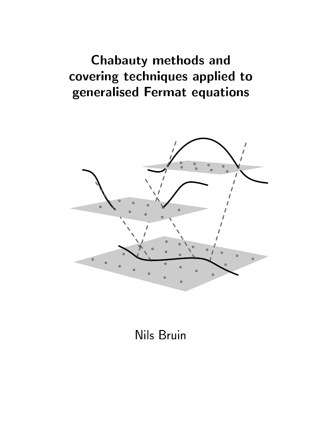# Chabauty methods and covering techniques applied to generalised Fermat equations



Nils Bruin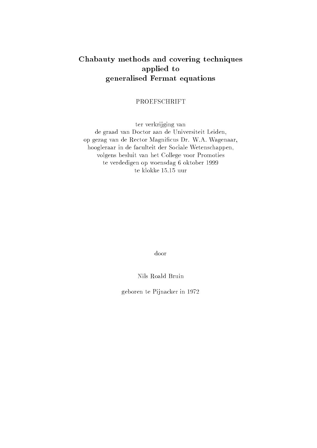## Chabauty methods and covering techniques applied to generalised Fermat equations

PROEFSCHRIFT

ter verkrijging van de graad van Doctor aan de Universiteit Leiden, op gezag van de Rector Magnicus Dr. W.A. Wagenaar, hoogleraar in de faculteit der Sociale Wetenschappen, volgens besluit van het College voor Promoties te verdedigen op woensdag 6 oktober 1999 te klokke 15.15 uur

door

Nils Roald Bruin

geboren te Pijnacker in 1972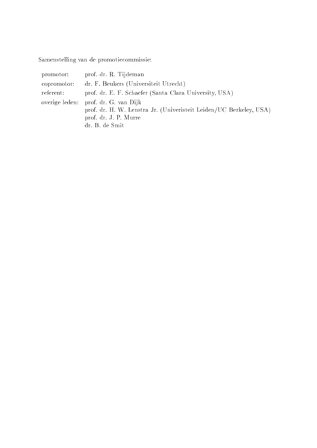Samenstelling van de promotiecommissie:

| promotor: | prof. dr. R. Tijdeman                                              |  |  |
|-----------|--------------------------------------------------------------------|--|--|
|           | copromotor: dr. F. Beukers (Universiteit Utrecht)                  |  |  |
| referent: | prof. dr. E. F. Schaefer (Santa Clara University, USA)             |  |  |
|           | overige leden: prof. dr. G. van Dijk                               |  |  |
|           | prof. dr. H. W. Lenstra Jr. (Univeristeit Leiden/UC Berkeley, USA) |  |  |
|           | prof. dr. J. P. Murre                                              |  |  |
|           | dr. B. de Smit                                                     |  |  |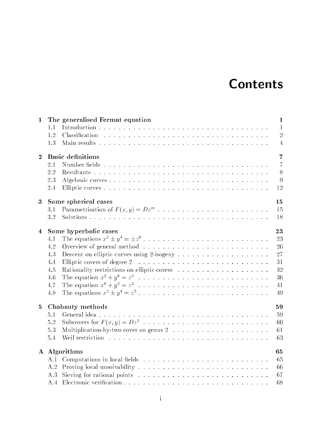# **Contents**

| $\mathbf{1}$   |     | The generalised Fermat equation                                                             | $\mathbf{1}$   |
|----------------|-----|---------------------------------------------------------------------------------------------|----------------|
|                | 1.1 |                                                                                             | $\mathbf{1}$   |
|                | 1.2 |                                                                                             | $\overline{2}$ |
|                | 1.3 |                                                                                             | $\overline{4}$ |
| $\overline{2}$ |     | <b>Basic definitions</b>                                                                    | $\overline{7}$ |
|                | 2.1 |                                                                                             | $\overline{7}$ |
|                | 2.2 |                                                                                             | 8              |
|                | 2.3 |                                                                                             | 9              |
|                | 2.4 |                                                                                             | 12             |
| $\bf{3}$       |     | 15<br>Some spherical cases                                                                  |                |
|                | 3.1 | 15                                                                                          |                |
|                | 3.2 |                                                                                             | 18             |
| $\overline{4}$ |     | Some hyperbolic cases<br>23                                                                 |                |
|                | 4.1 |                                                                                             | 23             |
|                | 4.2 |                                                                                             | 26             |
|                | 4.3 | 27                                                                                          |                |
|                | 4.4 | 31                                                                                          |                |
|                | 4.5 | 32                                                                                          |                |
|                | 4.6 |                                                                                             | 36             |
|                | 4.7 |                                                                                             | 41             |
|                | 4.8 |                                                                                             | 49             |
| $\mathbf{5}$   |     | Chabauty methods<br>59                                                                      |                |
|                | 5.1 |                                                                                             | 59             |
|                | 5.2 |                                                                                             | 60             |
|                | 5.3 |                                                                                             | 61             |
|                | 5.4 | 63                                                                                          |                |
|                |     | A Algorithms<br>65                                                                          |                |
|                |     | 65                                                                                          |                |
|                | A.2 | 66                                                                                          |                |
|                | A.3 | Sieving for rational points $\ldots \ldots \ldots \ldots \ldots \ldots \ldots \ldots$<br>67 |                |
|                | A.4 | 68                                                                                          |                |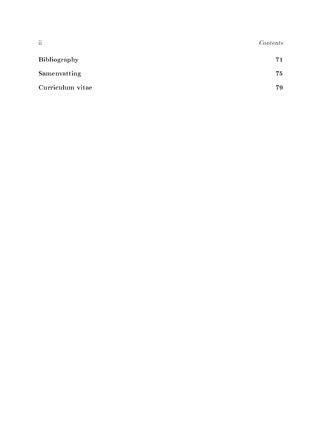| $\overline{11}$     | Contents |
|---------------------|----------|
| <b>Bibliography</b> | 71       |
| Samenvatting        | 75       |
| Curriculum vitae    | 79       |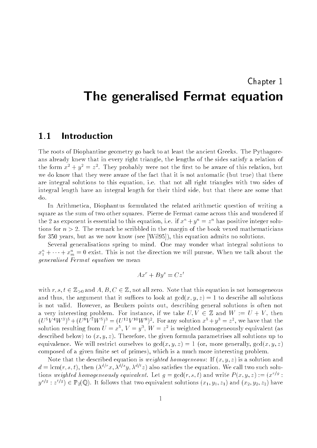Chapter 1

## The generalised Fermat equation

#### **Introduction**  $1.1$

The roots of Diophantine geometry go back to at least the ancient Greeks. The Pythagoreans already knew that in every right triangle, the lengths of the sides satisfy a relation of the form  $x^2 + y^2 = z^2$ . They probably were not the first to be aware of this relation, but we do know that they were aware of the fact that it is not automatic (but true) that there are integral solutions to this equation, i.e. that not all right triangles with two sides of integral length have an integral length for their third side, but that there are some that do.

In Arithmetica, Diophantus formulated the related arithmetic question of writing a square as the sum of two other squares. Pierre de Fermat came across this and wondered if the 2 as exponent is essential to this equation, i.e. if  $x^+ + y^+ = z^+$  has positive integer solutions for  $n > 2$ . The remark he scribbled in the margin of the book vexed mathematicians for 350 years, but as we now know (see [Wil95]), this equation admits no solutions.

Several generalisations spring to mind. One may wonder what integral solutions to  $x_1^* + \cdots + x_m^* = 0$  exist. This is not the direction we will pursue. When we talk about the generalised Fermat equation we mean

$$
Ax^r + By^s = Cz^t
$$

with  $r, s, t \in \mathbb{Z}_{>0}$  and  $A, B, C \in \mathbb{Z}$ , not all zero. Note that this equation is not homogeneous and thus, the argument that it suffices to look at  $gcd(x, y, z) = 1$  to describe all solutions is not valid. However, as Beukers points out, describing general solutions is often not a very interesting problem. For instance, if we take  $U, V \in \mathbb{Z}$  and  $W := U + V$ , then (U) V TWS F + (U) V TWS F = (U) TV TWS F . For any solution  $x^2 + y^2 = z^2$ , we have that the solution resulting from  $U = x$  ,  $V = y$  ,  $W = z$  is weighted homogeneously equivalent (as described below) to  $(x, y, z)$ . Therefore, the given formula parametrises all solutions up to equivalence. We will restrict ourselves to  $gcd(x, y, z) = 1$  (or, more generally,  $gcd(x, y, z)$ ) composed of a given finite set of primes), which is a much more interesting problem.

Note that the described equation is *weighted homogeneous*: If  $(x, y, z)$  is a solution and  $d = \text{lcm}(r, s, t)$ , then  $(\lambda^{d/r}x, \lambda^{d/s}y, \lambda^{d/t}z)$  also satisfies the equation. We call two such solutions weighted homogeneously equivalent. Let  $g = \gcd(r, s, t)$  and write  $P(x, y, z) := (x^{r/g} :$  $y^{1/3}:z^{1/3})\in \mathbb{F}_2(\mathbb{Q})$ . It follows that two equivalent solutions  $(x_1,y_1,z_1)$  and  $(x_2,y_2,z_2)$  have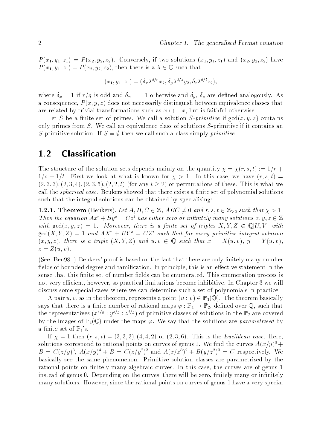$P(x_1, y_1, z_1) = P(x_2, y_2, z_2)$ . Conversely, if two solutions  $(x_1, y_1, z_1)$  and  $(x_2, y_2, z_2)$  have  $P(x_1, y_1, z_1) = P(x_2, y_2, z_2)$ , then there is a  $\lambda \in \mathbb{Q}$  such that

$$
(x_1, y_1, z_1) = (\delta_x \lambda^{d/r} x_2, \delta_y \lambda^{d/s} y_2, \delta_z \lambda^{d/t} z_2),
$$

where  $\delta_x = 1$  if  $r/g$  is odd and  $\delta_x = \pm 1$  otherwise and  $\delta_y$ ,  $\delta_z$  are defined analogously. As a consequence,  $P(x, y, z)$  does not necessarily distinguish between equivalence classes that are related by trivial transformations such as  $x \mapsto -x$ , but is faithful otherwise.

Let S be a finite set of primes. We call a solution S-primitive if  $gcd(x, y, z)$  contains only primes from S. We call an equivalence class of solutions S-primitive if it contains an S-primitive solution. If  $S = \emptyset$  then we call such a class simply *primitive*.

### 1.2 **Classification**

The structure of the solution sets depends mainly on the quantity  $\chi = \chi(r, s, t) := 1/r +$  $1/s + 1/t$ . First we look at what is known for  $\chi > 1$ . In this case, we have  $(r, s, t)$  =  $(2, 3, 3), (2, 3, 4), (2, 3, 5), (2, 2, t)$  (for any  $t > 2$ ) or permutations of these. This is what we call the *spherical case*. Beukers showed that there exists a finite set of polynomial solutions such that the integral solutions can be obtained by specialising:

**1.2.1. Theorem** (Beukers). Let  $A, B, C \in \mathbb{Z}$ ,  $ABC \neq 0$  and  $r, s, t \in \mathbb{Z}_{\geq 2}$  such that  $\chi > 1$ . Then the equation  $Ax + By = Cz$  has either zero or infinitely many solutions  $x, y, z \in \mathbb{Z}$ with  $gcd(x, y, z) = 1$ . Moreover, there is a finite set of triples  $X, Y, Z \in \mathbb{Q}[U, V]$  with  $\gcd(A, I, Z) \equiv 1$  and  $A\overline{A}^T + B\overline{I}^T \equiv \bigcup Z^T$  such that for every primitive integral solution  $(x, y, z)$ , there is a triple  $(X, Y, Z)$  and  $u, v \in \mathbb{Q}$  such that  $x = X(u, v)$ ,  $y = Y(u, v)$ ,  $z = Z(u, v).$ 

 $(See [Beu98]$ .) Beukers' proof is based on the fact that there are only finitely many number fields of bounded degree and ramification. In principle, this is an effective statement in the sense that this finite set of number fields can be enumerated. This enumeration process is not very efficient, however, so practical limitations become inhibitive. In Chapter 3 we will discuss some special cases where we can determine such a set of polynomials in practice.

A pair u, v, as in the theorem, represents a point  $(u : v) \in \mathbb{P}_1(\mathbb{Q})$ . The theorem basically says that there is a finite number of rational maps  $\varphi : \mathbb{P}_1 \to \mathbb{P}_2$ , defined over  $\mathbb{Q}$ , such that the representatives  $(x^{i_2}:y^{i_3}:z^{i_4})$  of primitive classes of solutions in the  $\mathbb{F}_2$  are covered by the images of  $\mathbb{P}_1(\mathbb{Q})$  under the maps  $\varphi$ . We say that the solutions are parametrised by a finite set of  $\mathbb{P}_1$ 's.

If  $\chi = 1$  then  $(r, s, t) = (3, 3, 3), (4, 4, 2)$  or  $(2, 3, 6)$ . This is the *Euclidean case*. Here, solutions correspond to rational points on curves of genus 1. We find the curves  $A(x/y)^+ +$  $D = C(z|y)$ ,  $A(x|y) + D = C(z|y)$  and  $A(x|z) + D(y|z) = C$  respectively. We basically see the same phenomenon. Primitive solution classes are parametrised by the rational points on finitely many algebraic curves. In this case, the curves are of genus 1 instead of genus 0. Depending on the curves, there will be zero, finitely many or infinitely many solutions. However, since the rational points on curves of genus 1 have a very special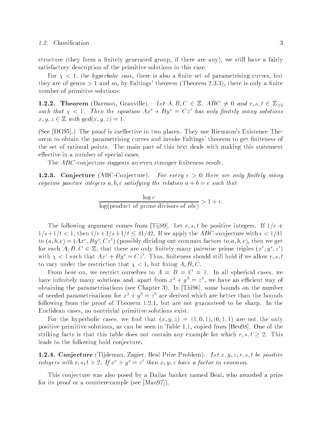structure (they form a finitely generated group, if there are any), we still have a fairly satisfactory description of the primitive solutions in this case.

For  $\chi$  < 1, the *hyperbolic case*, there is also a finite set of parametrising curves, but they are of genus  $> 1$  and so, by Faltings' theorem (Theorem 2.3.3), there is only a finite number of primitive solutions:

**1.2.2. Theorem** (Darmon, Granville). Let  $A, B, C \in \mathbb{Z}$ ,  $ABC \neq 0$  and  $r, s, t \in \mathbb{Z}_{\geq 2}$ such that  $\chi$   $\lt$  1. Then the equation  $Ax^{+} + By^{+} = \cup z^{+}$  has only finitely many solutions  $x, y, z \in \mathbb{Z}$  with  $gcd(x, y, z) = 1$ .

(See  $[DG95]$ .) The proof is ineffective in two places. They use Riemann's Existence Theorem to obtain the parametrising curves and invoke Faltings' theorem to get finiteness of the set of rational points. The main part of this text deals with making this statement effective in a number of special cases.

The  $ABC$ -conjecture suggests an even stronger finiteness result.

**1.2.3.** Conjecture (ABC-Conjecture). For every  $\epsilon > 0$  there are only finitely many coprime positive integers a, b, c satisfying the relation  $a + b = c$  such that

$$
\frac{\log c}{\log(\text{product of prime divisors of } abc)} > 1 + \epsilon.
$$

The following argument comes from [Tij89]. Let r, s, t be positive integers. If  $1/r +$  $1/s+1/t < 1$ , then  $1/r+1/s+1/t \leq 41/42$ . If we apply the ABC-conjecture with  $\epsilon < 1/41$ to  $(a, b, c) = (Ax, By, Cz)$  (possibly dividing out common factors to  $a, b, c$ ), then we get for each  $A, B, C \in \mathbb{Z}$ , that there are only finitely many pairwise prime triples  $(x^*, y^*, z^*)$ with  $\chi$   $\lt$  1 such that  $Ax$   $\pm$   $By$   $\equiv$   $Cz$  . Thus, imiteness should still hold if we allow  $r, s, t$ to vary under the restriction that  $\chi < 1$ , but fixing A, B, C.

From here on, we restrict ourselves to  $A = B = C = 1$ . In all spherical cases, we have infinitely many solutions and, apart from  $x^+ + y^+ = z^-,$  we have an emicient way of obtaining the parametrisations (see Chapter 3). In [Thi96], some bounds on the number of needed parametrisations for  $x^2 + y^3 = z^3$  are derived which are better than the bounds following from the proof of Theorem 1.2.1, but are not guaranteed to be sharp. In the Euclidean cases, no nontrivial primitive solutions exist.

For the hyperbolic cases, we find that  $(x, y, z) = (1, 0, 1), (0, 1, 1)$  are not the only positive primitive solutions, as can be seen in Table 1.1, copied from [Beu98]. One of the striking facts is that this table does not contain any example for which  $r, s, t \geq 2$ . This leads to the following bold conjecture.

**1.2.4.** Conjecture (Tijdeman, Zagier, Beal Prize Problem). Let  $x, y, z, r, s, t$  be positive integers with  $r, s, t > 2$ . If  $x^2 + y^2 = z^2$  then  $x, y, z$  have a factor in common.

This conjecture was also posed by a Dallas banker named Beal, who awarded a prize for its proof or a counterexample (see [Mau97]).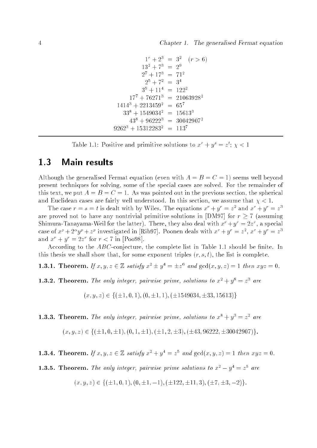```
1 + 2 = 3 (r > 0)13^{7} + 1^{7} = 2^{7}2 + 11 = 112^{2} + 1^{2} = 3^{2}3 + 11 = 12211 + 10211 = 210039281414^3 + 2213459^2 = 65^733^8 + 1549034^2 = 15613^343^8 + 96222^3 = 30042907^29262^3 + 15312283^2 = 113^7
```
Table 1.1: Positive and primitive solutions to  $x + y = z$ ;  $y \le 1$ 

## 1.3 Main results

Although the generalised Fermat equation (even with  $A = B = C = 1$ ) seems well beyond present techniques for solving, some of the special cases are solved. For the remainder of this text, we put  $A = B = C = 1$ . As was pointed out in the previous section, the spherical and Euclidean cases are fairly well understood. In this section, we assume that  $\chi < 1$ .

The case  $r = s = t$  is dealt with by writes. The equations  $x + y = z$  and  $x + y = z$ are proved not to have any nontrivial primitive solutions in [DM97] for  $r > 7$  (assuming Shimura-Tanayama-Weil for the latter). There, they also deal with  $x + y = zz$  , a special case of  $x^2 + 2y^2 + z^2$  investigated in [Rib97]. Poonen deals with  $x^2 + y^2 = z^2$ ,  $x^2 + y^2 = z^2$ and  $x + y = 2z$  for  $r < 7$  in [Poo98].

According to the  $ABC$ -conjecture, the complete list in Table 1.1 should be finite. In this thesis we shall show that, for some exponent triples  $(r, s, t)$ , the list is complete.

**1.3.1. Incorem.** If  $x, y, z \in \mathbb{Z}$  satisfy  $x \pm y = \pm z$  and  $\gcd(x, y, z) = 1$  then  $xyz = 0$ .

**1.3.4. Integrem.** The only integer, pairwise prime, solutions to  $x + y = z$  are

$$
(x, y, z) \in \{ (\pm 1, 0, 1), (0, \pm 1, 1), (\pm 1549034, \pm 33, 15613) \}
$$

**1.3.3.** Integrem. The only integer, pairwise prime, solutions to  $x + y = z$  are

 $(x, y, z) \in \{(\pm 1, 0, \pm 1), (0, 1, \pm 1), (\pm 1, 2, \pm 3), (\pm 43, 96222, \pm 30042907)\}.$ 

**1.3.4. Incorem.** If  $x, y, z \in \mathbb{Z}$  satisfy  $x + y = z$  and  $gcd(x, y, z) = 1$  then  $xyz = 0$ .

**1.3.5. Integrem.** The only integer, pairwise prime solutions to  $x^2 - y^2 = z^2$  are

$$
(x, y, z) \in \{ (\pm 1, 0, 1), (0, \pm 1, -1), (\pm 122, \pm 11, 3), (\pm 7, \pm 3, -2) \}.
$$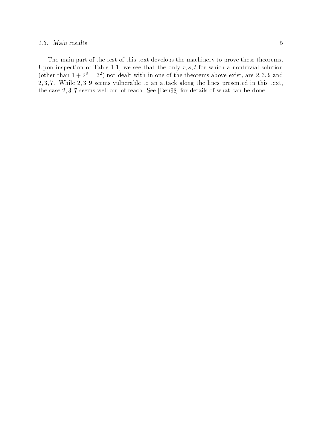### 1.3. Main results 5

The main part of the rest of this text develops the machinery to prove these theorems. Upon inspection of Table 1.1, we see that the only  $r, s, t$  for which a nontrivial solution (other than  $1 + 2$  = 3 ) not dealt with in one of the theorems above exist, are 2, 3, 9 and  $2, 3, 7$ . While  $2, 3, 9$  seems vulnerable to an attack along the lines presented in this text, the case  $2, 3, 7$  seems well out of reach. See [Beu98] for details of what can be done.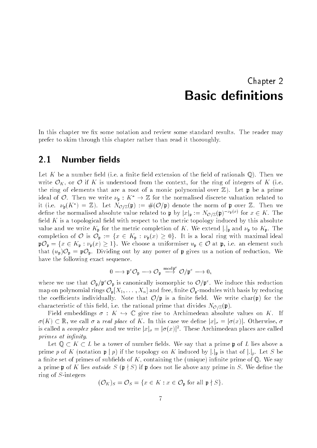# Chapter 2 **Basic definitions**

In this chapter we fix some notation and review some standard results. The reader may prefer to skim through this chapter rather than read it thoroughly.

### 2.1 Number fields

Let K be a number field (i.e. a finite field extension of the field of rationals  $\mathbb{Q}$ ). Then we write  $\mathcal{O}_K$ , or  $\mathcal O$  if K is understood from the context, for the ring of integers of K (i.e. the ring of elements that are a root of a monic polynomial over  $\mathbb{Z}$ ). Let  $\mathfrak{p}$  be a prime ideal of O. Then we write  $\nu_{p}: K^* \to \mathbb{Z}$  for the normalised discrete valuation related to it (i.e.  $\nu_{\mathfrak{p}}(K^-)=\mathbb{Z}$ ). Let  $N_{\mathcal{O}/\mathbb{Z}}(\mathfrak{p})\,:=\,\#\,(\bigcup\limits\limits\{\mathfrak{p}\,|\, \text{denote the norm of }\,\mathfrak{p}\text{ over }\mathbb{Z}\,.\,\,$  Then we define the normalised absolute value related to p by  $|x|_p := N_{\mathcal{O}/\mathbb{Z}}(p)$  . For  $x \in K$ . The field  $K$  is a topological field with respect to the metric topology induced by this absolute value and we write  $K_{\mathfrak{p}}$  for the metric completion of K. We extend  $|.|_{\mathfrak{p}}$  and  $\nu_{\mathfrak{p}}$  to  $K_{\mathfrak{p}}$ . The completion of  $\mathcal O$  is  $\mathcal O_p := \{x \in K_p : \nu_p(x) \geq 0\}$ . It is a local ring with maximal ideal  $\mathfrak{p}\mathcal{O}_{\mathfrak{p}} = \{x \in K_{\mathfrak{p}} : \nu_{\mathfrak{p}}(x) \geq 1\}.$  We choose a uniformiser  $u_{\mathfrak{p}} \in \mathcal{O}$  at  $\mathfrak{p}$ , i.e. an element such that  $(u_p)\mathcal{O}_p = p\mathcal{O}_p$ . Dividing out by any power of p gives us a notion of reduction. We have the following exact sequence.

$$
0\longrightarrow \mathfrak{p}^e\mathcal{O}_{\mathfrak{p}}\longrightarrow \mathcal{O}_{\mathfrak{p}}\stackrel{\text{mod}\mathfrak{p}^e}{\longrightarrow} \mathcal{O}/\mathfrak{p}^e\longrightarrow 0,
$$

where we use that  $\cup_p$   $p \cup_p$  is canonically isomorphic to  $\cup /p$  . We induce this reduction map on polynomial rings  $\mathcal{O}_{\mathfrak{p}}[X_1,\ldots,X_n]$  and free, finite  $\mathcal{O}_{\mathfrak{p}}$ -modules with basis by reducing the coefficients individually. Note that  $\mathcal{O}/\mathfrak{p}$  is a finite field. We write char(p) for the characteristic of this field, i.e. the rational prime that divides  $N_{\mathcal{O}/\mathbb{Z}}(\mathfrak{p})$ .

Field embeddings  $\sigma : K \hookrightarrow \mathbb{C}$  give rise to Archimedean absolute values on K. If  $\sigma(K) \subset \mathbb{R}$ , we call  $\sigma$  a real place of K. In this case we define  $|x|_{\sigma} = |\sigma(x)|$ . Otherwise,  $\sigma$ is called a *complex place* and we write  $|x|_{\sigma} = |\sigma(x)|$  . These Archimedean places are called primes at infinity.

Let  $\mathbb{Q} \subset K \subset L$  be a tower of number fields. We say that a prime p of L lies above a prime p of K (notation  $\mathfrak{p} \mid p$ ) if the topology on K induced by  $|.|_{\mathfrak{p}}$  is that of  $|.|_{p}$ . Let S be a finite set of primes of subfields of K, containing the (unique) infinite prime of  $\mathbb{Q}$ . We say a prime p of K lies *outside*  $S(\mathfrak{p} \nmid S)$  if p does not lie above any prime in S. We define the ring of S-integers

$$
(\mathcal{O}_K)_S = \mathcal{O}_S = \{ x \in K : x \in \mathcal{O}_{\mathfrak{p}} \text{ for all } \mathfrak{p} \nmid S \}.
$$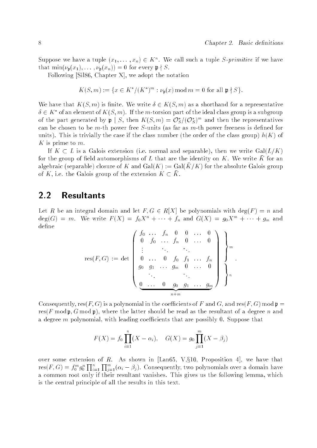Suppose we have a tuple  $(x_1, \ldots, x_n) \in K$  . We call such a tuple S-primitive if we have that  $min(\nu_{n}(x_1), \ldots, \nu_{n}(x_n)) = 0$  for every  $p \nmid S$ .

Following [Sil86, Chapter X], we adopt the notation

$$
K(S,m) := \{ x \in K^* / (K^*)^m : \nu_{\mathfrak{p}}(x) \bmod m = 0 \text{ for all } \mathfrak{p} \nmid S \}.
$$

We have that  $K(S, m)$  is finite. We write  $\delta \in K(S, m)$  as a shorthand for a representative  $\theta \in K$  for an element of  $K(\beta, m)$ . If the m-torsion part of the ideal class group is a subgroup of the part generated by  $\mathfrak{p} \mid S$ , then  $K(S, m) = \mathcal{O}_S/(\mathcal{O}_S)$  and then the representatives can be chosen to be m-th power free  $S$ -units (as far as  $m$ -th power freeness is defined for units). This is trivially the case if the class number (the order of the class group)  $h(K)$  of K is prime to  $m$ .

If  $K \subset L$  is a Galois extension (i.e. normal and separable), then we write  $Gal(L/K)$ for the group of field automorphisms of  $L$  that are the identity on  $K$ . We write  $K$  for an algebraic (separable) closure of K and Gal(K)  $\cdot$   $=$  Gal(K) K) for the absolute Galois group of  $K$ , i.e. the Galois group of the extension  $K \subset K$ .

#### $2.2$ **Resultants**

Let R be an integral domain and let  $F, G \in R[X]$  be polynomials with  $deg(F) = n$  and  $deg(G) = m$ . We write  $F(X) = f_0 X^n + \cdots + f_n$  and  $G(X) = g_0 X^m + \cdots + g_m$  and define

$$
\mathrm{res}(F,G) := \det \begin{pmatrix} f_0 & \dots & f_n & 0 & 0 & \dots & 0 \\ 0 & f_0 & \dots & f_n & 0 & \dots & 0 \\ \vdots & & & & & & \\ 0 & \dots & 0 & f_0 & f_1 & \dots & f_n \\ g_0 & g_1 & \dots & g_m & 0 & \dots & 0 \\ \vdots & & & & & & \\ 0 & \dots & 0 & g_0 & g_1 & \dots & g_m \end{pmatrix} \begin{pmatrix} \\ \\ \\ \\ \\ \\ \\ \\ \\ \\ \\ \\ \end{pmatrix}^n
$$

Consequently, res $(F, G)$  is a polynomial in the coefficients of F and G, and res $(F, G)$  mod  $\mathfrak{p} =$ res(F mod  $\mathfrak{p}, G$  mod  $\mathfrak{p}$ ), where the latter should be read as the resultant of a degree n and a degree m polynomial, with leading coefficients that are possibly 0. Suppose that

$$
F(X) = f_0 \prod_{i=1}^{n} (X - \alpha_i), \quad G(X) = g_0 \prod_{j=1}^{m} (X - \beta_j)
$$

over some extension of R. As shown in [Lan65, V, $\S$ 10, Proposition 4], we have that  $res(r, G) = f_0 g_0$  $\mathbf{r}$  $\blacksquare$  $\eta =$ 1(ii ). Consequently, two polynomials over a domain have a domain have a domain have a domain have a domain have  $\eta =$ a common root only if their resultant vanishes. This gives us the following lemma, which is the central principle of all the results in this text.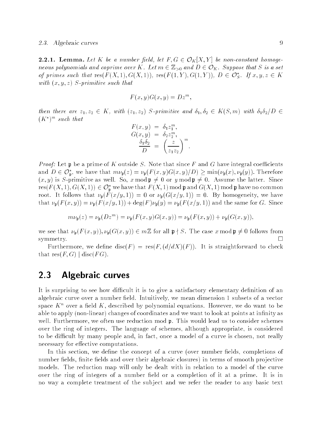#### 2.3. Algebraic curves 9

**2.2.1. Lemma.** Let K be a number field, let  $F, G \in \mathcal{O}_K[X, Y]$  be non-constant homogeneous polynomials and coprime over K. Let  $m \in \mathbb{Z}_{>0}$  and  $D \in \mathcal{O}_K$ . Suppose that S is a set of primes such that  $res(F(\Lambda,1),G(\Lambda,1))$ ,  $res(F(1, Y),G(1, Y))$ ,  $D \in \mathcal{O}_S$ . If  $x,y,z \in \Lambda$ with  $(x, y, z)$  S-primitive such that

$$
F(x, y)G(x, y) = Dz^m
$$

then there are  $z_1, z_2 \in K$ , with  $(z_1, z_2)$  S-primitive and  $\delta_1, \delta_2 \in K(S, m)$  with  $\delta_1 \delta_2/D \in$ (K) such that

$$
F(x, y) = \delta_1 z_1^m,
$$
  
\n
$$
G(x, y) = \delta_2 z_2^m,
$$
  
\n
$$
\frac{\delta_1 \delta_2}{D} = \left(\frac{z}{z_1 z_2}\right)^m.
$$

*Proof:* Let  $\mathfrak p$  be a prime of K outside S. Note that since F and G have integral coefficients and  $D \in \mathcal{O}_{\mathfrak{p}},$  we have that  $m\nu_{\mathfrak{p}}(z) = \nu_{\mathfrak{p}}(F(x,y)G(x,y)/D) \geq \min(\nu_{\mathfrak{p}}(x),\nu_{\mathfrak{p}}(y)).$  Therefore  $(x, y)$  is S-primitive as well. So, x mod  $\mathfrak{p} \neq 0$  or y mod  $\mathfrak{p} \neq 0$ . Assume the latter. Since res(  $F$   $(X,1),G(X,1))\in$   $\mathcal{O}_{\mathfrak{p}}$  we have that  $F$   $(X,1)$  mod  $\mathfrak{p}$  and  $G(X,1)$  mod  $\mathfrak{p}$  have no common root. It follows that  $\nu_{p}(F(x/y, 1)) = 0$  or  $\nu_{p}(G(x/y, 1)) = 0$ . By homogeneity, we have that  $\nu_{\mathfrak{p}}(F(x,y)) = \nu_{\mathfrak{p}}(F(x/y,1)) + \deg(F)\nu_{\mathfrak{p}}(y) = \nu_{\mathfrak{p}}(F(x/y,1))$  and the same for G. Since

$$
m\nu_{\mathfrak{p}}(z) = \nu_{\mathfrak{p}}(Dz^m) = \nu_{\mathfrak{p}}(F(x,y)G(x,y)) = \nu_{\mathfrak{p}}(F(x,y)) + \nu_{\mathfrak{p}}(G(x,y)),
$$

we see that  $\nu_{\mathfrak{p}}(F (x, y)), \nu_{\mathfrak{p}}(G (x, y)) \in m\mathbb{Z}$  for all  $\mathfrak{p} \nmid S$ . The case x mod  $\mathfrak{p} \neq 0$  follows from symmetry.  $\square$ 

Furthermore, we define  $disc(F) = res(F, (d/dX)(F))$ . It is straightforward to check that  $res(F, G)$  disc(*FG*).

### 2.3 Algebraic curves

It is surprising to see how difficult it is to give a satisfactory elementary definition of an algebraic curve over a number field. Intuitively, we mean dimension 1 subsets of a vector space  $\Lambda$  – over a neight, described by polynomial equations. However, we do want to be able to apply (non-linear) changes of coordinates and we want to look at points at infinity as well. Furthermore, we often use reduction mod **p**. This would lead us to consider schemes over the ring of integers. The language of schemes, although appropriate, is considered to be difficult by many people and, in fact, once a model of a curve is chosen, not really necessary for effective computations.

In this section, we define the concept of a curve (over number fields, completions of number fields, finite fields and over their algebraic closures) in terms of smooth projective models. The reduction map will only be dealt with in relation to a model of the curve over the ring of integers of a number field or a completion of it at a prime. It is in no way a complete treatment of the subject and we refer the reader to any basic text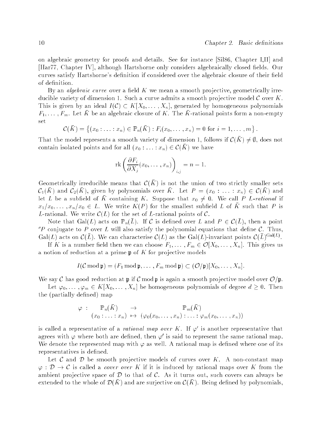on algebraic geometry for proofs and details. See for instance [Sil86, Chapter I,II] and [Har77, Chapter IV], although Hartshorne only considers algebraically closed fields. Our curves satisfy Hartshorne's definition if considered over the algebraic closure of their field of denition.

By an *algebraic curve* over a field K we mean a smooth projective, geometrically irreducible variety of dimension 1. Such a curve admits a smooth projective model  $\mathcal C$  over K. This is given by an ideal  $I(\mathcal{C}) \subset K[X_0, \ldots, X_n]$ , generated by homogeneous polynomials  $F_1, \ldots, F_m$ . Let  $K$  be an algebraic closure of  $K$ . The  $K$ -rational points form a non-empty set

$$
\mathcal{C}(\bar{K}) = \{ (x_0 : \ldots : x_n) \in \mathbb{P}_n(\bar{K}) : F_i(x_0, \ldots, x_n) = 0 \text{ for } i = 1, \ldots, m \}.
$$

That the model represents a smooth variety of dimension 1, follows if  $C(Y) \neq \emptyset$ , does not contain isolated points and for all  $(x_0, \ldots, x_n) \in C(N)$  we have

$$
\operatorname{rk}\left(\frac{\partial F_i}{\partial X_j}(x_0,\ldots,x_n)\right)_{i,j}=n-1.
$$

Geometrically irreducible means that  $\mathcal{C}(\bar{K})$  is not the union of two strictly smaller sets  $C_1(\bar{K})$  and  $C_2(\bar{K})$ , given by polynomials over  $\bar{K}$ . Let  $P = (x_0 : \ldots : x_n) \in C(\bar{K})$  and iet D be a subfield of K containing K. Suppose that  $x_0 \neq 0$ . We can F D-rational if  $x_1/x_0, \ldots, x_n/x_0 \in L$ . We write  $K(T)$  for the smallest subfield L of K such that F is L-rational. We write  $\mathcal{C}(L)$  for the set of L-rational points of C.

Frote that  $\text{Gal}(L)$  acts on  $\mathbb{F}_n(L)$ . If C is defined over L and  $T \in \mathbb{C}(L)$ , then a point P conjugate to P over L will also satisfy the polynomial equations that define  $C$ . Thus, Gal(L) acts on  $C(L)$ . We can characterise  $C(L)$  as the Gal(L)-invariant points  $C(L)$  =  $\sim$   $\sim$ 

If K is a number field then we can choose  $F_1, \ldots, F_m \in \mathcal{O}[X_0, \ldots, X_n]$ . This gives us a notion of reduction at a prime  $\mathfrak p$  of K for projective models

$$
I(\mathcal{C} \bmod \mathfrak{p}) = (F_1 \bmod \mathfrak{p}, \dots, F_m \bmod \mathfrak{p}) \subset (\mathcal{O}/\mathfrak{p})[X_0, \dots, X_n].
$$

We say C has good reduction at  $\mathfrak{p}$  if C mod  $\mathfrak{p}$  is again a smooth projective model over  $\mathcal{O}/\mathfrak{p}$ .

Let  $\varphi_0, \ldots, \varphi_m \in K[X_0, \ldots, X_n]$  be homogeneous polynomials of degree  $d \geq 0$ . Then the (partially defined) map

$$
\varphi : \mathbb{P}_n(\bar{K}) \to \mathbb{P}_m(\bar{K})
$$
  

$$
(x_0 : \dots : x_n) \mapsto (\varphi_0(x_0, \dots, x_n) : \dots : \varphi_m(x_0, \dots, x_n))
$$

is called a representative of a *rational map over K* . If  $\varphi$  is another representative that agrees with  $\varphi$  where both are defined, then  $\varphi$  is said to represent the same rational map. We denote the represented map with  $\varphi$  as well. A rational map is defined where one of its representatives is defined.

Let C and D be smooth projective models of curves over K. A non-constant map  $\varphi : \mathcal{D} \to \mathcal{C}$  is called a *cover over* K if it is induced by rational maps over K from the ambient projective space of  $\mathcal D$  to that of  $\mathcal C$ . As it turns out, such covers can always be extended to the whole of  $\nu$  (K) and are surjective on  $\nu$  (K). Being defined by porvionmals,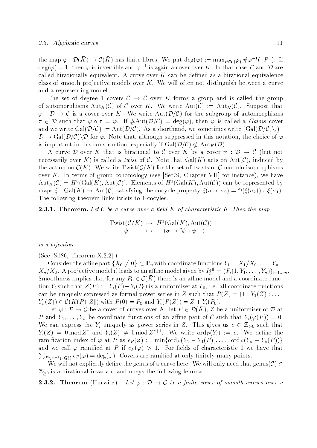the map  $\varphi : D(K) \to C(K)$  has finite fibres. We put  $\deg(\varphi) := \max_{P \in \mathcal{C}(K)} \# \varphi^{-1}(\{P\})$ . If deg( $\varphi$ ) = 1, then  $\varphi$  is invertible and  $\varphi^{-1}$  is again a cover over  $K$  . In that case,  ${\cal C}$  and  ${\cal D}$  are called birationally equivalent. A curve over  $K$  can be defined as a birational equivalence class of smooth projective models over  $K$ . We will often not distinguish between a curve and a representing model.

The set of degree 1 covers  $C \rightarrow C$  over K forms a group and is called the group of automorphisms  ${\rm Aut}_K(\mathcal{C})$  of C over K. We write  ${\rm Aut}(\mathcal{C}) := {\rm Aut}_K(\mathcal{C})$ . Suppose that  $\varphi : \mathcal{D} \to \mathcal{C}$  is a cover over K. We write Aut $(\mathcal{D}/\mathcal{C})$  for the subgroup of automorphisms  $\tau \in \mathcal{D}$  such that  $\varphi \circ \tau = \varphi$ . If  $\#\mathrm{Aut}(\mathcal{D}/\mathcal{C}) = \deg(\varphi)$ , then  $\varphi$  is called a Galois cover and we write  $Gal(\mathcal{D}/\mathcal{C}) := Aut(\mathcal{D}/\mathcal{C})$ . As a shorthand, we sometimes write  $Gal(\mathcal{D}/\mathcal{C})\setminus .$ :  $\mathcal{D} \to \text{Gal}(\mathcal{D}/\mathcal{C})\backslash \mathcal{D}$  for  $\varphi$ . Note that, although suppressed in this notation, the choice of  $\varphi$ is important in this construction, especially if  $Gal(\mathcal{D}/\mathcal{C}) \not\subset Aut_K(\mathcal{D})$ .

A curve D over K that is birational to C over K by a cover  $\psi : \mathcal{D} \to \mathcal{C}$  (but not necessarily over K) is called a twist of C. Note that  $Gal(K)$  acts on  $Aut(\mathcal{C})$ , induced by the action on  $C(K)$ . We write Twist(C/K) for the set of twists of C modulo isomorphisms over K. In terms of group cohomology (see  $\lbrack \text{Ser79}, \text{ Chapter VII} \rbrack$  for instance), we have  ${\rm Aut}_K(\mathcal{C}) = H_0(\mathop{\rm Gal}\nolimits(K), \mathop{\rm Aut}\nolimits(\mathcal{C})).$  Elements of  $H_0(\mathop{\rm Gal}\nolimits(K), \mathop{\rm Aut}\nolimits(\mathcal{C} ))$  can be represented by maps  $\zeta$  : Gal( $\Lambda$ )  $\to$  Aut(C) satisfying the cocycle property  $\zeta(\sigma_1 \circ \sigma_2) = \gamma(\zeta(\sigma_2)) \circ \zeta(\sigma_1)$ . The following theorem links twists to 1-cocyles.

**2.3.1. Theorem.** Let C be a curve over a field K of characteristic 0. Then the map

$$
Twist(\mathcal{C}/K) \rightarrow H^1(\text{Gal}(K), \text{Aut}(\mathcal{C}))
$$
  

$$
\psi \rightarrow (\sigma \mapsto {}^{\sigma}\psi \circ \psi^{-1})
$$

is a bijection.

(See [Sil86, Theorem X.2.2].)

Consider the affine part  $\{X_0 \neq 0\} \subset \mathbb{P}_n$  with coordinate functions  $Y_1 = X_1/X_0, \ldots, Y_n =$  $\Lambda_n/\Lambda_0$ . A projective model C leads to an anime model given by  $I_{\mathcal{C}}^- = (F_i(1, I_1, \ldots, I_n))_{i=1 \ldots m}.$  $S$ moothness implies that for any  $P_0 \subset C(K)$  there is an annie model and a coordinate function  $Y_i$  such that  $Z(P) := Y_i(P) - Y_i(P_0)$  is a uniformiser at  $P_0$ , i.e. all coordinate functions can be uniquely expressed as formal power series in Z such that  $P(Z) = (1 : Y_1(Z) : \dots$  $Y_n(Z)$   $\in \mathcal{C}(K(P)\llbracket Z \rrbracket)$  with  $P(0) = P_0$  and  $Y_i(P(Z)) = Z + Y_i(P_0)$ .

Let  $\varphi: \nu \to \infty$  be a cover of curves over  $\Lambda$  , let  $P \in \nu(\Lambda)$  ,  $L$  be a uniformiser of  $\nu$  at P and  $Y_1, \ldots, Y_n$  be coordinate functions of an affine part of C such that  $Y_i(\varphi(P)) = 0$ . We can express the  $Y_i$  uniquely as power series in Z. This gives us  $e \in \mathbb{Z}_{\geq 0}$  such that  $Y_i(Z) = 0$  mod  $Z^*$  and  $Y_i(Z) \neq 0$  mod  $Z^{**}$ . We write ord  $p(Y_i) := e$ . We define the ramification index of  $\varphi$  at P as  $e_P(\varphi) := \min\{\text{ord}_P(Y_1 - Y_1(P)), \ldots, \text{ord}_P(Y_n - Y_n(P))\}$ and we call  $\varphi$  ramined at  $P$  if  $ep(\varphi)$   $>$  1. For fields of characteristic U we have that <sup>P</sup>  $P \in \varphi^{-1}(\{Q\})$   $e_P(\varphi) = \deg(\varphi)$ . Covers are ramified at only finitely many points.

We will not explicitly define the genus of a curve here. We will only need that genus( $C$ )  $\in$  $\mathbb{Z}_{\geq0}$  is a birational invariant and obeys the following lemma.

**2.3.2. Theorem** (Hurwitz). Let  $\varphi : \mathcal{D} \to \mathcal{C}$  be a finite cover of smooth curves over a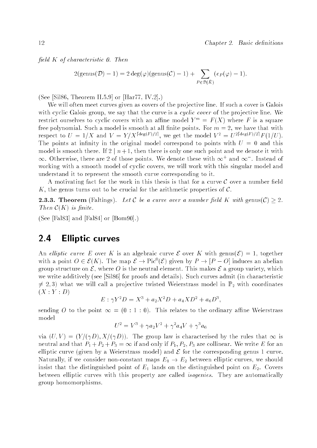field  $K$  of characteristic 0. Then

$$
2(\text{genus}(\mathcal{D})-1) = 2 \deg(\varphi)(\text{genus}(\mathcal{C})-1) + \sum_{P \in \mathcal{D}(\bar{K})} (e_P(\varphi)-1).
$$

(See [Sil86, Theorem II.5.9] or [Har77, IV.2].)

We will often meet curves given as covers of the projective line. If such a cover is Galois with cyclic Galois group, we say that the curve is a *cyclic cover* of the projective line. We restrict ourselves to cyclic covers with an affine model  $Y^m = F(X)$  where F is a square free polynomial. Such a model is smooth at all finite points. For  $m = 2$ , we have that with respect to  $U = 1/A$  and  $V = T/A$  and  $V = T$ , we get the model  $V = U^{-1}$  for  $V = I$  (1/U). The points at infinity in the original model correspond to points with  $U = 0$  and this model is smooth there. If  $2 \mid n+1$ , then there is only one such point and we denote it with  $\infty$ . Otherwise, there are 2 of those points. We denote these with  $\infty^+$  and  $\infty^-$  . Instead of working with a smooth model of cyclic covers, we will work with this singular model and understand it to represent the smooth curve corresponding to it.

A motivating fact for the work in this thesis is that for a curve  $\mathcal C$  over a number field K, the genus turns out to be crucial for the arithmetic properties of  $\mathcal{C}$ .

**2.3.3. Theorem** (Faltings). Let C be a curve over a number field K with genus  $(C) \geq 2$ . Then  $\mathcal{C}(K)$  is finite.

(See [Fal83] and [Fal84] or [Bom90].)

## 2.4 Elliptic curves

An elliptic curve E over K is an algebraic curve  $\mathcal E$  over K with genus( $\mathcal E$ ) = 1, together with a point  $O \in \mathcal{E}(K)$ . The map  $\mathcal{E} \to \mathop{\rm Pic}\nolimits(\mathcal{E})$  given by  $P \to |P-O|$  induces an abelian group structure on  $\mathcal{E}$ , where O is the neutral element. This makes  $\mathcal{E}$  a group variety, which we write additively (see [Sil86] for proofs and details). Such curves admit (in characteristic  $\neq$  2,3) what we will call a projective twisted Weierstrass model in  $\mathbb{P}_2$  with coordinates  $(X:Y: D)$ 

$$
E: \gamma Y^2 D = X^3 + a_2 X^2 D + a_4 X D^2 + a_6 D^3
$$

sending O to the point  $\infty = (0 : 1 : 0)$ . This relates to the ordinary affine Weierstrass

$$
U^2 = V^3 + \gamma a_2 V^2 + \gamma^2 a_4 V + \gamma^3 a_6
$$

via  $(U, V) = (Y/(\gamma D), X/(\gamma D))$ . The group law is characterised by the rules that  $\infty$  is neutral and that  $P_1 + P_2 + P_3 = \infty$  if and only if  $P_1, P_2, P_3$  are collinear. We write E for an elliptic curve (given by a Weierstrass model) and  $\mathcal E$  for the corresponding genus 1 curve. Naturally, if we consider non-constant maps  $E_1 \rightarrow E_2$  between elliptic curves, we should insist that the distinguished point of  $E_1$  lands on the distinguished point on  $E_2$ . Covers between elliptic curves with this property are called *isogenies*. They are automatically group homomorphisms.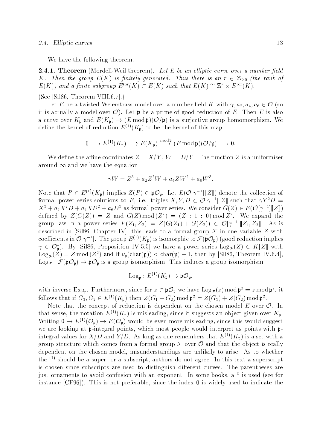#### 2.4. Elliptic curves 13

We have the following theorem.

**2.4.1. Theorem** (Mordell-Weil theorem). Let  $E$  be an elliptic curve over a number field K. Then the group  $E(K)$  is finitely generated. Thus there is an  $r \in \mathbb{Z}_{\geq 0}$  (the rank of  $E(K)$  and a finite subgroup  $E^{++}(K) \subset E(K)$  such that  $E(K) = \mathbb{Z}^r \times E^{++}(K)$ .

### (See [Sil86, Theorem VIII.6.7].)

Let E be a twisted Weierstrass model over a number field K with  $\gamma$ ,  $a_2$ ,  $a_4$ ,  $a_6 \in \mathcal{O}$  (so it is actually a model over  $\mathcal{O}$ ). Let  $\mathfrak p$  be a prime of good reduction of E. Then E is also a curve over  $K_{\mathfrak{p}}$  and  $E(K_{\mathfrak{p}}) \to (E \mod \mathfrak{p})(\mathcal{O}/\mathfrak{p})$  is a surjective group homomorphism. We define the kernel of reduction  $E^{(1)}(K_p)$  to be the kernel of this map.

$$
0 \longrightarrow E^{(1)}(K_{\mathfrak{p}}) \longrightarrow E(K_{\mathfrak{p}}) \stackrel{\text{mod } \mathfrak{p}}{\longrightarrow} (E \text{ mod } \mathfrak{p})(\mathcal{O}/\mathfrak{p}) \longrightarrow 0.
$$

We define the affine coordinates  $Z = X/Y$ ,  $W = D/Y$ . The function Z is a uniformiser around  $\infty$  and we have the equation

$$
\gamma W = Z^3 + a_2 Z^2 W + a_4 Z W^2 + a_6 W^3.
$$

Note that  $P \in E^{\times} \setminus (K_{\mathfrak{p}})$  implies  $Z(F) \in \mathfrak{p} \mathcal{O}_{\mathfrak{p}}$ . Let  $E(\mathcal{O}[\gamma] \setminus \|\Z\|)$  denote the collection of formal power series solutions to E, i.e. triples  $A, I, D \in U$  of the such that  $\gamma I^* D \equiv$  $\Delta$  +  $a_2\Delta$  D +  $a_4\Delta$  D +  $a_6D$  as formal power series. We consider G(D)  $\in$  E(O[ $\gamma$  + [[D]]) defined by  $Z(G(Z)) = Z$  and  $G(Z) \mod Z^+) = (Z \div 1 \div 0) \mod Z^+$ . We expand the group law in a power series  $F(Z_1, Z_2) = Z(G(Z_1) + G(Z_2)) \in O[\gamma^* \| Z_1, Z_2 \|$ . As is described in [Sil86, Chapter IV], this leads to a formal group  $\mathcal F$  in one variable Z with coefficients in  $\mathcal{O}[\gamma^{-1}]$ . The group  $E^{(\gamma)}(K_p)$  is isomorphic to  $\mathcal{F}(\mathfrak{p}\mathcal{O}_p)$  (good reduction implies  $\gamma \in \mathcal{O}_{\mathfrak{p}}$ ). By [Shoo, Proposition IV.5.5] we have a power series  $\text{Log}_{\mathcal{F}}(Z) \in \Lambda[\![Z]\!]$  with  $\text{Log}_{\mathcal{F}}(Z) = Z \text{ mod } (Z)$  and if  $\nu_{\mathfrak{p}}(\text{char}(\mathfrak{p})) \leq \text{char}(\mathfrak{p}) - 1$ , then by [Sil86, Theorem IV.6.4],  $Log_{\mathcal{F}} : \mathcal{F}(\mathfrak{p}\mathcal{O}_{\mathfrak{p}}) \to \mathfrak{p}\mathcal{O}_{\mathfrak{p}}$  is a group isomorphism. This induces a group isomorphism

$$
Log_{\mathfrak{p}}: E^{(1)}(K_{\mathfrak{p}}) \to \mathfrak{p} \mathcal{O}_{\mathfrak{p}},
$$

with inverse  $\exp_{p}$ , furthermore, since for  $z \in \mathfrak{p} \mathcal{O}_p$  we have  $\log_{\mathcal{F}}(z)$  mod  $\mathfrak{p}$  =  $z$  mod  $\mathfrak{p}$  , it follows that if  $G_1, G_2 \in E^{(1)}(K_{\mathfrak{p}})$  then  $Z(G_1 + G_2)$  mod  $\mathfrak{p}^{\perp} = Z(G_1) + Z(G_2)$  mod  $\mathfrak{p}^{\perp}$ .

Note that the concept of reduction is dependent on the chosen model  $E$  over  $\mathcal{O}$ . In that sense, the notation  $E^{(1)}(K_p)$  is misleading, since it suggests an object given over  $K_p$ . Writing  $0 \to E^{(1)}(\mathcal{O}_n) \to E(\mathcal{O}_n)$  would be even more misleading, since this would suggest we are looking at p-integral points, which most people would interpret as points with pintegral values for  $X/D$  and  $Y/D$ . As long as one remembers that  $E^{(1)}(K_{n})$  is a set with a group structure which comes from a formal group  $\mathcal F$  over  $\mathcal O$  and that the object is really dependent on the chosen model, misunderstandings are unlikely to arise. As to whether the  $(1)$  should be a super- or a subscript, authors do not agree. In this text a superscript is chosen since subscripts are used to distinguish different curves. The parentheses are just ornaments to avoid confusion with an exponent. In some books, a listused (see for instance [CF96]). This is not preferable, since the index 0 is widely used to indicate the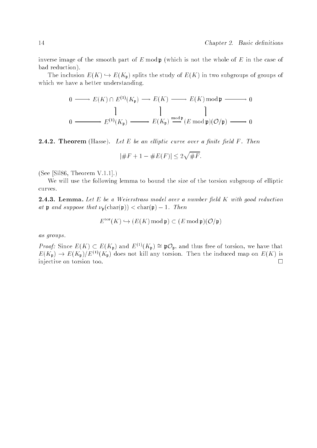inverse image of the smooth part of  $E \mod p$  (which is not the whole of  $E$  in the case of bad reduction).

The inclusion  $E(K) \hookrightarrow E(K_p)$  splits the study of  $E(K)$  in two subgroups of groups of which we have a better understanding.

$$
0 \longrightarrow E(K) \cap E^{(1)}(K_{\mathfrak{p}}) \longrightarrow E(K) \longrightarrow E(K) \text{ mod } \mathfrak{p} \longrightarrow 0
$$
  

$$
\downarrow \qquad \qquad \downarrow \qquad \qquad \downarrow
$$
  

$$
0 \longrightarrow E^{(1)}(K_{\mathfrak{p}}) \longrightarrow E(K_{\mathfrak{p}}) \stackrel{\text{mod } \mathfrak{p}}{\longrightarrow} (E \text{ mod } \mathfrak{p})(\mathcal{O}/\mathfrak{p}) \longrightarrow 0
$$

**2.4.2. Theorem** (Hasse). Let E be an elliptic curve over a finite field  $F$ . Then

$$
|\#F + 1 - \#E(F)| \leq 2\sqrt{\#F}.
$$

(See [Sil86, Theorem V.1.1].)

We will use the following lemma to bound the size of the torsion subgroup of elliptic curves.

**2.4.3. Lemma.** Let  $E$  be a Weierstrass model over a number field  $K$  with good reduction at **p** and suppose that  $\nu_{\mathfrak{n}}(\text{char}(\mathfrak{p})) < \text{char}(\mathfrak{p}) - 1$ . Then

$$
E^{\text{tor}}(K) \hookrightarrow (E(K) \bmod \mathfrak{p}) \subset (E \bmod \mathfrak{p})(\mathcal{O}/\mathfrak{p})
$$

as groups.

*Proof:* Since  $E(K) \subset E(K_{\mathfrak{p}})$  and  $E^{(1)}(K_{\mathfrak{p}}) \cong {\mathfrak{p}}{\mathcal{O}}_{\mathfrak{p}}$ , and thus free of torsion, we have that  $E(K_p) \to E(K_p)/E^{(1)}(K_p)$  does not kill any torsion. Then the induced map on  $E(K)$  is injective on torsion too.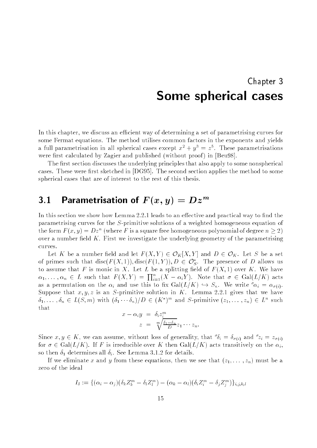## Chapter 3 Some spherical cases

In this chapter, we discuss an efficient way of determining a set of parametrising curves for some Fermat equations. The method utilises common factors in the exponents and yields a full parametrisation in all spherical cases except  $x^+ + y^+ = z^+$ . These parametrisations were first calculated by Zagier and published (without proof) in [Beu98].

The first section discusses the underlying principles that also apply to some nonspherical cases. These were first sketched in [DG95]. The second section applies the method to some spherical cases that are of interest to the rest of this thesis.

## 3.1 Parametrisation of  $F(x, y) = Dz^m$

In this section we show how Lemma  $2.2.1$  leads to an effective and practical way to find the parametrising curves for the S-primitive solutions of a weighted homogeneous equation of the form  $F(x, y) = Dz^+$  (where F is a square free homogeneous polynomial of degree  $n \geq 2$ ) over a number field  $K$ . First we investigate the underlying geometry of the parametrising curves.

Let K be a number field and let  $F(X,Y) \in \mathcal{O}_K[X,Y]$  and  $D \in \mathcal{O}_K$ . Let S be a set of primes such that disc(F(A, 1)), disc(F(1, T)),  $D \in \mathcal{O}_S$ . The presence of D allows us to assume that F is monic in X. Let L be a splitting field of  $F(X,1)$  over K. We have  $\alpha_1, \ldots, \alpha_n \in L$  such that  $F(X, Y) = \prod_{i=1}^n$  $i=1$  ). Note that if  $\lambda$  is the that if  $\lambda$  acts that  $i=1$  acts in  $\lambda$  acts in  $\lambda$  acts in  $\lambda$ as a permutation on the  $\alpha_i$  and use this to iix Gal(L/ $\Lambda$ )  $\rightarrow$   $S_n$ . We write  $\alpha_i = \alpha_{\sigma(i)}$ . Suppose that  $x, y, z$  is an S-primitive solution in K. Lemma 2.2.1 gives that we have  $\vartheta_1,\ldots,\vartheta_n\in L(\vartheta,m)$  with  $(\vartheta_1\cdots\vartheta_n)/D\in (K_1)$  and S-primitive  $(z_1,\ldots,z_n)\in L_1$  such that

$$
x - \alpha_i y = \delta_i z_i^m
$$
  

$$
z = \sqrt[m]{\frac{\delta_1 \cdots \delta_n}{D}} z_1 \cdots z_n.
$$

Since  $x, y \in \mathbf{\Lambda}$ , we can assume, without loss of generality, that  $\sigma_i = \sigma_{\sigma(i)}$  and  $z_i = z_{\sigma(i)}$ for  $\sigma \in \text{Gal}(L/K)$ . If F is irreducible over K then  $\text{Gal}(L/K)$  acts transitively on the  $\alpha_i$ , so then  $\delta_1$  determines all  $\delta_i$ . See Lemma 3.1.2 for details.

If we eliminate x and y from these equations, then we see that  $(z_1, \ldots, z_n)$  must be a zero of the ideal

$$
I_{\delta} := \{(\alpha_i - \alpha_j)(\delta_k Z_k^m - \delta_l Z_l^m) - (\alpha_k - \alpha_l)(\delta_i Z_i^m - \delta_j Z_j^m)\}_{i,j,k,l}
$$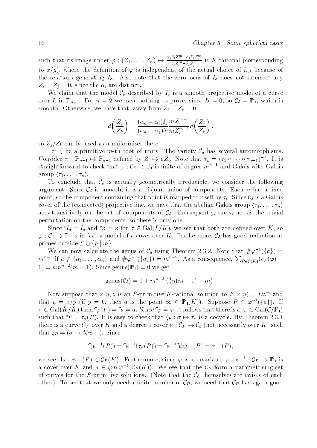such that its image under  $\varphi : (Z_1, \ldots, Z_n) \mapsto \frac{\alpha_j \delta_i Z_i^m - \alpha_i \delta_j Z_j^m}{\delta_i Z_i^m - \delta_j Z_j^m}$  is K-rational (corresponding to  $x/y$ ), where the definition of  $\varphi$  is independent of the actual choice of i, j because of the relations generating  $I_{\delta}$ . Also note that the zero-locus of  $I_{\delta}$  does not intersect any  $Z_i = Z_j = 0$ , since the  $\alpha_i$  are distinct.

We claim that the model  $\mathcal{C}_{\delta}$  described by  $I_{\delta}$  is a smooth projective model of a curve over L in  $\mathbb{P}_{n-1}$ . For  $n = 2$  we have nothing to prove, since  $I_{\delta} = 0$ , so  $\mathcal{C}_{\delta} = \mathbb{P}_1$ , which is smooth. Otherwise, we have that, away from  $Z_i = Z_k = 0$ ,

$$
d\left(\frac{Z_i}{Z_k}\right) = \frac{(\alpha_k - \alpha_i)\delta_j}{(\alpha_k - \alpha_j)\delta_i} \frac{m Z_j^{m-1}}{m Z_i^{m-1}} d\left(\frac{Z_j}{Z_k}\right),
$$

so  $Z_i/Z_k$  can be used as a uniformiser there.

Let  $\zeta$  be a primitive m-th root of unity. The variety  $\mathcal{C}_{\delta}$  has several automorphisms. Consider  $\tau_i$ :  $\mathbb{F}_{n-1} \mapsto \mathbb{F}_{n-1}$  defined by  $Z_i \mapsto \zeta Z_i$ . Note that  $\tau_n = (\tau_1 \circ \cdots \circ \tau_{n-1})$ . It is straightforward to check that  $\varphi: \mathsf{C}_\delta \to \mathbb{r}_1$  is finite of degree  $m^*$  1 and Galois with Galois group  $\langle \tau_1, \ldots, \tau_n \rangle$ .

To conclude that  $\mathcal{C}_{\delta}$  is actually geometrically irreducible, we consider the following argument. Since  $\mathcal{C}_{\delta}$  is smooth, it is a disjoint union of components. Each  $\tau_i$  has a fixed point, so the component containing that point is mapped to itself by  $\tau_i$ . Since  $\mathcal{C}_{\delta}$  is a Galois cover of the (connected) projective line, we have that the abelian Galois group  $\langle \tau_1, \ldots, \tau_n \rangle$ acts transitively on the set of components of  $\mathcal{C}_{\delta}$ . Consequently, the  $\tau_i$  act as the trivial permutation on the components, so there is only one.

Since  $I_{\delta} = I_{\delta}$  and  $\varphi = \varphi$  for  $\sigma \in \mathrm{Gal}(L/K)$ , we see that both are defined over  $K$ , so  $\varphi : \mathcal{C}_{\delta} \to \mathbb{P}_1$  is in fact a model of a cover over K. Furthermore,  $\mathcal{C}_{\delta}$  has good reduction at primes outside  $S \cup \{p \mid m\}.$ 

We can now calculate the genus of  $C_{\delta}$  using Theorem 2.3.2. Note that  $\#\varphi^{-1}(\{a\})=$  $m^{n-1}$  if  $a \notin {\alpha_1, \ldots, \alpha_n}$  and  $\#\varphi^{-1}({\{\alpha_i\}}) = m^{n-2}$ . As a consequence,  $\sum_{P \in \mathcal{C}(\bar{K})} (e_P(\varphi) - e_P(\varphi))$  $1) = nm^2$  ( $m - 1$ ). Since genus( $\Gamma_1$ ) = 0 we get

$$
genus(\mathcal{C}_{\delta}) = 1 + m^{n-2} \left(\frac{1}{2}n(m-1) - m\right).
$$

Now suppose that  $x, y, z$  is an S-primitive A-rational solution to  $F(x, y) = Dz^m$  and that  $a = x/y$  (if  $y = 0$ , then a is the point  $\infty \in \mathbb{F}_1(K)$ ). Suppose  $P \in \varphi^{-1}(\{a\})$ . If  $\sigma\in \mathrm{Gal}(K/K)$  then  $\varphi(P)=\vartheta=a.$  Since  $\varphi=\varphi,$  it follows that there is a  $\tau_\sigma\in \mathrm{Gal}(C/\mathbb{P}_1)$ such that  $P = \tau_{\sigma}(P)$ . It is easy to check that  $\zeta_{P} : \sigma \mapsto \tau_{\sigma}$  is a cocycle. By Theorem 2.3.1 there is a curve  $C_P$  over K and a degree 1 cover  $\psi : C_P \to C_\delta$  (not necessarily over K) such that  $\zeta P = (\sigma \mapsto \psi \psi)$ . Since

$$
{}^{\sigma}\!(\psi^{-1}(P))={}^{\sigma}\!\psi^{-1}(\tau_{\sigma}(P))={}^{\sigma}\!\psi^{-1}{^{\sigma}\!\psi}\psi^{-1}(P)=\psi^{-1}(P),
$$

we see that  $\psi^{-1}(P) \in C_P(K)$ . Furthermore, since  $\varphi$  is  $\tau$ -invariant,  $\varphi \circ \psi^{-1}: C_P \to \mathbb{F}_1$  is a cover over  $K$  and  $a \in \varphi \circ \psi^{-1}(C_P(K))$ . We see that the  $C_P$  form a parametrising set of curves for the S-primitive solutions. (Note that the  $\mathcal{C}_{\delta}$  themselves are twists of each other). To see that we only need a finite number of  $\mathcal{C}_P$ , we need that  $\mathcal{C}_P$  has again good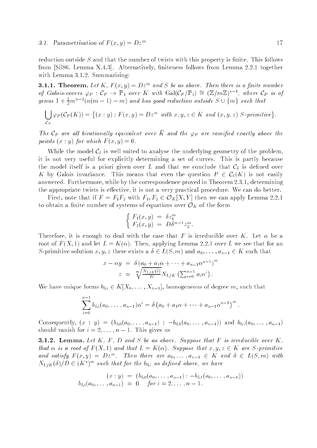### 3.1. Parametrisation of  $F(x, y) = Dz^m$

reduction outside  $S$  and that the number of twists with this property is finite. This follows from [Sil86, Lemma X.4.3]. Alternatively, finiteness follows from Lemma 2.2.1 together with Lemma 3.1.2. Summarising:

**3.1.1. Invortm.** Let  $K$ ,  $F(x, y) = Dz^{\cdots}$  and  $S$  be as above. Then there is a finite number of Galois-covers  $\varphi_P : C_P \to \mathbb{F}_1$  over K with Gal( $C_P/\mathbb{F}_1$ )  $\equiv$  ( $\mathbb{Z}/m\mathbb{Z}$ )<sup>2</sup>, where  $C_P$  is of genus  $1 + \frac{1}{2}m^2$   $\lceil n(m-1) - m \rceil$  and has good reduction outside  $S \cup \{m\}$  such that

$$
\bigcup_{\mathcal{C}_P} \varphi_P(\mathcal{C}_P(K)) = \left\{ (x:y) : F(x,y) = Dz^m \text{ with } x,y,z \in K \text{ and } (x,y,z) \text{ S-primitive} \right\}.
$$

The  $\mathfrak{C}_P$  are all birationally equivalent over  $\mathfrak{K}$  and the  $\varphi_P$  are ramified exactly above the points  $(x : y)$  for which  $F(x, y) = 0$ .

While the model  $\mathcal{C}_{\delta}$  is well suited to analyse the underlying geometry of the problem, it is not very useful for explicitly determining a set of curves. This is partly because the model itself is a priori given over L and that we conclude that  $\mathcal{C}_{\delta}$  is defined over K by Galois invariance. This means that even the question  $P \in C_{\delta}(K)$  is not easily answered. Furthermore, while by the correspondence proved in Theorem 2.3.1, determining the appropriate twists is effective, it is not a very practical procedure. We can do better.

First, note that if  $F = F_1F_2$  with  $F_1, F_2 \in \mathcal{O}_K[X, Y]$  then we can apply Lemma 2.2.1 to obtain a finite number of systems of equations over  $\mathcal{O}_K$  of the form

$$
\begin{cases}\nF_1(x,y) = \delta z_1^m \\
F_2(x,y) = D\delta^{m-1} z_2^m.\n\end{cases}
$$

Therefore, it is enough to deal with the case that F is irreducible over K. Let  $\alpha$  be a root of  $F(X, 1)$  and let  $L = K(\alpha)$ . Then, applying Lemma 2.2.1 over L we see that for an S-primitive solution x, y, z there exists a  $\delta \in L(S,m)$  and  $a_0, \ldots, a_{n-1} \in K$  such that

$$
x - \alpha y = \delta \left( a_0 + a_1 \alpha + \dots + a_{n-1} \alpha^{n-1} \right)^m
$$
  

$$
z = \sqrt[m]{\frac{N_{L/K}(\delta)}{D}} N_{L/K} \left( \sum_{i=0}^{n-1} a_i \alpha^i \right).
$$

We have unique forms  $b_{\delta,i} \in K[X_0, \ldots, X_{n-1}]$ , homogeneous of degree m, such that

$$
\sum_{i=0}^{n-1} b_{\delta,i}(a_0,\ldots,a_{n-1})\alpha^i = \delta (a_0 + a_1\alpha + \cdots + a_{n-1}\alpha^{n-1})^m
$$

Consequently,  $(x : y) = (b_{\delta,0}(a_0,\ldots,a_{n-1}) : -b_{\delta,1}(a_0,\ldots,a_{n-1}))$  and  $b_{\delta,i}(a_0,\ldots,a_{n-1})$ should vanish for  $i = 2, \ldots, n - 1$ . This gives us

**3.1.2. Lemma.** Let  $K$ ,  $F$ ,  $D$  and  $S$  be as above. Suppose that  $F$  is irreducible over  $K$ , that  $\alpha$  is a root of  $F(X,1)$  and that  $L = K(\alpha)$ . Suppose that  $x, y, z \in K$  are S-primitive and satisfy  $F(x,y) = Dz$  . Then there are  $a_0, \ldots, a_{n-1} \in K$  and  $o \in L(S,m)$  with  $\Delta N_{L/K}(o)/D \in (K^+)^m$  such that for the  $o_{\delta,i}$  as defined above, we have

$$
(x:y) = (b_{\delta,0}(a_0,\ldots,a_{n-1}):-b_{\delta,1}(a_0,\ldots,a_{n-1}))
$$
  

$$
b_{\delta,i}(a_0,\ldots,a_{n-1}) = 0 \quad \text{for } i = 2,\ldots,n-1.
$$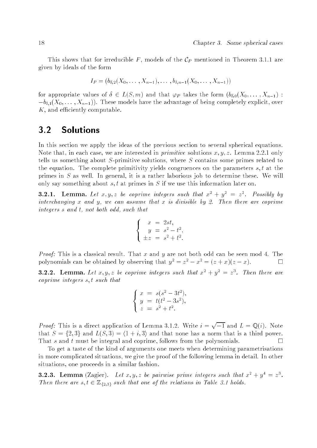This shows that for irreducible F, models of the  $\mathcal{C}_P$  mentioned in Theorem 3.1.1 are given by ideals of the form

$$
I_P = (b_{\delta,2}(X_0,\ldots,X_{n-1}),\ldots,b_{\delta,n-1}(X_0,\ldots,X_{n-1}))
$$

for appropriate values of  $\delta \in L(S,m)$  and that  $\varphi_P$  takes the form  $(b_{\delta,0}(X_0,\ldots,X_{n-1}))$ :  $-b_{\delta,1}(X_0,\ldots,X_{n-1})$ . These models have the advantage of being completely explicit, over  $K$ , and efficiently computable.

### 3.2 Solutions

In this section we apply the ideas of the previous section to several spherical equations. Note that, in each case, we are interested in *primitive* solutions  $x, y, z$ . Lemma 2.2.1 only tells us something about S-primitive solutions, where S contains some primes related to the equation. The complete primitivity yields congruences on the parameters  $s, t$  at the primes in S as well. In general, it is a rather laborious job to determine these. We will only say something about s, t at primes in S if we use this information later on.

**3.2.1.** Lemma. Let  $x, y, z$  be coprime integers such that  $x^2 + y^2 = z^2$ . Possibly by interchanging x and y, we can assume that x is divisible by 2. Then there are coprime integers s and t, not both odd, such that

$$
\begin{cases}\nx = 2st, \\
y = s^2 - t^2, \\
\pm z = s^2 + t^2.\n\end{cases}
$$

*Proof:* This is a classical result. That x and y are not both odd can be seen mod 4. The polynomials can be obtained by observing that  $y_1 = z_2 = x_1 \equiv (z + x)(z - x)$ .

 $3.2.2.$  Lemma. Let  $x,y,z$  be coprime integers such that  $x^- + y^-\equiv z^-$ . Then there are coprime integers s; t such that

$$
\begin{cases}\nx = s(s^2 - 3t^2), \\
y = t(t^2 - 3s^2), \\
z = s^2 + t^2.\n\end{cases}
$$

<u>para a para a para a para a para a para a para a para a para a para a para a para a para a para a para a para a para a para a para a para a para a para a para a para a para a para a para a para a para a para a para a para</u> 1 and 2 and 2 and 2 and 2 and 2 and 2 and 2 and 2 and 2 and 2 and 2 and 2 and 2 and 2 and 2 and 2 and 2 and 2 Proof: This is a direct application of Lemma 3.1.2. Write i = that  $S = \{2,3\}$  and  $L(S,3) = \langle 1 + i, 3 \rangle$  and that none has a norm that is a third power. That s and t must be integral and coprime, follows from the polynomials.  $\Box$ 

To get a taste of the kind of arguments one meets when determining parametrisations in more complicated situations, we give the proof of the following lemma in detail. In other situations, one proceeds in a similar fashion.

**3.2.3. Lemma** (Lagier). Let x, y, z be pairwise prime integers such that  $x + y = z$ . Then there are  $s, t \in \mathbb{Z}_{\{2,3\}}$  such that one of the relations in Table 3.1 holds.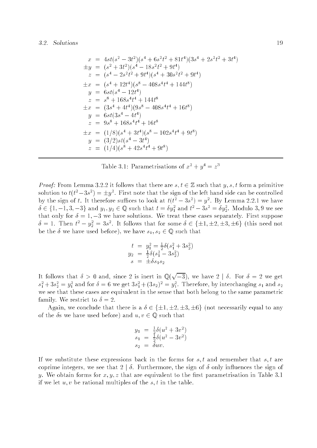#### 3.2. Solutions 19

$$
x = 4st(s^2 - 3t^2)(s^4 + 6s^2t^2 + 81t^4)(3s^4 + 2s^2t^2 + 3t^4)
$$
  
\n
$$
\pm y = (s^2 + 3t^2)(s^4 - 18s^2t^2 + 9t^4)
$$
  
\n
$$
z = (s^4 - 2s^2t^2 + 9t^4)(s^4 + 30s^2t^2 + 9t^4)
$$
  
\n
$$
\pm x = (s^4 + 12t^4)(s^8 - 408s^4t^4 + 144t^8)
$$
  
\n
$$
y = 6st(s^4 - 12t^4)
$$
  
\n
$$
z = s^8 + 168s^4t^4 + 144t^8
$$
  
\n
$$
\pm x = (3s^4 + 4t^4)(9s^8 - 408s^4t^4 + 16t^8)
$$
  
\n
$$
y = 6st(3s^4 - 4t^4)
$$
  
\n
$$
z = 9s^8 + 168s^4t^4 + 16t^8
$$
  
\n
$$
\pm x = (1/8)(s^4 + 3t^4)(s^8 - 102s^4t^4 + 9t^8)
$$
  
\n
$$
y = (3/2)st(s^4 - 3t^4)
$$
  
\n
$$
z = (1/4)(s^8 + 42s^4t^4 + 9t^8)
$$

Table 3.1: Parametrisations of  $x^2 + y^2 = z^2$ 

*Proof:* From Lemma 3.2.2 it follows that there are  $s, t \in \mathbb{Z}$  such that y, s, t form a primitive solution to  $t(t - 3s) = \pm y$  . First note that the sign of the left hand side can be controlled by the sign of t. It therefore suffices to look at  $t(t - 3s) = y$ . By Lemma 2.2.1 we have  $\alpha \in \{1, -1, 3, -3\}$  and  $y_1, y_2 \in \mathbb{Q}$  such that  $t = \alpha y_1^-$  and  $t^- - 3s^- = \alpha y_2^-.$  Modulo 3,9 we see that only for  $\delta = 1, -3$  we have solutions. We treat these cases separately. First suppose  $\varrho = 1$ . Then  $t^2 - y_2^2 = 3s^2$ . It follows that for some  $\varrho \in \{\pm 1, \pm 2, \pm 3, \pm 0\}$  (this need not be the  $\delta$  we have used before), we have  $s_1, s_2 \in \mathbb{Q}$  such that

$$
t = y_1^2 = \frac{1}{2}\delta(s_1^2 + 3s_2^2)
$$
  
\n
$$
y_2 = \frac{1}{2}\delta(s_1^2 - 3s_2^2)
$$
  
\n
$$
s = \pm \delta s_1 s_2
$$

It follows that > 0 and, since 2 is inert in Q( provided and the same 3), we have 2 <sup>j</sup> . For = 2 we get  $s_1 + s s_2 = y_1$  and for  $\sigma = 0$  we get  $s s_1 + (s s_2) = y_1$ . Therefore, by interchanging  $s_1$  and  $s_2$ we see that these cases are equivalent in the sense that both belong to the same parametric family. We restrict to  $\delta = 2$ .

Again, we conclude that there is a  $\delta \in \{\pm 1, \pm 2, \pm 3, \pm 6\}$  (not necessarily equal to any of the  $\delta s$  we have used before) and  $u, v \in \mathbb{Q}$  such that

$$
y_1 = \frac{1}{2}\delta(u^2 + 3v^2)
$$
  
\n
$$
s_1 = \frac{1}{2}\delta(u^2 - 3v^2)
$$
  
\n
$$
s_2 = \delta uv.
$$

If we substitute these expressions back in the forms for s, t and remember that s, t are coprime integers, we see that  $2 \mid \delta$ . Furthermore, the sign of  $\delta$  only influences the sign of y. We obtain forms for  $x, y, z$  that are equivalent to the first parametrisation in Table 3.1 if we let  $u, v$  be rational multiples of the  $s, t$  in the table.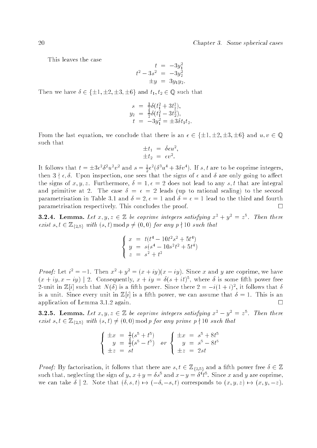20 Chapter 3. Some spherical cases

This leaves the case

$$
t = -3y_1^2
$$
  

$$
t^2 - 3s^2 = -3y_2^2
$$
  

$$
\pm y = 3y_1y_2.
$$

Then we have  $\delta \in {\pm 1, \pm 2, \pm 3, \pm 6}$  and  $t_1, t_2 \in \mathbb{Q}$  such that

$$
s = \frac{1}{2}\delta(t_1^2 + 3t_2^2),
$$
  
\n
$$
y_2 = \frac{1}{2}\delta(t_1^2 - 3t_2^2),
$$
  
\n
$$
t = -3y_1^2 = \pm 3\delta t_1 t_2.
$$

From the last equation, we conclude that there is an  $\epsilon \in \{\pm 1, \pm 2, \pm 3, \pm 6\}$  and  $u, v \in \mathbb{Q}$ such that

$$
\pm t_1 = \delta \epsilon u^2, \pm t_2 = \epsilon v^2.
$$

It follows that  $t = \pm 3e^{\epsilon} \sigma^2 u^2 v^2$  and  $s = \frac{1}{2} e^{\epsilon} (\sigma^2 u^2 + 3 \sigma v^2)$ . If s, t are to be coprime integers, then 3 -  $\alpha$  -  $\beta$  , and the personal size sees that the signs of a mode size  $\alpha$  are  $\alpha$  to and the a the signs of x, y, z. Furthermore,  $\delta = 1, \epsilon = 2$  does not lead to any s, t that are integral and primitive at 2. The case  $\delta = \epsilon = 2$  leads (up to rational scaling) to the second parametrisation in Table 3.1 and  $\delta = 2, \epsilon = 1$  and  $\delta = \epsilon = 1$  lead to the third and fourth parametrisation respectively. This concludes the proof.

**5.2.4. Lemma.** Let  $x, y, z \in \mathbb{Z}$  be coprime integers satisfying  $x^- + y^- = z^-$ . Then there exist s,  $t \in \mathbb{Z}_{\{2,5\}}$  with  $(s, t) \mod p \neq (0, 0)$  for any  $p \nmid 10$  such that

$$
\begin{cases}\nx = t(t^4 - 10t^2s^2 + 5t^4) \\
y = s(s^4 - 10s^2t^2 + 5t^4) \\
z = s^2 + t^2\n\end{cases}
$$

*Proof:* Let  $i^* = -1$ . Then  $x^* + y^* = (x + iy)(x - iy)$ . Since x and y are coprime, we have  $(x + iy, x - iy)$  | 2. Consequently,  $x + iy = o(s + u)$  , where o is some mith power free 2-unit in  $\mathbb{Z}[i]$  such that  $N(\theta)$  is a filth power. Since there  $z = -i(1 + i)$ , it follows that  $\theta$ is a unit. Since every unit in  $\mathbb{Z}[i]$  is a fifth power, we can assume that  $\delta = 1$ . This is an application of Lemma 3.1.2 again.

**5.2.5. Lemma.** Let  $x, y, z \in \mathbb{Z}$  be coprime integers satisfying  $x_z = y_z = z_z$  . Then there exist s,  $t \in \mathbb{Z}_{\{2,5\}}$  with  $(s, t) \neq (0, 0) \text{ mod } p$  for any prime  $p \nmid 10$  such that

$$
\begin{cases}\n\pm x = \frac{1}{2}(s^5 + t^5) \\
y = \frac{1}{2}(s^5 - t^5) \\
\pm z = st\n\end{cases}\n\quad or \quad\n\begin{cases}\n\pm x = s^5 + 8t^5 \\
y = s^5 - 8t^5 \\
\pm z = 2st\n\end{cases}
$$

*Proof:* By factorisation, it follows that there are  $s, t \in \mathbb{Z}_{\{2,5\}}$  and a fifth power free  $\delta \in \mathbb{Z}$ such that, neglecting the sign of  $y, x + y = os$  and  $x - y = o$  t. Since x and y are coprime, we can take  $\delta \mid 2$ . Note that  $(\delta, s, t) \mapsto (-\delta, -s, t)$  corresponds to  $(x, y, z) \mapsto (x, y, -z)$ .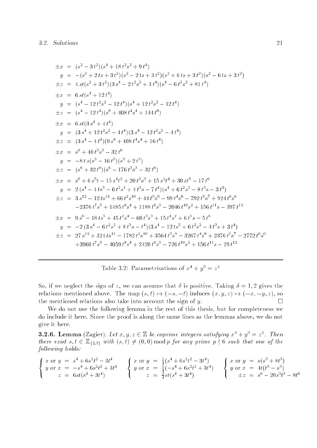$$
\pm x = (s^2 - 3t^2)(s^4 + 18t^2s^2 + 9t^4)
$$
\n
$$
y = -(s^2 + 2ts + 3t^2)(s^2 - 2ts + 3t^2)(s^2 + 6ts + 3t^2)(s^2 - 6ts + 3t^2)
$$
\n
$$
\pm z = 4st(s^2 + 3t^2)(3s^4 - 2t^2s^2 + 3t^4)(s^4 - 6t^2s^2 + 81t^4)
$$
\n
$$
\pm x = 6st(s^4 + 12t^4)
$$
\n
$$
y = (s^4 - 12t^3(s^2 + 408t^4s^4 + 14t^8)
$$
\n
$$
\pm z = (s^4 - 12t^4)(s^8 + 408t^4s^4 + 144t^8)
$$
\n
$$
y = (3s^4 + 12t^2s^2 - 4t^4)(3s^4 - 12t^2s^2 - 4t^4)
$$
\n
$$
\pm z = (3s^4 - 4t^4)(9s^8 + 408t^4s^4 + 16t^8)
$$
\n
$$
\pm x = s^6 + 40t^3s^3 - 32t^6
$$
\n
$$
y = -8ts(s^3 - 16t^3)(s^3 + 2t^3)
$$
\n
$$
\pm z = (s^6 + 32t^6)(s^6 - 176t^3s^3 - 32t^6)
$$
\n
$$
\pm x = s^6 + 6s^5t - 15s^4t^2 + 20t^3s^3 + 15s^2t^4 + 30st^5 - 17t^6
$$
\n
$$
y = 2(s^4 - 4ts^3 - 6t^2s^2 + 4t^3s - 7t^4)(s^4 + 6t^2s^2 - 8t^3s - 3t^4)
$$
\n
$$
\pm z = 3s^{12} - 12ts^{11} + 66t^2s^{10} + 44t^3s^9 - 99t^4s^8 - 792t^5s^7 + 924t^6s^6
$$
\n
$$
-2376t^7s^5 + 1485t^8s^4 + 1188t
$$

Table 3.2: Parametrisations of  $x^+ + y^+ = z^-$ 

So, if we neglect the sign of z, we can assume that  $\delta$  is positive. Taking  $\delta = 1, 2$  gives the relations mentioned above. The map  $(s, t) \mapsto (-s, -t)$  induces  $(x, y, z) \mapsto (-x, -y, z)$ , so the mentioned relations also take into account the sign of  $y$ .

We do not use the following lemma in the rest of this thesis, but for completeness we do include it here. Since the proof is along the same lines as the lemmas above, we do not give it here.

**3.2.6. Lemma** (Lagier). Let  $x, y, z \in \mathbb{Z}$  be coprime integers satisfying  $x^2 + y^3 = z^3$ . Then there exist  $s, t \in \mathbb{Z}_{\{2,3\}}$  with  $(s, t) \neq (0, 0) \text{ mod } p$  for any prime p  $\uparrow$  6 such that one of the  $following holds:$ 

$$
\begin{cases}\nx \text{ or } y = s^4 + 6s^2t^2 - 3t^4 \\
y \text{ or } x = -s^4 + 6s^2t^2 + 3t^4 \\
z = 6st(s^4 + 3t^4)\n\end{cases}\n\begin{cases}\nx \text{ or } y = \frac{1}{4}(s^4 + 6s^2t^2 - 3t^4) \\
y \text{ or } x = \frac{1}{4}(-s^4 + 6s^2t^2 + 3t^4) \\
z = \frac{3}{4}st(s^4 + 3t^4)\n\end{cases}\n\begin{cases}\nx \text{ or } y = s(s^3 + 8t^3) \\
y \text{ or } x = 4t(t^3 - s^3) \\
\pm z = s^6 - 20s^3t^3 - 8t^6\n\end{cases}
$$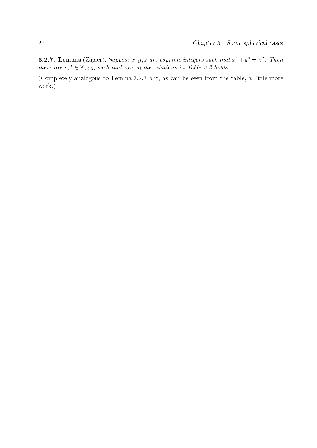**3.2.1. Lemma** (Lagier). Suppose x, y, z are coprime integers such that  $x +y = z$ . Then there are  $s, t \in \mathbb{Z}_{\{2,3\}}$  such that one of the relations in Table 3.2 holds.

(Completely analogous to Lemma 3.2.3 but, as can be seen from the table, a little more work.)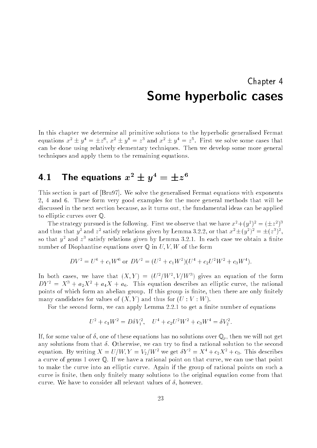# Chapter 4 Some hyperbolic cases

In this chapter we determine all primitive solutions to the hyperbolic generalised Fermat equations  $x^2 \pm y^2 = \pm z^2$ ,  $x^2 \pm y^2 = z^2$  and  $x^2 \pm y^2 = z^2$ . First we solve some cases that can be done using relatively elementary techniques. Then we develop some more general techniques and apply them to the remaining equations.

## 4.1 The equations  $x^2 \pm y^4 = \pm z^6$

This section is part of [Bru97]. We solve the generalised Fermat equations with exponents 2, 4 and 6. These form very good examples for the more general methods that will be discussed in the next section because, as it turns out, the fundamental ideas can be applied to elliptic curves over Q.

The strategy pursued is the following. First we observe that we have  $x^2 + (y^2)^2 = (\pm z^2)^2$ and thus that  $y^2$  and  $z^2$  satisfy relations given by Lemma 3.2.2, or that  $x^2 \pm (y^2)^2 = \pm (z^2)^2$ , so that  $y$  and  $z$  -satisfy relations given by Lemma 5.2.1. In each case we obtain a linite number of Diophantine equations over  $\mathbb Q$  in U, V, W of the form

$$
DV^2 = U^6 + c_1 W^6
$$
 or 
$$
DV^2 = (U^2 + c_1 W^2)(U^4 + c_2 U^2 W^2 + c_3 W^4).
$$

In both cases, we have that  $(X, Y) = (U_1/W_1, V_1/W_1)$  gives an equation of the form  $DY^2 = X^3 + a_2X^2 + a_4X + a_6$ . This equation describes an elliptic curve, the rational points of which form an abelian group. If this group is finite, then there are only finitely many candidates for values of  $(X, Y)$  and thus for  $(U: V: W)$ .

For the second form, we can apply Lemma  $2.2.1$  to get a finite number of equations

$$
U^2 + c_1 W^2 = D\delta V_1^2, \quad U^4 + c_2 U^2 W^2 + c_3 W^4 = \delta V_2^2.
$$

If, for some value of  $\delta$ , one of these equations has no solutions over  $\mathbb{Q}_n$ , then we will not get any solutions from that  $\delta$ . Otherwise, we can try to find a rational solution to the second equation. By writing  $X = U/W$ ,  $Y = V_2/W$  we get  $\sigma Y = X_1 + c_2X_2 + c_3$ . This describes a curve of genus 1 over Q. If we have a rational point on that curve, we can use that point to make the curve into an elliptic curve. Again if the group of rational points on such a curve is finite, then only finitely many solutions to the original equation come from that curve. We have to consider all relevant values of  $\delta$ , however.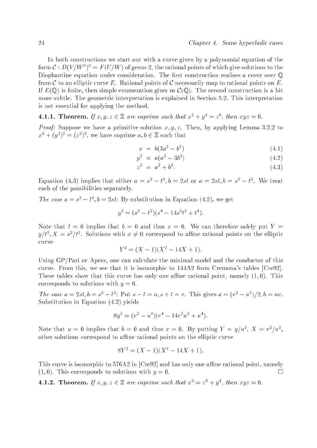In both constructions we start out with a curve given by a polynomial equation of the form  $C : D(V/W^{\perp})^{\perp} = T(U/W)$  of genus 2, the rational points of which give solutions to the Diophantine equation under consideration. The first construction realises a cover over  $\mathbb Q$ from C to an elliptic curve E. Rational points of C necessarily map to rational points on E. If  $E(\mathbb{Q})$  is finite, then simple enumeration gives us  $\mathcal{C}(\mathbb{Q})$ . The second construction is a bit more subtle. The geometric interpretation is explained in Section 5.2. This interpretation is not essential for applying the method.

**4.1.1.** Invertion,  $I(x, y, z \in \mathbb{Z}$  are coprime such that  $x + y = z$ , then  $xyz = 0$ .

*Proof:* Suppose we have a primitive solution  $x, y, z$ . Then, by applying Lemma 3.2.2 to  $x^- + (y^-)^- = (z^-)^-,$  we have coprime  $a, b \in \mathbb{Z}$  such that

$$
x = b(3a^2 - b^2) \tag{4.1}
$$

$$
y^2 = a(a^2 - 3b^2) \tag{4.2}
$$

$$
z^2 = a^2 + b^2. \tag{4.3}
$$

Equation (4.5) implies that either  $a = s - t$ ,  $b = 2st$  or  $a = 2st$ ,  $b = s - t$ . We treat each of the possibilities separately.

The case  $a = s^- - t^-$ ,  $b = 2st$ : By substitution in Equation (4.2), we get

$$
y^2 = (s^2 - t^2)(s^4 - 14s^2t^2 + t^4).
$$

Note that  $t = 0$  implies that  $b = 0$  and thus  $x = 0$ . We can therefore safely put  $Y =$  $y/t$ ,  $\Lambda = s^*/t^*$ . Solutions with  $x \neq 0$  correspond to alline rational points on the elliptic curve

$$
Y^2 = (X - 1)(X^2 - 14X + 1).
$$

Using GP/Pari or Apecs, one can calculate the minimal model and the conductor of this curve. From this, we see that it is isomorphic to 144A2 from Cremona's tables [Cre92]. These tables show that this curve has only one affine rational point, namely  $(1,0)$ . This corresponds to solutions with  $y = 0$ .

The case  $a = zst$ ,  $b = s - t$ : Fut  $s - t = u$ ,  $s + t = v$ . This gives  $a = (v - u)/z$ ,  $b = uv$ . Substitution in Equation (4.2) yields

$$
8y^2 = (v^2 - u^2)(v^4 - 14v^2u^2 + u^4).
$$

Note that  $u = 0$  implies that  $v = 0$  and thus  $x = 0$ . By putting  $Y = y/u$ ,  $A = v/u$ , other solutions correspond to affine rational points on the elliptic curve

$$
8Y^2 = (X - 1)(X^2 - 14X + 1).
$$

This curve is isomorphic to  $576A2$  in  $[Cre92]$  and has only one affine rational point, namely  $(1, 0)$ . This corresponds to solutions with  $y = 0$ .  $\Box$ 

**4.1.4. In eorem.** If  $x, y, z \in \mathbb{Z}$  are coprime such that  $x^2 = z^2 + y^2$ , then  $xyz = 0$ .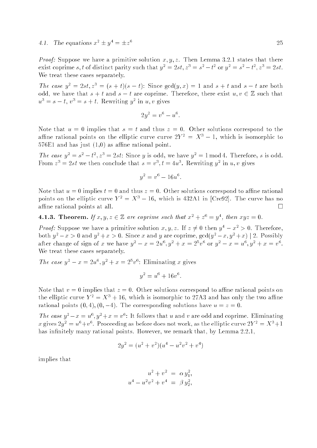*Proof:* Suppose we have a primitive solution  $x, y, z$ . Then Lemma 3.2.1 states that there exist coprime s, t of distinct parity such that  $y^{\perp} = 2st$ ,  $z^{\perp} = s^{\perp} - t^{\perp}$  or  $y^{\perp} = s^{\perp} - t^{\perp}, z^{\perp} = 2st$ . We treat these cases separately.

The case  $y^2 = 2st, z^3 = (s + t)(s - t)$ : Since  $gcd(y, x) = 1$  and  $s + t$  and  $s - t$  are both odd, we have that  $s + t$  and  $s - t$  are coprime. Therefore, there exist  $u, v \in \mathbb{Z}$  such that  $u^{\scriptscriptstyle -}=s-t, v^{\scriptscriptstyle -}=s+t.$  Rewriting y<sup>-</sup> in u, v gives

$$
2y^2 = v^6 - u^6.
$$

Note that  $u = 0$  implies that  $s = t$  and thus  $z = 0$ . Other solutions correspond to the affine rational points on the elliptic curve curve  $2Y^2 = X^3 - 1$ , which is isomorphic to  $576E1$  and has just  $(1,0)$  as affine rational point.

The case  $y^2 = s^2 - t^2$ ,  $z^2 = 2st$ : Since y is odd, we have  $y^2 = 1$  mod 4. Therefore, s is odd. From  $z^* = z s t$  we then conclude that  $s = v^*, t = 4u^*$ . Rewriting  $y^*$  in  $u, v$  gives

$$
y^2 = v^6 - 16u^6.
$$

Note that  $u = 0$  implies  $t = 0$  and thus  $z = 0$ . Other solutions correspond to affine rational points on the elliptic curve  $Y^2 = X^3 - 16$ , which is 432A1 in [Cre92]. The curve has no affine rational points at all.  $\square$ 

**4.1.3. Incorem.** If  $x, y, z \in \mathbb{Z}$  are coprime such that  $x^- + z^- = y^+$ , then  $xyz = 0$ .

*Proof:* Suppose we have a primitive solution  $x, y, z$ . If  $z \neq 0$  then  $y^4 - x^2 > 0$ . Therefore, both  $y^2 - x > 0$  and  $y^2 + x > 0$ . Since x and y are coprime,  $gcd(y^2 - x, y^2 + x)$  | 2. Possibly after change of sign of x we have  $y^2 - x = 2u^2$ ,  $y^2 + x = 2^2v^2$  or  $y^2 - x = u^2$ ,  $y^2 + x = v^2$ . We treat these cases separately.

The case  $y - x = 2u$ ,  $y + x = 2v$ : Eliminating x gives

$$
y^2 = u^6 + 16v^6
$$

Note that  $v = 0$  implies that  $z = 0$ . Other solutions correspond to affine rational points on the elliptic curve  $Y^2 = X^3 + 16$ , which is isomorphic to 27A3 and has only the two affine rational points  $(0, 4), (0, -4)$ . The corresponding solutions have  $u = z = 0$ .

The case  $y_0 - x = u_0, y_0 + x = v_0$ : It follows that u and v are odd and coprime. Eliminating  $x$  gives  $zu_z = u_0 + v_0$  . Proceeding as before does not work, as the elliptic curve  $2Y_z = X_z + 1$ has infinitely many rational points. However, we remark that, by Lemma 2.2.1,

$$
2y^2 = (u^2 + v^2)(u^4 - u^2v^2 + v^4)
$$

implies that

$$
u^{2} + v^{2} = \alpha y_{1}^{2},
$$
  

$$
u^{4} - u^{2}v^{2} + v^{4} = \beta y_{2}^{2},
$$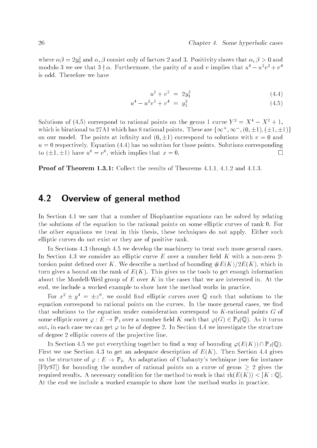where  $\alpha \rho = z y_0$  and  $\alpha, \rho$  consist only of factors 2 and 3. Positivity shows that  $\alpha, \rho > 0$  and modulo  $3$  we see that  $3$  1  $\alpha$ . Furthermore, the parity of  $u$  and  $v$  implies that  $u^{\pm} = u^{\mp}v^{\mp} + v^{\mp}$ is odd. Therefore we have

$$
u^2 + v^2 = 2y_1^2 \tag{4.4}
$$

$$
u^4 - u^2v^2 + v^4 = y_2^2 \tag{4.5}
$$

Solutions of (4.5) correspond to rational points on the genus 1 curve  $Y^2 = X^4 - X^2 + 1$ , which is birational to 27A1 which has 8 rational points. These are  $\{\infty, +\infty, +0, \pm 1\}, \{\pm 1\}$ on our model. The points at infinity and  $(0, \pm 1)$  correspond to solutions with  $v = 0$  and  $u = 0$  respectively. Equation (4.4) has no solution for those points. Solutions corresponding  $\Box$ to ( $\pm 1, \pm 1$ ) have  $u_0 = v_0$ , which implies that  $x = 0$ .

**Proof of Theorem 1.3.1:** Collect the results of Theorems 4.1.1, 4.1.2 and 4.1.3.

#### Overview of general method  $4.2$

In Section 4.1 we saw that a number of Diophantine equations can be solved by relating the solutions of the equation to the rational points on some elliptic curves of rank 0. For the other equations we treat in this thesis, these techniques do not apply. Either such elliptic curves do not exist or they are of positive rank.

In Sections 4.3 through 4.5 we develop the machinery to treat such more general cases. In Section 4.3 we consider an elliptic curve  $E$  over a number field  $K$  with a non-zero 2torsion point defined over K. We describe a method of bounding  $\#E(K)/2E(K)$ , which in turn gives a bound on the rank of  $E(K)$ . This gives us the tools to get enough information about the Mordell-Weil group of  $E$  over  $K$  in the cases that we are interested in. At the end, we include a worked example to show how the method works in practice.

For  $x \pm y = \pm z$  , we could find emptic curves over  $\cup$  such that solutions to the equation correspond to rational points on the curves. In the more general cases, we find that solutions to the equation under consideration correspond to  $K$ -rational points  $G$  of some elliptic cover  $\varphi : E \to \mathbb{P}_1$  over a number field K such that  $\varphi(G) \in \mathbb{P}_1(\mathbb{Q})$ . As it turns out, in each case we can get  $\varphi$  to be of degree 2. In Section 4.4 we investigate the structure of degree 2 elliptic covers of the projective line.

In Section 4.5 we put everything together to find a way of bounding  $\varphi(E(K)) \cap \mathbb{P}_1(\mathbb{Q})$ . First we use Section 4.3 to get an adequate description of  $E(K)$ . Then Section 4.4 gives us the structure of  $\varphi : E \to \mathbb{P}_1$ . An adaptation of Chabauty's technique (see for instance  $[Fly97]$  for bounding the number of rational points on a curve of genus  $\geq 2$  gives the required results. A necessary condition for the method to work is that  $rk(E(K)) < [K:\mathbb{Q}]$ . At the end we include a worked example to show how the method works in practice.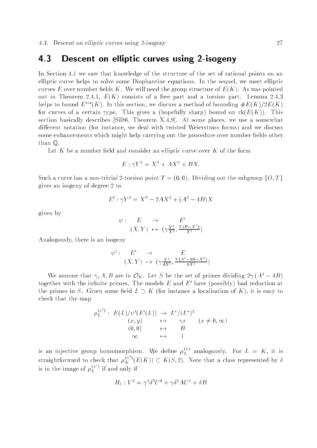#### $4.3$ Descent on elliptic curves using 2-isogeny

In Section 4.1 we saw that knowledge of the structure of the set of rational points on an elliptic curve helps to solve some Diophantine equations. In the sequel, we meet elliptic curves E over number fields K. We will need the group structure of  $E(K)$ . As was pointed out in Theorem 2.4.1,  $E(K)$  consists of a free part and a torsion part. Lemma 2.4.3 helps to bound  $E^{\text{tor}}(K)$ . In this section, we discuss a method of bounding  $\#E(K)/2E(K)$ for curves of a certain type. This gives a (hopefully sharp) bound on  $rk(E(K))$ . This section basically describes [Sil86, Theorem X.4.9]. At some places, we use a somewhat different notation (for instance, we deal with twisted Weierstrass forms) and we discuss some enhancements which might help carrying out the procedure over number fields other than Q.

Let K be a number field and consider an elliptic curve over  $K$  of the form

$$
E: \gamma Y^2 = X^3 + AX^2 + BX.
$$

Such a curve has a non-trivial 2-torsion point  $T = (0,0)$ . Dividing out the subgroup  $\{O, T\}$ gives an isogeny of degree 2 to

$$
E' : \gamma Y^2 = X^3 - 2AX^2 + (A^2 - 4B)X
$$

given by

$$
\psi : E \rightarrow E'
$$
  

$$
(X,Y) \mapsto (\gamma \frac{Y^2}{X^2}, \frac{Y(B-X^2)}{X^2})
$$

Analogously, there is an isogeny

$$
\begin{array}{rcl}\n\psi':&E' & \rightarrow & E \\
(X,Y) & \mapsto & \left(\gamma \frac{Y^2}{4X^2}, \frac{Y(A^2 - 4B - X^2)}{8X^2}\right)\n\end{array}
$$

We assume that  $\gamma$ , A, B are in  $\mathcal{O}_K$ . Let S be the set of primes dividing  $2\gamma(A^2 - 4B)$ together with the infinite primes. The models  $E$  and  $E$  -have (possibly) bad reduction at the primes in S. Given some field  $L \supset K$  (for instance a localisation of K), it is easy to check that the map

$$
\mu_L^{(\psi')} : E(L)/\psi'(E'(L)) \rightarrow L^*/(L^*)^2
$$
  
\n
$$
\begin{array}{ccc}\n(x,y) & \mapsto & \gamma x \\
(0,0) & \mapsto & B \\
\infty & \mapsto & 1\n\end{array} (x \neq 0, \infty)
$$

is an injective group homomorphism. We define  $\mu_L^{r,\prime}$  analogously. For  $L~=~K,$  it is straightforward to check that  $\mu_K^{\tiny{(W)}}(E(K))\subset K(S,2).$  Note that a class represented by  $\delta$ is in the image of  $\mu_L^{(\psi)}$  if and only if

$$
H_{\delta}: V^2 = \gamma^2 \delta^3 U^4 + \gamma \delta^2 A U^2 + \delta B
$$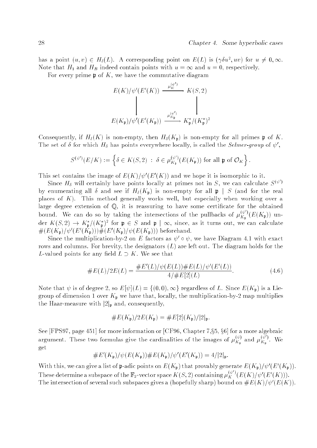has a point  $(u, v) \in H_{\delta}(L)$ . A corresponding point on  $E(L)$  is  $(\gamma \sigma u, uv)$  for  $u \neq 0, \infty$ . Note that  $H_1$  and  $H_B$  indeed contain points with  $u = \infty$  and  $u = 0$ , respectively.

For every prime  $\mathfrak p$  of K, we have the commutative diagram

$$
E(K)/\psi'(E'(K)) \xrightarrow{\mu_K^{(\psi')}} K(S,2)
$$
  
\n
$$
\downarrow \qquad \qquad \downarrow
$$
  
\n
$$
E(K_{\mathfrak{p}})/\psi'(E'(K_{\mathfrak{p}})) \xrightarrow{\mu_{K_{\mathfrak{p}}}^{(\psi')}} K_{\mathfrak{p}}^*/(K_{\mathfrak{p}}^*)^2
$$

Consequently, if  $H_{\delta}(K)$  is non-empty, then  $H_{\delta}(K_p)$  is non-empty for all primes p of K. The set of  $\sigma$  for which  $H_{\delta}$  has points everywhere locally, is called the Selmer-group of  $\psi$ ,

$$
S^{(\psi')}(E/K) := \left\{ \delta \in K(S,2) \ : \ \delta \in \mu_{K_{\mathfrak{p}}}^{(\psi')}(E(K_{\mathfrak{p}})) \text{ for all } \mathfrak{p} \text{ of } \mathcal{O}_K \right\}.
$$

This set contains the image of  $E(K)/\psi(L(K))$  and we hope it is isomorphic to it.

Since  $H_{\delta}$  will certainly have points locally at primes not in S, we can calculate  $S^{(\psi)}$ by enumerating all  $\delta$  and see if  $H_{\delta}(K_{\mathfrak{p}})$  is non-empty for all  $\mathfrak{p}$  | S (and for the real places of  $K$ ). This method generally works well, but especially when working over a large degree extension of  $Q$ , it is reassuring to have some certificate for the obtained bound. We can do so by taking the intersections of the pullbacks of  $\mu_k^{\langle \psi \rangle}$  $K_{\mathfrak{p}}$   $\longrightarrow$   $\qquad \qquad$   $\qquad \qquad$   $\qquad \qquad$   $\qquad \qquad$   $\qquad \qquad$   $\qquad \qquad$   $\qquad \qquad$   $\qquad \qquad$   $\qquad \qquad$   $\qquad \qquad$   $\qquad \qquad$   $\qquad \qquad$   $\qquad \qquad$   $\qquad \qquad$   $\qquad \qquad$   $\qquad \qquad$   $\qquad \qquad$   $\qquad \qquad$   $\qquad \qquad$   $\qquad$   $\qquad$   $\qquad$   $\qquad$   $\qquad$   $\q$ der  $K(S, Z) \to K_{\mathfrak{g}}/(\Lambda_{\mathfrak{g}})$  for  $\mathfrak{p} \in S$  and  $\mathfrak{p} \mid \infty$ , since, as it turns out, we can calculate  $\#(E(\Lambda_{\mathfrak{p}})/\psi(E(\Lambda_{\mathfrak{p}})))\#(E(\Lambda_{\mathfrak{p}})/\psi(E(\Lambda_{\mathfrak{p}})))$  beforehand.

Since the multiplication-by-2 on E factors as  $\psi \circ \psi$ , we have Diagram 4.1 with exact rows and columns. For brevity, the designators  $(L)$  are left out. The diagram holds for the L-valued points for any field  $L \supset K$ . We see that

$$
#E(L)/2E(L) = \frac{\#E'(L)/\psi(E(L))\#E(L)/\psi'(E'(L))}{4/\#E[2](L)}.
$$
\n(4.6)

Note that  $\psi$  is of degree 2, so  $E[\psi](L) = \{(0,0), \infty\}$  regardless of L. Since  $E(K_p)$  is a Liegroup of dimension 1 over  $K_{\mathfrak{p}}$  we have that, locally, the multiplication-by-2 map multiplies the Haar-measure with  $|2|_{p}$  and, consequently,

$$
\#E(K_{\mathfrak{p}})/2E(K_{\mathfrak{p}})=\#E[2](K_{\mathfrak{p}})/|2|_{\mathfrak{p}}.
$$

See [FPS97, page 451] for more information or [CF96, Chapter 7,  $\S5$ ,  $\S6$ ] for a more algebraic argument. These two formulas give the cardinalities of the images of  $\mu_{\kappa}^{\vee}{}'$  $\mu_{K_{\mathbf{n}}}^{(\psi)}$  and  $\mu_{K_{\mathbf{n}}}^{(\psi)}$  $R_{\rm n}$  . We will be a set of  $\sim$ get

$$
\#E'(K_{\mathfrak{p}})/\psi(E(K_{\mathfrak{p}}))\#E(K_{\mathfrak{p}})/\psi'(E'(K_{\mathfrak{p}}))=4/|2|_{\mathfrak{p}}.
$$

With this, we can give a list of p-adic points on  $E(\Lambda_p)$  that provably generate  $E(\Lambda_p)/\psi(E(\Lambda_p))$ . These determine a subspace of the  $\mathbb{F}_2$ -vector space  $K(S, 2)$  containing  $\mu_K^{(\psi\,\,\prime}(E(K)/\psi'(E'(K))).$ The intersection of several such subspaces gives a (hopefully sharp) bound on  $\#E(K)/\psi$  (E(K)).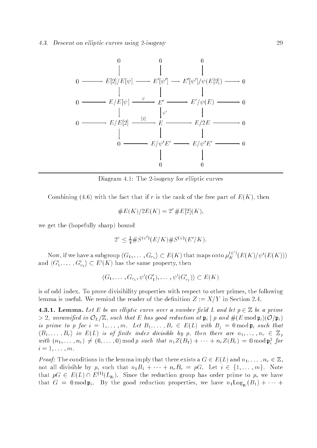

Diagram 4.1: The 2-isogeny for elliptic curves

Combining (4.6) with the fact that if r is the rank of the free part of  $E(K)$ , then

$$
\#E(K)/2E(K) = 2^r \#E[2](K),
$$

we get the (hopefully sharp) bound

$$
2^r \le \frac{1}{4} \# S^{(\psi')}(E/K) \# S^{(\psi)}(E'/K).
$$

 $\mathcal{L}^{\mathcal{L}}$  , if we have a subgroup  $\mathcal{L}^{\mathcal{L}}$  in the map of  $\mathcal{L}^{\mathcal{L}}$  in the map on that maps on the map of  $\mathcal{L}^{\mathcal{L}}$  $\chi^{(\psi)}_K(E(K)/\psi'(E(K)))$ and  $\langle \sigma_1, \ldots, \sigma_{r_2} \rangle \subset E$  (K) has the same property, then

$$
\langle G_1, \ldots, G_{r_1}, \psi'(G'_1), \ldots, \psi'(G'_{r_2}) \rangle \subset E(K)
$$

is of odd index. To prove divisibility properties with respect to other primes, the following lemma is useful. We remind the reader of the definition  $Z := X/Y$  in Section 2.4.

**4.3.1. Lemma.** Let E be an elliptic curve over a number field L and let  $p \in \mathbb{Z}$  be a prime  $> 2$ , unramified in  $\mathcal{O}_L/\mathbb{Z}$ , such that E has good reduction at  $\mathfrak{p}_i \mid p$  and  $\#(E \mod \mathfrak{p}_i)(\mathcal{O}/\mathfrak{p}_i)$ is prime to p for  $i = 1, \ldots, m$ . Let  $B_1, \ldots, B_r \in E(L)$  with  $B_j = 0 \mod \mathfrak{p}_i$  such that  $\langle B_1,\ldots,B_r\rangle$  in  $E(L)$  is of finite index divisible by p, then there are  $n_1,\ldots,n_r \in \mathbb{Z}_p$ with  $(n_1,\ldots,n_r) \neq (0,\ldots,0)$  mod p such that  $n_1\angle(D_1) + \cdots + n_r\angle(D_r) = 0$  mod  $\mathfrak{p}_i$  for  $i=1,\ldots,m$ .

*Proof:* The conditions in the lemma imply that there exists a  $G \in E(L)$  and  $n_1, \ldots, n_r \in \mathbb{Z}$ , not all divisible by p, such that  $n_1B_1 + \cdots + n_rB_r = pG$ . Let  $i \in \{1, \ldots, m\}$ . Note that  $pG \in E(L) \cap E^{(1)}(L_{\mathfrak{p}_i})$ . Since the reduction group has order prime to p, we have that  $G = 0$  model  $\mu_i$  and  $G = 0$  can be defined properties, we have n1- $\sigma p_i$  ( $\sigma 1$ ) +  $\sigma$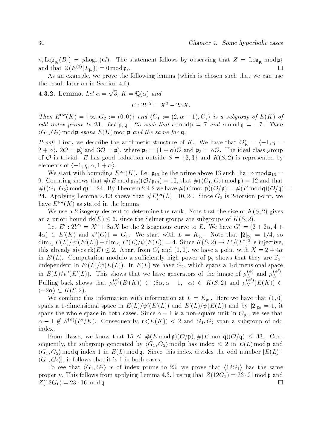$n_r \log_{\mathfrak{p}_i}(D_r) = p \log_{\mathfrak{p}_i}(G)$ . The statement follows by observing that  $Z = \log_{\mathfrak{p}_i} \text{mod } \mathfrak{p}_i$ and that  $Z(E^{(1)}(L_n)) = 0 \mod \mathfrak{p}_i$ .

As an example, we prove the following lemma (which is chosen such that we can use the result later on in Section 4.6).

<u>provided and the second second and the second second second and second second second second second second second second second second second second second second second second second second second second second second sec</u> 3, K = Q() and

$$
E: 2Y^2 = X^3 - 2\alpha X
$$

Then  $E^{tor}(K) = {\infty, G_2 := (0, 0)}$  and  $\langle G_1 := (2, \alpha - 1), G_2 \rangle$  is a subgroup of  $E(K)$  of odd index prime to 23. Let  $\mathfrak{p}, \mathfrak{q} \mid 23$  such that  $\alpha \mod \mathfrak{p} = 7$  and  $\alpha \mod \mathfrak{q} = -7$ . Then  $\langle G_1, G_2 \rangle$  mod p spans  $E(K)$  mod p and the same for q.

*Proof:* First, we describe the arithmetic structure of  $\Lambda$ . We have that  $\mathcal{O}_K = \langle -1, \eta \rangle =$  $2 + \alpha$ ),  $2\mathcal{O} = \mathfrak{p}_2$  and  $3\mathcal{O} = \mathfrak{p}_3$ , where  $\mathfrak{p}_2 = (1 + \alpha)\mathcal{O}$  and  $\mathfrak{p}_3 = \alpha\mathcal{O}$ . The ideal class group of O is trivial. E has good reduction outside  $S = \{2,3\}$  and  $K(S, 2)$  is represented by elements of  $\langle -1, \eta, \alpha, 1 + \alpha \rangle$ .

We start with bounding  $E^{\text{tor}}(K)$ . Let  $\mathfrak{p}_{13}$  be the prime above 13 such that  $\alpha$  mod  $\mathfrak{p}_{13} =$ 9. Counting shows that  $\#(E \mod \mathfrak{p}_{13})(\mathcal{O}/\mathfrak{p}_{13}) = 10$ , that  $\#(\langle G_1, G_2 \rangle \mod \mathfrak{p}) = 12$  and that  $\#(\langle G_1, G_2 \rangle \text{ mod } \mathfrak{q} ) = 24.$  By Theorem 2.4.2 we have  $\#(E \text{ mod } \mathfrak{p})(\mathcal{O}/\mathfrak{p}) = \#(E \text{ mod } \mathfrak{q})(\mathcal{O}/\mathfrak{q}) =$ 24. Applying Lemma 2.4.3 shows that  $\#E_2^{\sim}(L)$  | 10, 24. Since G<sub>2</sub> is 2-torsion point, we have  $E^{\text{tor}}(K)$  as stated in the lemma.

We use a 2-isogeny descent to determine the rank. Note that the size of  $K(S, 2)$  gives an a priori bound  $rk(E) \leq 6$ , since the Selmer groups are subgroups of  $K(S, 2)$ .

Let  $E$ :  $2Y = X^2 + \delta \alpha X$  be the 2-isogenous curve to E. We have  $G_1 = (2 + 2\alpha, 4 + 1)$  $4\alpha$ )  $\in$  E (K) and  $\psi$  ( $\sigma_1$ ) =  $\sigma_1$ . We start with  $L = K_{\mathfrak{p}_2}$ . Note that  $|Z|_{\mathfrak{p}_2} = 1/4$ , so  $\dim_{\mathbb{F}_2} E(L)/\psi$  (E (L)) +  $\dim_{\mathbb{F}_2} E(L)/\psi(E(L)) = 4$ . Since  $K(S, 2) \to L$  /(L) is injective, this already gives  $\text{rk}(E) \leq 2$ . Apart from  $G_1$  and  $(0,0)$ , we have a point with  $X = 2 + 4\alpha$ in  $E\left(L\right)$ . Computation modulo a sufficiently high power of  $\mathfrak{p}_{2}$  shows that they are  $\mathbb{r}_{2}$ independent in  $E\left(L\right)/\psi(E(L))$ . In  $E(L)$  we have  $G_2,$  which spans a 1-dimensional space in  $E(L)/\psi'(E'(L))$ . This shows that we have generators of the image of  $\mu_L^{r}{}'$  and  $\mu$  $L^{ \psi}$  ' . Pulling back shows that  $\mu_K^{(\psi)}(E'(K)) \subset \langle 8\alpha, \alpha-1, -\alpha \rangle \subset K(S, 2)$  and  $\mu_K^{(\psi)}(E(K)) \subset$  $\langle -2\alpha \rangle \subset K(S, 2).$ 

where this information with information with information  $\mu$ 3 . Here we have that  $(\sqrt{-1})^2$  / spans a 1-dimensional space in  $E(L)/\psi(E(L))$  and  $E(L)/\psi(E(L))$  and by  $|Z|_{p_3} = 1$ , it spans the whole space in both cases. Since  $\frac{1}{1}$  is a non-square unit in Op3 is a non-square unit in Op3 is a non-square unit in Op3 is a non-square unit in Op3 is a non-square unit in Op3 is a non-square unit in Op3  $\alpha = 1 \notin S^{(+)}(E/K)$ . Consequently, rk( $E(K)$ )  $\leq$  2 and  $G_1, G_2$  span a subgroup of odd index.

From Hasse, we know that  $15 \leq #(E \mod \mathfrak{p})(\mathcal{O}/\mathfrak{p}), #(E \mod \mathfrak{q})(\mathcal{O}/\mathfrak{q}) \leq 33.$  Consequently, the subgroup generated by  $\langle G_1, G_2 \rangle$  mod p has index  $\leq 2$  in  $E(L)$  mod p and  $\langle G_1, G_2 \rangle$  mod q index 1 in  $E(L)$  mod q. Since this index divides the odd number  $E(L)$ :  $\langle G_1, G_2 \rangle$ , it follows that it is 1 in both cases.

To see that  $\langle G_1, G_2 \rangle$  is of index prime to 23, we prove that  $\langle 12G_1 \rangle$  has the same property. This follows from applying Lemma 4.3.1 using that  $Z(12G_1) = 23 \cdot 21 \mod p$  and  $Z(12G_1) = 23 \cdot 16 \mod{q}$ .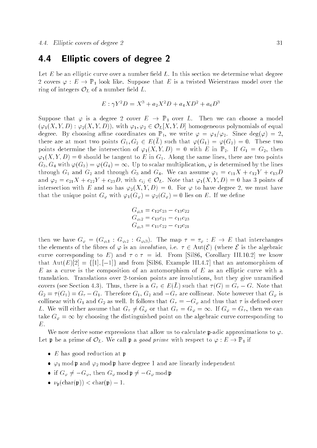#### **Elliptic covers of degree 2**  $4.4$

Let  $E$  be an elliptic curve over a number field  $L$ . In this section we determine what degree 2 covers  $\varphi : E \to \mathbb{P}_1$  look like. Suppose that E is a twisted Weierstrass model over the ring of integers  $\mathcal{O}_L$  of a number field L.

$$
E: \gamma Y^2 D = X^3 + a_2 X^2 D + a_4 X D^2 + a_6 D^3
$$

Suppose that  $\varphi$  is a degree 2 cover  $E \to \mathbb{P}_1$  over L. Then we can choose a model  $(\varphi_1(X, Y, D) : \varphi_2(X, Y, D))$ , with  $\varphi_1, \varphi_2 \in \mathcal{O}_L[X, Y, D]$  homogeneous polynomials of equal degree. By choosing affine coordinates on  $\mathbb{P}_1$ , we write  $\varphi = \varphi_1/\varphi_2$ . Since  $\deg(\varphi) = 2$ , there are at most two points  $G_1, G_2 \in E(L)$  such that  $\varphi(G_1) = \varphi(G_2) = 0.$  These two points determine the intersection of  $\varphi_1(X, Y, D) = 0$  with E in  $\mathbb{P}_2$ . If  $G_1 = G_2$ , then  $\varphi_1(X, Y, D) = 0$  should be tangent to E in  $G_1$ . Along the same lines, there are two points  $G_3, G_4$  with  $\varphi(G_3) = \varphi(G_4) = \infty$ . Up to scalar multiplication,  $\varphi$  is determined by the lines through  $G_1$  and  $G_2$  and through  $G_3$  and  $G_4$ . We can assume  $\varphi_1 = c_{11}X + c_{12}Y + c_{13}D$ and  $\varphi_2 = c_{21}X + c_{22}Y + c_{23}D$ , with  $c_{ij} \in \mathcal{O}_L$ . Note that  $\varphi_1(X, Y, D) = 0$  has 3 points of intersection with E and so has  $\varphi_2(X, Y, D) = 0$ . For  $\varphi$  to have degree 2, we must have that the unique point  $G_{\varphi}$  with  $\varphi_1(G_{\varphi}) = \varphi_2(G_{\varphi}) = 0$  lies on E. If we define

$$
G_{\varphi,1} = c_{12}c_{23} - c_{13}c_{22}
$$
  
\n
$$
G_{\varphi,2} = c_{13}c_{21} - c_{11}c_{23}
$$
  
\n
$$
G_{\varphi,3} = c_{11}c_{22} - c_{12}c_{21}
$$

then we have  $G_{\varphi} = (G_{\varphi,1} : G_{\varphi,2} : G_{\varphi,3})$ . The map  $\tau = \tau_{\varphi} : E \to E$  that interchanges the elements of the fibres of  $\varphi$  is an *involution*, i.e.  $\tau \in \text{Aut}(\mathcal{E})$  (where  $\mathcal E$  is the algebraic curve corresponding to E) and  $\tau \circ \tau = id$ . From [Sil86, Corollary III.10.2] we know that  $Aut(E)[2] = \{ [1], [-1] \}$  and from [Sil86, Example III.4.7] that an automorphism of  $E$  as a curve is the composition of an automorphism of  $E$  as an elliptic curve with a translation. Translations over 2-torsion points are involutions, but they give unramied covers (see Section 4.9). Thus, there is a  $G_{\tau} \in E(L)$  such that  $I(G) = G_{\tau} = G$ . Note that  $G_2 = \tau(G_1) = G_{\tau} - G_1$ . Therefore  $G_1, G_2$  and  $-G_{\tau}$  are collinear. Note however that  $G_{\varphi}$  is collinear with  $G_1$  and  $G_2$  as well. It follows that  $G_{\tau} = -G_{\varphi}$  and thus that  $\tau$  is defined over L. We will either assume that  $G_{\tau} \neq G_{\varphi}$  or that  $G_{\tau} = G_{\varphi} = \infty$ . If  $G_{\varphi} = G_{\tau}$ , then we can take  $G_{\varphi} = \infty$  by choosing the distinguished point on the algebraic curve corresponding to E.

We now derive some expressions that allow us to calculate **p**-adic approximations to  $\varphi$ . Let **p** be a prime of  $\mathcal{O}_L$ . We call **p** a good prime with respect to  $\varphi : E \to \mathbb{P}_1$  if

- $\bullet$  E has good reduction at p
- $\bullet$   $\varphi_1$  mod p and  $\varphi_2$  mod p have degree 1 and are linearly independent
- if  $G_{\varphi} \neq -G_{\varphi}$ , then  $G_{\varphi} \mod \mathfrak{p} \neq -G_{\varphi} \mod \mathfrak{p}$
- $\nu_{\mathfrak{p}}(\text{char}(\mathfrak{p})) < \text{char}(\mathfrak{p}) 1.$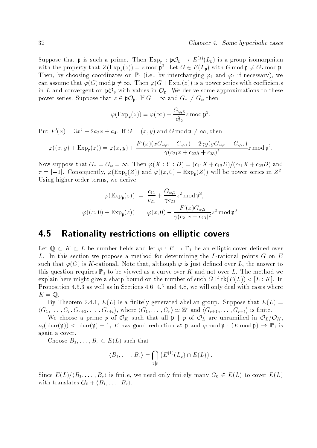Suppose that **p** is such a prime. Then  $Exp_p : p\mathcal{O}_p \to E^{(1)}(L_p)$  is a group isomorphism with the property that  $Z(\text{Exp}_p(z)) = z \mod p^2$ . Let  $G \in E(L_p)$  with  $G \mod p \neq G_\tau$  mod  $\mathfrak{p}$ . Then, by choosing coordinates on  $\mathbb{P}_1$  (i.e., by interchanging  $\varphi_1$  and  $\varphi_2$  if necessary), we can assume that  $\varphi(G) \mod p \neq \infty$ . Then  $\varphi(G + \mathrm{Exp}_{p}(z))$  is a power series with coefficients in L and convergent on  $p\mathcal{O}_p$  with values in  $\mathcal{O}_p$ . We derive some approximations to these power series. Suppose that  $z \in \mathfrak{p}\mathcal{O}_{\mathfrak{p}}$ . If  $G = \infty$  and  $G_{\tau} \neq G_{\varphi}$  then

$$
\varphi(\mathrm{Exp}_{\mathfrak{p}}(z)) = \varphi(\infty) + \frac{G_{\varphi,3}}{c_{22}^2} z \bmod \mathfrak{p}^2.
$$

Fut  $F(x) = 3x^2 + 2a_2x + a_4$ . If  $G = (x, y)$  and G mod  $\mathfrak{p} \neq \infty$ , then

$$
\varphi\big((x,y)+\mathrm{Exp}_{\mathfrak{p}}(z)\big)=\varphi(x,y)+\frac{F'(x)(xG_{\varphi,3}-G_{\varphi,1})-2\gamma y(yG_{\varphi,3}-G_{\varphi,2})}{\gamma(c_{21}x+c_{22}y+c_{23})^2}z\ \mathrm{mod}\ \mathfrak{p}^2.
$$

Now suppose that  $G_{\tau} = G_{\varphi} = \infty$ . Then  $\varphi(X:Y:D) = (c_{11}X + c_{13}D)/(c_{21}X + c_{23}D)$  and  $\tau = [-1]$ . Consequently,  $\varphi(\exp_{p}(Z))$  and  $\varphi((x, 0) + \exp_{p}(Z))$  will be power series in  $Z^{\tau}$ . Using higher order terms, we derive

$$
\varphi(\text{Exp}_{\mathfrak{p}}(z)) = \frac{c_{11}}{c_{21}} + \frac{G_{\varphi,2}}{\gamma c_{21}} z^2 \mod \mathfrak{p}^3,
$$
  

$$
\varphi((x,0) + \text{Exp}_{\mathfrak{p}}(z)) = \varphi(x,0) - \frac{F'(x)G_{\varphi,2}}{\gamma(c_{21}x + c_{23})^2} z^2 \mod \mathfrak{p}^3.
$$

### 4.5 Rationality restrictions on elliptic covers

Let  $\mathbb{Q} \subset K \subset L$  be number fields and let  $\varphi : E \to \mathbb{P}_1$  be an elliptic cover defined over L. In this section we propose a method for determining the L-rational points  $G$  on  $E$ such that  $\varphi(G)$  is K-rational. Note that, although  $\varphi$  is just defined over L, the answer to this question requires  $\mathbb{P}_1$  to be viewed as a curve over K and not over L. The method we explain here might give a sharp bound on the number of such G if  $rk(E(L)) < [L:K]$ . In Proposition 4.5.3 as well as in Sections 4.6, 4.7 and 4.8, we will only deal with cases where  $K = \mathbb{O}$ .

By Theorem 2.4.1,  $E(L)$  is a finitely generated abelian group. Suppose that  $E(L)$  $\langle G_1, \ldots, G_r, G_{r+1}, \ldots, G_{r+t} \rangle$ , where  $\langle G_1, \ldots, G_r \rangle \cong \mathbb{Z}^r$  and  $\langle G_{r+1}, \ldots, G_{r+t} \rangle$  is finite.

We choose a prime p of  $\mathcal{O}_K$  such that all  $\mathfrak{p} \mid p$  of  $\mathcal{O}_L$  are unramified in  $\mathcal{O}_L/\mathcal{O}_K$ ,  $\nu_{\mathfrak{p}}(\text{char}(\mathfrak{p})) < \text{char}(\mathfrak{p}) - 1$ , E has good reduction at  $\mathfrak{p}$  and  $\varphi \mod \mathfrak{p} : (E \mod \mathfrak{p}) \to \mathbb{P}_1$  is again a cover.

Choose  $B_1, \ldots, B_r \subset E(L)$  such that

$$
\langle B_1,\ldots,B_r\rangle=\bigcap_{\mathfrak{p}|p}\left(E^{(1)}(L_{\mathfrak{p}})\cap E(L)\right)
$$

Since  $E(L)/\langle B_1, \ldots, B_r \rangle$  is finite, we need only finitely many  $G_0 \in E(L)$  to cover  $E(L)$ with translates  $G_0 + \langle B_1, \ldots, B_r \rangle$ .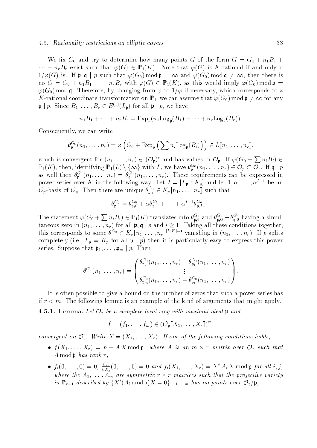#### 4.5. Rationality restrictions on elliptic covers 33

We fix  $G_0$  and try to determine how many points G of the form  $G = G_0 + n_1B_1 +$  $\cdots + n_rB_r$  exist such that  $\varphi(G) \in \mathbb{P}_1(K)$ . Note that  $\varphi(G)$  is K-rational if and only if  $1/\varphi(G)$  is. If  $\mathfrak{p}, \mathfrak{q} \mid p$  such that  $\varphi(G_0) \mod \mathfrak{p} = \infty$  and  $\varphi(G_0) \mod \mathfrak{q} \neq \infty$ , then there is no  $G = G_0 + n_1B_1 + \cdots + n_rB_r$  with  $\varphi(G) \in \mathbb{P}_1(K)$ , as this would imply  $\varphi(G_0)$  mod  $\mathfrak{p} =$  $\varphi(G_0)$  mod q. Therefore, by changing from  $\varphi$  to  $1/\varphi$  if necessary, which corresponds to a K-rational coordinate transformation on  $\mathbb{P}_1$ , we can assume that  $\varphi(G_0)$  mod  $\mathfrak{p} \neq \infty$  for any  $\mathfrak{p} \mid p$ . Since  $B_1, \ldots, B_r \in E^{(1)}(L_{\mathfrak{p}})$  for all  $\mathfrak{p} \mid p$ , we have

$$
n_1B_1 + \cdots + n_rB_r = \mathrm{Exp}_{\mathfrak{p}}(n_1\mathrm{Log}_{\mathfrak{p}}(B_1) + \cdots + n_r\mathrm{Log}_{\mathfrak{p}}(B_r)).
$$

Consequently, we can write

$$
\theta_{\mathfrak{p}}^{G_0}(n_1,\ldots,n_r)=\varphi\left(G_0+\mathrm{Exp}_{\mathfrak{p}}\left(\sum n_i\mathrm{Log}_{\mathfrak{p}}(B_i)\right)\right)\in L[\![n_1,\ldots,n_r]\!],
$$

which is convergent for  $(n_1,\ldots,n_r) \in (\mathcal{O}_{\mathfrak{p}})^r$  and has values in  $\mathcal{O}_{\mathfrak{p}}$ . If  $\varphi(G_0 + \sum n_i B_i) \in$  $\mathbb{F}_1(K)$ , then, identifying  $\mathbb{F}_1(L) \setminus \{\infty\}$  with L, we have  $\sigma_{\mathfrak{p}}^{\circ}(n_1,\ldots,n_r) \in \mathcal{O}_p \subset \mathcal{O}_{\mathfrak{p}}$ . If  $\mathfrak{q} \mid p$ as well then  $\sigma_{\bf p}^{\rm o}(n_1,\dots,n_r)=\sigma_{\bf q}^{\rm o}(n_1,\dots,n_r).$  These requirements can be expressed in power series over A in the following way. Let  $I = |L_{\mathfrak{p}} : K_{p}|$  and let  $1, \alpha, \ldots, \alpha^{*}$  'f be an  $\mathcal{O}_p$ -basis of  $\mathcal{O}_\mathfrak{p}.$  Then there are unique  $\theta_{\mathfrak{p},\frac{3}{2}}\in K_p\llbracket n_1,\ldots,n_r\rrbracket$  such that

$$
\theta_{\mathfrak{p}}^{G_0} = \theta_{\mathfrak{p},0}^{G_0} + \alpha \theta_{\mathfrak{p},1}^{G_0} + \cdots + \alpha^{I-1} \theta_{\mathfrak{p},I-1}^{G_0}.
$$

The statement  $\varphi(G_0 + \sum n_i B_i) \in \mathbb{P}_1(K)$  translates into  $\theta_{\textbf{n},i}^{G_0}$  and  $\theta_{\textbf{n},0}^{G_0} - \theta_{\textbf{n},0}^{G_0}$  having a simultaneous zero in (n1; : : ; ) if  $\ell$  are all p; q j  $p$  and i  $\pm$  and  $\pm$  conditions to all these conditions to  $Q$  and  $Q$ this corresponds to some  $\sigma^{\perp} \in K_p \| n_1, \ldots, n_r \|^{(1+r)}$  - vanishing in  $(n_1, \ldots, n_r)$ . If p splits completely (i.e.  $L_{\mathfrak{p}} = K_p$  for all  $\mathfrak{p} \mid p$ ) then it is particularly easy to express this power series. Suppose that  $\mathfrak{p}_1, \ldots, \mathfrak{p}_m \mid p$ . Then

$$
\theta^{G_0}(n_1,\ldots,n_r) = \begin{pmatrix} \theta_{\mathfrak{p}_2}^{G_0}(n_1,\ldots,n_r) - \theta_{\mathfrak{p}_1}^{G_0}(n_1,\ldots,n_r) \\ \vdots \\ \theta_{\mathfrak{p}_m}^{G_0}(n_1,\ldots,n_r) - \theta_{\mathfrak{p}_1}^{G_0}(n_1,\ldots,n_r) \end{pmatrix}.
$$

It is often possible to give a bound on the number of zeros that such a power series has if  $r < m$ . The following lemma is an example of the kind of arguments that might apply.

**4.5.1. Lemma.** Let  $\mathcal{O}_{\mathfrak{p}}$  be a complete local ring with maximal ideal  $\mathfrak{p}$  and

$$
f = (f_1, \ldots, f_m) \in (\mathcal{O}_{\mathfrak{p}}[[X_1, \ldots, X_r]])^m,
$$

convergent on  $\mathcal{O}_{\mathfrak{p}}$ , Write  $\Lambda = (\Lambda_1, \ldots, \Lambda_r)$ . If one of the following conditions holds,

- $\mathcal{F}$  ( $\mathcal{F}$ )  $\mathcal{F}$  ,  $\mathcal{F}$  ,  $\mathcal{F}$  is an arbitrary and  $\mathcal{F}$  , where  $\mathcal{F}$  is an  $\mathcal{F}$  and  $\mathcal{F}$  and  $\mathcal{F}$  are  $\mathcal{F}$  and  $\mathcal{F}$  are  $\mathcal{F}$  and  $\mathcal{F}$  are  $\mathcal{F}$  and  $\mathcal{F}$  are  $A \mod p$  has rank r,
- $\bullet$   $f_i(0,\ldots,0) = 0, \frac{-\dot{x}^2}{2N}$  $\overline{\partial X_i}(0,\ldots,0) = 0$  and  $f_i(X_1,\ldots,X_r) = X_i A_i X_i$  mod p for all  $i, j$ , where the A1; : : : ; Am are symmetric <sup>r</sup> - r matrices such that the projective variety in  $\mathbb{F}_{r-1}$  aescribed by  $\{X \setminus A_i \text{ mod } \mathfrak{p} | X = 0\}_{i=1,...,m}$  has no points over  $\mathcal{O}_{\mathfrak{p}}/\mathfrak{p},$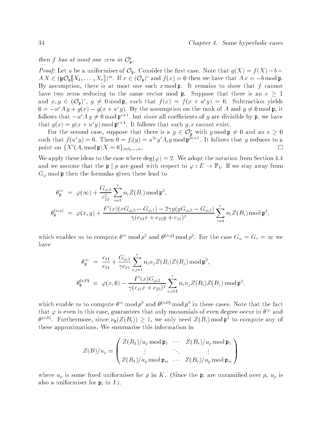then  $f$  has at most one zero in  $\mathcal{O}_p$ .

*Proof:* Let u be a uniformiser of  $\mathcal{O}_p$ . Consider the first case. Note that  $g(X) = f(X) - b$  $A \wedge A \in (\mathfrak{p} \mathcal{O}_\mathfrak{p} \| A_1, \dots, A_r \|)$  . If  $x \in (\mathcal{O}_\mathfrak{p})$  and  $f(x) \equiv 0$  then we have that  $Ax \equiv -b \mod \mathfrak{p}$ . By assumption, there is at most one such x mod  $\mathfrak p$ . It remains to show that f cannot have two zeros reducing to the same vector mod  $\mathfrak{p}$ . Suppose that there is an  $e \geq 1$ and  $x, y \in (O_p)$  ,  $y \neq 0$  mod p, such that  $f(x) = f(x + u|y) = 0$ . Subtraction yields  $0 = -u \, A \, y + q(x) - q(x + u \, y)$ . By the assumption on the rank of A and  $y \neq 0$  mod **p**, it follows that  $-u^{\epsilon} A y \neq 0$  mod  $\mathfrak{p}^{\epsilon+1}$ , but since all coefficients of g are divisible by  $\mathfrak{p}$ , we have that  $g(x) = g(x + u)y$  mod  $\mathfrak{p}$  . It follows that such  $y, e$  cannot exist.

For the second case, suppose that there is a  $y \in \mathcal{O}_p^*$  with y mod  $\mathfrak{p} \neq 0$  and an  $e \geq 0$ such that  $f(u||y) = 0$ . Then  $0 \equiv f_i(y) = u||y| A_i y$  mod  $\mathfrak{p}$  are to the follows that y reduces to a  $\Box$ point on  $\{A \mid (A_i \mod \mathfrak{p})A = 0\}_{i=1,\ldots,m}$ .

We apply these ideas to the case where  $deg(\varphi) = 2$ . We adopt the notation from Section 4.4 and we assume that the  $\mathfrak{p} \mid p$  are good with respect to  $\varphi : E \to \mathbb{P}_1$ . If we stay away from  $G_{\varphi}$  mod p then the formulas given there lead to

$$
\theta_{\mathfrak{p}}^{\infty} = \varphi(\infty) + \frac{G_{\varphi,3}}{c_{22}^2} \sum_{i=1}^r n_i Z(B_i) \bmod \mathfrak{p}^2,
$$
  

$$
\theta_{\mathfrak{p}}^{(x,y)} = \varphi(x,y) + \frac{F'(x)(xG_{\varphi,3} - G_{\varphi,1}) - 2\gamma y(yG_{\varphi,3} - G_{\varphi,2})}{\gamma(c_{21}x + c_{22}y + c_{23})^2} \sum_{i=1}^r n_i Z(B_i) \bmod \mathfrak{p}^2,
$$

which enables us to compute  $\theta$  and  $p$  and  $\theta$   $\sim$   $\theta$  mod  $p$ . For the case  $G_{\varphi} = G_{\tau} = \infty$  we have

$$
\theta_{\mathfrak{p}}^{\infty} = \frac{c_{11}}{c_{21}} + \frac{G_{\varphi,2}}{\gamma c_{21}} \sum_{i,j=1}^{r} n_i n_j Z(B_i) Z(B_j) \bmod \mathfrak{p}^3,
$$
  

$$
\theta_{\mathfrak{p}}^{(x,0)} = \varphi(x,0) - \frac{F'(x)G_{\varphi,2}}{\gamma (c_{21}x + c_{23})^2} \sum_{i,j=1}^{r} n_i n_j Z(B_i) Z(B_j) \bmod \mathfrak{p}^3
$$

which enable us to compute  $v^*$  mod  $p^*$  and  $v^{*,*}$  mod  $p^*$  in these cases. Note that the fact that  $\varphi$  is even in this case, guarantees that only monomials of even degree occur in  $\theta^{\infty}$  and  $\sigma^{(n)}$ . Furthermore, since  $\nu_{\mathfrak{p}}(Z(D_i)) \geq 1$ , we only need  $Z(D_i)$  mod p to compute any of these approximations. We summarise this information in

$$
Z(B)/u_p = \begin{pmatrix} Z(B_1)/u_p \bmod \mathfrak{p}_1 & \cdots & Z(B_r)/u_p \bmod \mathfrak{p}_1 \\ \vdots & \ddots & \vdots \\ Z(B_1)/u_p \bmod \mathfrak{p}_m & \cdots & Z(B_r)/u_p \bmod \mathfrak{p}_m \end{pmatrix}
$$

where  $u_p$  is some fixed uniformiser for p in K. (Since the  $\mathfrak{p}_i$  are unramified over p,  $u_p$  is also a uniformiser for  $\mathfrak{p}_i$  in L).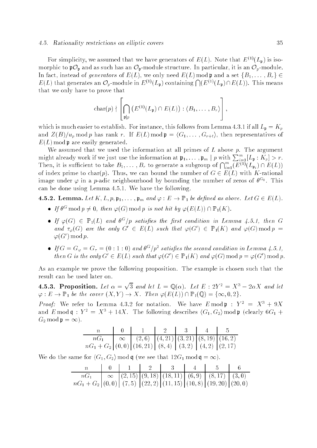#### 4.5. Rationality restrictions on elliptic covers 35

For simplicity, we assumed that we have generators of  $E(L)$ . Note that  $E^{(1)}(L_p)$  is isomorphic to  $\mathfrak{p}\mathcal{O}_{\mathfrak{p}}$  and as such has an  $\mathcal{O}_{\mathfrak{p}}$ -module structure. In particular, it is an  $\mathcal{O}_{p}$ -module. In fact, instead of generators of  $E(L)$ , we only need  $E(L)$  mod p and a set  $\{B_1, \ldots, B_r\}$  $E(L)$  that generates an  $\mathcal{O}_p$ -module in  $E^{(1)}(L_p)$  containing  $\bigcap (E^{(1)}(L_p) \cap E(L))$ . This means that we only have to prove that

$$
char(p) \nmid \left[ \bigcap_{\mathfrak{p} | p} \left( E^{(1)}(L_{\mathfrak{p}}) \cap E(L) \right) : \langle B_1, \ldots, B_r \rangle \right]
$$

which is much easier to establish. For instance, this follows from Lemma 4.3.1 if all  $L_p = K_p$ and  $Z(B)/u_p \mod p$  has rank r. If  $E(L) \mod p = \langle G_1, \ldots, G_{r+t} \rangle$ , then representatives of  $E(L)$  mod **p** are easily generated.

We assumed that we used the information at all primes of  $L$  above  $p$ . The argument might already work if we just use the information at  $\mathfrak{p}_1, \ldots, \mathfrak{p}_m \mid p$  with  $\sum_{i=1}^m [L_{\mathfrak{p}}:K_p] > r.$ Then, it is sufficient to take  $B_1, \ldots, B_r$  to generate a subgroup of  $\bigcap_{i=1}^m (E^{(1)}(L_{\mathfrak{p}_i}) \cap E(L))$ of index prime to char(p). Thus, we can bound the number of  $G \in E(L)$  with K-rational image under  $\varphi$  in a  $p\textrm{-}$ adic neighbourhood by bounding the number of zeros of  $\theta^{\circ0}$ . This can be done using Lemma 4.5.1. We have the following.

**4.5.2. Lemma.** Let  $K, L, p, \mathfrak{p}_1, \ldots, \mathfrak{p}_m$  and  $\varphi : E \to \mathbb{P}_1$  be defined as above. Let  $G \in E(L)$ .

- If  $\theta^G \bmod p \neq 0$ , then  $\varphi(G) \bmod p$  is not hit by  $\varphi(E(L)) \cap \mathbb{P}_1(K)$ .
- $\bullet$  If  $\varphi(G)$   $\in$   $\mathbb{F}_1(L)$  and  $\theta^{\sim}/p$  satisfies the first condition in Lemma 4.5.1, then G and  $\tau_{\varphi}(G)$  are the only  $G \in E(L)$  such that  $\varphi(G') \in \mathbb{F}_1(K)$  and  $\varphi(G) \mod p =$  $\varphi$ (G) mod  $p$ .
- $\bullet$  If  $G = G_{\varphi} = G_{\tau} = (0:1:0)$  and  $\sigma$  /p satisfies the second condition in Lemma 4.5.1, then G is the only  $G \in E(L)$  such that  $\varphi(G) \in \mathbb{F}_1(K)$  and  $\varphi(G) \mod p = \varphi(G) \mod p$ .

As an example we prove the following proposition. The example is chosen such that the result can be used later on.

4.5.3. Proposition. Let =  $\sqrt{3}$  and let  $L = \mathbb{O}(\alpha)$ . Let  $E : 2Y^2 = X^3 - 2\alpha X$  and let  $\varphi : E \to \mathbb{P}_1$  be the cover  $(X,Y) \to X$ . Then  $\varphi(E(L)) \cap \mathbb{P}_1(\mathbb{Q}) = {\infty, 0, 2}.$ 

*Proof:* We refer to Lemma 4.3.2 for notation. We have  $E \mod p$  :  $Y^2 = X^3 + 9X$ and E mod  $\mathfrak{q}: Y^2 = X^3 + 14X$ . The following describes  $\langle G_1, G_2 \rangle$  mod p (clearly  $6G_1 +$  $G_2 \mod \mathfrak{p} = \infty$ ).

| $\begin{tabular}{c c c c c c c c} $n$ & $0$ & $1$ & $2$ & $3$ & $4$ & $5$ \\ \hline $nG_1$ & $\infty$ & $(2,6)$ & $(4,21)$ & $(3,21)$ & $(8,19)$ & $(16,2)$ \\ $nG_1+G_2$ & $(0,0)$ & $(16,21)$ & $(8,4)$ & $(3,2)$ & $(4,2)$ & $(2,17)$ \\ \end{tabular}$ |  |  |  |
|------------------------------------------------------------------------------------------------------------------------------------------------------------------------------------------------------------------------------------------------------------|--|--|--|

We do the same for  $\langle G_1, G_2 \rangle$  mod q (we see that  $12G_1$  mod  $\mathfrak{q} = \infty$ ).

| $nG_1$ $\infty$ $(2, 15)$ $(9, 18)$ $(18, 11)$ $(6, 9)$ $(8, 17)$ $(3, 0)$<br>$nG_1 + G_2$ $(0, 0)$ $(7, 5)$ $(22, 2)$ $(11, 15)$ $(10, 8)$ $(19, 20)$ $(20, 0)$ |  |  |  |  |
|------------------------------------------------------------------------------------------------------------------------------------------------------------------|--|--|--|--|
|                                                                                                                                                                  |  |  |  |  |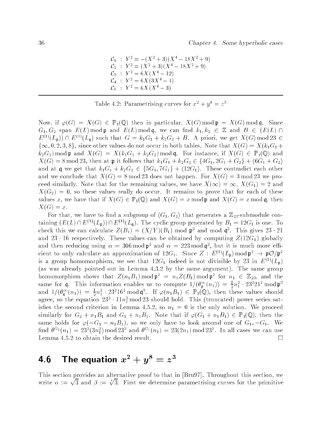$C_1$  :  $Y^2 = -(X^2 + 3)(X^4 - 18X^2 + 9)$  $C_2$  :  $Y^2 = (\hat{X}^2 + 3)(\hat{X}^4 - 18X^2 + 9)$  $C_3$  :  $Y^2 = 6X(X^4 - 12)$  $\tilde{\mathcal{C}_4}$  :  $Y^2 = 6X(3X^4 - 4)$  $C_5$ :  $Y^2 = 6X(X^4 - 3)$ 

Table 4.2: Parametrising curves for  $x^2 + y^2 = z^2$ 

Now, if  $\varphi(G) = X(G) \in \mathbb{P}_1(\mathbb{Q})$  then in particular,  $X(G) \mod \mathfrak{p} = X(G) \mod \mathfrak{q}$ . Since  $G_1, G_2$  span  $E(L) \mod \mathfrak{p}$  and  $E(L) \mod \mathfrak{q}$ , we can find  $k_1, k_2 \in \mathbb{Z}$  and  $B \in (E(L) \cap$  $E^{(1)}(L_{\rm p}) \cap E^{(1)}(L_{\rm q})$  such that  $G = k_1G_1 + k_2G_2 + B$ . A priori, we get  $X(G) \mod 23 \in$  $\{\infty, 0, 2, 3, 8\}$ , since other values do not occur in both tables. Note that  $X(G) = X(k_1G_1 +$  $k_2G_2$  mod p and  $X(G) = X(k_1G_1 + k_2G_2)$  mod q. For instance, if  $X(G) \in \mathbb{P}_1(\mathbb{Q})$  and  $X(G) = 8 \text{ mod } 23$ , then at **p** it follows that  $k_1G_1 + k_2G_2 \in \{4G_1, 2G_1 + G_2\} + \langle 6G_1 + G_2 \rangle$ and at q we get that  $k_1G_1 + k_2G_2 \in \{5G_1, 7G_1\} + \langle 12G_1 \rangle$ . These contradict each other and we conclude that  $X(G) = 8 \text{ mod } 23$  does not happen. For  $X(G) = 3 \text{ mod } 23$  we proceed similarly. Note that for the remaining values, we have  $X(\infty) = \infty$ ,  $X(G_1) = 2$  and  $X(G_2) = 0$ , so these values really do occur. It remains to prove that for each of these values x, we have that if  $X(G) \in \mathbb{P}_1(\mathbb{Q})$  and  $X(G) = x \mod \mathfrak{p}$  and  $X(G) = x \mod \mathfrak{q}$ , then  $X(G) = x$ .

For that, we have to find a subgroup of  $\langle G_1, G_2 \rangle$  that generates a  $\mathbb{Z}_{23}$ -submodule containing  $(E(L) \cap E^{(1)}(L_{\mathfrak{p}})) \cap E^{(1)}(L_{\mathfrak{q}})$ . The cyclic group generated by  $B_1 = 12G_1$  is one. To check this we can calculate  $Z(D_1) \equiv (A/T) (D_1)$  mod p<sup>2</sup> and mod q<sup>2</sup>. This gives  $Z3 \cdot Z1$ and 23  $\cdot$  16 respectively. These values can be obtained by computing  $Z(12G_1)$  globally and then reducing using  $\alpha = 300 \bmod{p}$  and  $\alpha = 223 \bmod{q}$  , but it is much more emcient to only calculate an approximation of  $12G_1$ . Since  $Z : E^{(1)}(L_p) \mod p^2 \rightarrow p\mathcal{O}/p^2$ is a group homomorphism, we see that  $12G_1$  indeed is not divisible by 23 in  $E^{(1)}(L_n)$ (as was already pointed out in Lemma 4.3.2 by the same argument). The same group homomorphism shows that  $Z(n_1D_1)$  mod  $\mathfrak{p}^-=n_1Z(D_1)$  mod  $\mathfrak{p}^-$  for  $n_1~\in~\mathbb{Z}_{23}$ , and the same for q. This information enables us to compute  $1/(v_p^*(n_1)) = \frac{1}{2}n_1^*(23^221^2 \mod p^3)$ and  $1/( \theta_{\frak q} ^{\sigma}(n_1)) \ =\ \frac{1}{2}n_1^{\sigma} \cdot 23^{\sigma}$  to mod  $\frak q^{\sigma}.$  If  $\varphi(n_1B_1) \ \in \ \Bbb T_1 (\mathbb Q),$  then these values should agree, so the equation  $25^\circ \cdot 11n_1^\circ$  mod 25 should hold. This (truncated) power series satisfies the second criterion in Lemma 4.5.2, so  $n_1 = 0$  is the only solution. We proceed similarly for  $G_2 + n_1B_1$  and  $G_1 + n_1B_1$ . Note that if  $\varphi(G_1 + n_1B_1) \in \mathbb{P}_1(\mathbb{Q})$ , then the same holds for  $\varphi(-G_1 - n_1B_1)$ , so we only have to look around one of  $G_1, -G_1$ . We  $\lim_{n \to \infty} \sigma^2(n_1) = 25^{\circ}(\delta n_1^{\circ}) \mod 25^{\circ}$  and  $\sigma^2(n_1) = 25(2n_1) \mod 25^{\circ}$ . In all cases we can use Lemma 4.5.2 to obtain the desired result.

## 4.6 The equation  $x^2 + y^8 = z^3$

This section provides an alternative proof to that in [Bru97]. Throughout this section, we write  $\alpha := \sqrt{3}$  and  $\beta := \sqrt[4]{3}$ . First we determine parametrising curves for the primitive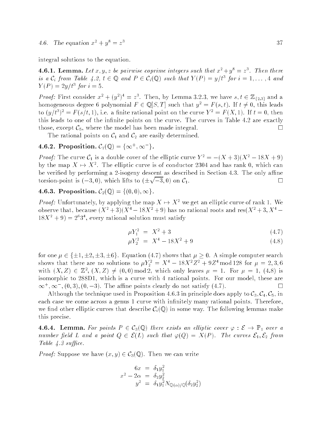#### 4.0. In eequation  $x^- + y^+ \equiv z^-$

integral solutions to the equation.

**4.0.1. Lemma.** Let x, y, z be pairwise coprime integers such that  $x + y = z$  . Then there is a  $C_i$  from Table 4.2,  $i \in \mathbb{Q}$  and  $F \in C_i(\mathbb{Q})$  such that  $Y(F) = y/v$  for  $i = 1, \ldots, 4$  and  $I(T) = 2y/t$  for  $t = 3$ .

*Proof:* Pirst consider  $x^2 + (y^2)^2 = z^2$ . Then, by Lemma 3.2.3, we have  $s, t \in \mathbb{Z}_{\{2,3\}}$  and a homogeneous degree 6 polynomial  $F \in \mathbb{Q}(\beta, T)$  such that  $y^* \equiv F(s, t)$ . If  $t \neq 0$ , this leads to  $(y/t)$   $\equiv$   $\Gamma$  (s/t, 1), i.e. a limite rational point on the curve  $Y = \Gamma$  ( $\Lambda$ , 1). If  $t = 0$ , then this leads to one of the infinite points on the curve. The curves in Table 4.2 are exactly those, except  $\mathcal{C}_5$ , where the model has been made integral.

The rational points on  $C_1$  and  $C_2$  are easily determined.

#### 4.6.2. Proposition.  $C_1(\mathcal{Q}) = \{ \infty^+, \infty^-\}$ .

*Proof:* The curve  $C_1$  is a double cover of the elliptic curve  $Y^2 = -(X + 3)(X^2 - 18X + 9)$ by the map  $\Lambda \mapsto \Lambda$  . The emptic curve is of conductor 2504 and has rank 0, which can be verified by performing a 2-isogeny descent as described in Section 4.3. The only affine torsion-point is (3; 0), which lifts to (3; 0), which lifts to (3), which lifts to (3), which lifts to (3), which lifts to (3), which lifes to (3), which lifes to (3), which lifes to (3), which lifes to (3), which lifes t products and the second series  $\sim$  0) on C1. On C1. On C1. On C1. On C1. On C1. On C1. On C1. On C1. On C1. On C1. On C1. On C1. On C1. On C1. On C1. On C1. On C1. On C1. On C1. On C1. On C1. On C1. On C1. On C1. On C1. On C1. On C1. On C1. On C1. On

### 4.6.3. Proposition.  $C_2(\mathbb{Q}) = \{(0,0), \infty\}.$

*Proof:* Unfortunately, by applying the map  $\Lambda \mapsto \Lambda$  – we get an emptic curve of rank 1. We observe that, because  $(X^2+3)(X^4-18X^2+9)$  has no rational roots and res( $X^2+3, X^4$  –  $18A^2 + 9I = 25$ , every rational solution must satisfy

$$
\mu Y_1^2 = X^2 + 3 \tag{4.7}
$$

$$
\mu Y_2^2 = X^4 - 18X^2 + 9 \tag{4.8}
$$

for one  $\mu \in {\pm 1, \pm 2, \pm 3, \pm 6}$ . Equation (4.7) shows that  $\mu \geq 0$ . A simple computer search shows that there are no solutions to  $\mu \tau_2^2 = A_1 - 18A_2 Z_1 + 9Z_1$  mod 128 for  $\mu = 2,3,6$ WITH  $(X, Z) \in \mathbb{Z}^+, (X, Z) \neq (0, 0) \bmod{Z}$ , which only leaves  $\mu = 1$ . For  $\mu = 1$ , (4.8) is isomorphic to 288D1, which is a curve with 4 rational points. For our model, these are  $\infty$ ,  $\infty$ ,  $(0, 3)$ ,  $(0, -3)$ . The anime points clearly do not satisfy (4.7).

Although the technique used in Proposition 4.6.3 in principle does apply to  $C_3$ ,  $C_4$ ,  $C_5$ , in each case we come across a genus 1 curve with infinitely many rational points. Therefore, we find other elliptic curves that describe  $\mathcal{C}_i(\mathbb{Q})$  in some way. The following lemmas make this precise.

**4.6.4. Lemma.** For points  $P \in C_3(\mathbb{Q})$  there exists an elliptic cover  $\varphi : \mathcal{E} \to \mathbb{P}_1$  over a number field L and a point  $Q \in \mathcal{E}(L)$  such that  $\varphi(Q) = X(P)$ . The curves  $\mathcal{E}_1, \mathcal{E}_2$  from Table  $\angle 4.3$  suffice.

*Proof:* Suppose we have  $(x, y) \in C_3(\mathbb{Q})$ . Then we can write

$$
6x = \delta_1 y_1^2
$$
  

$$
x^2 - 2\alpha = \delta_2 y_2^2
$$
  

$$
y^2 = \delta_1 y_1^2 N_{\mathbb{Q}(\alpha)/\mathbb{Q}}(\delta_2 y_2^2)
$$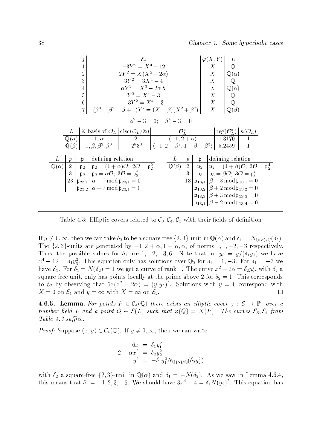|                      | ${\cal E}_\tau$                                                                                                                                                                                                                                                                                                                                                                                                                       | $\varphi(X,Y) \left  \right  L$ |                                                                                                             |
|----------------------|---------------------------------------------------------------------------------------------------------------------------------------------------------------------------------------------------------------------------------------------------------------------------------------------------------------------------------------------------------------------------------------------------------------------------------------|---------------------------------|-------------------------------------------------------------------------------------------------------------|
|                      | $-3Y^2 = X^4 - 12$                                                                                                                                                                                                                                                                                                                                                                                                                    | $\boldsymbol{X}$                | $\mathbb{Q}$                                                                                                |
| $\overline{2}$       | $2Y^2 = X(X^2 - 2\alpha)$                                                                                                                                                                                                                                                                                                                                                                                                             | $\boldsymbol{X}$                | $\mathbb{Q}(\alpha)$                                                                                        |
| 3                    | $3Y^2 = 3X^4 - 4$                                                                                                                                                                                                                                                                                                                                                                                                                     | X                               | $\mathbb Q$                                                                                                 |
| 4                    | $\alpha Y^2 = X^3 - 2\alpha X$                                                                                                                                                                                                                                                                                                                                                                                                        | $X_{-}$                         | $\mathbb{Q}(\alpha)$                                                                                        |
| 5                    | $Y^2 = X^4 - 3$                                                                                                                                                                                                                                                                                                                                                                                                                       | X                               | $\mathbb Q$                                                                                                 |
| $\,6$                | $-3Y^2 = X^4 - 3$                                                                                                                                                                                                                                                                                                                                                                                                                     | X                               | $\mathbb Q$                                                                                                 |
|                      | $7 -(\beta^3-\beta^2-\beta+1)Y^2=(X-\beta)(X^2+\beta^2) $                                                                                                                                                                                                                                                                                                                                                                             | $X^-$                           | $\mathcal{Q}(\beta)$                                                                                        |
|                      |                                                                                                                                                                                                                                                                                                                                                                                                                                       |                                 |                                                                                                             |
|                      | $\alpha^2 - 3 = 0$ ; $\beta^4 - 3 = 0$                                                                                                                                                                                                                                                                                                                                                                                                |                                 |                                                                                                             |
|                      |                                                                                                                                                                                                                                                                                                                                                                                                                                       |                                 |                                                                                                             |
|                      |                                                                                                                                                                                                                                                                                                                                                                                                                                       |                                 |                                                                                                             |
|                      | $\begin{tabular}{c c c c c c c c} $L$ & $\mathbb{Z}$-basis of $\mathcal{O}_L$ & $\text{disc}(\mathcal{O}_L/\mathbb{Z})$ & $\mathcal{O}_L^*$ & $\text{reg}(\mathcal{O}_L^*)$ & $h(\mathcal{O}_L)$ \\ \hline $\mathbb{Q}(\alpha)$ & $1,\alpha$ & $12$ & $\langle-1,2+\alpha\rangle$ & $1.3170$ & $1$ \\ $\mathbb{Q}(\beta)$ & $1,\beta,\beta^2,\beta^3$ & $-2^83^3$ & $\langle-1,2+\beta^2,1+\beta-\beta^3\rangle$ & $5.2459$ & $1$ \\$ |                                 |                                                                                                             |
|                      |                                                                                                                                                                                                                                                                                                                                                                                                                                       |                                 |                                                                                                             |
| L                    | $\mid p \mid p \mid$ defining relation                                                                                                                                                                                                                                                                                                                                                                                                |                                 | $L \mid p \mid \mathfrak{p}$ defining relation                                                              |
| $\mathbb{Q}(\alpha)$ | $\mathfrak{p}_2 = (1 + \alpha)\mathcal{O}; 2\mathcal{O} = \mathfrak{p}_2^2$ $\mathbb{Q}(\beta)$<br>$\begin{array}{ c c } \hline 2 & \mathfrak{p}_2 \\ \hline 3 & \mathfrak{p}_3 \end{array}$ $\begin{array}{ c c } \mathfrak{p}_2 = (1+\alpha)\mathcal{O};\ 2\mathcal{O} \\ \mathfrak{p}_3 = \alpha\mathcal{O};\ 3\mathcal{O} = \mathfrak{p}_3^2 \end{array}$                                                                         |                                 | $\boxed{2 \mid \mathfrak{p}_2 \mid \mathfrak{p}_2 = (1+\beta)\mathcal{O}; 2\mathcal{O} = \mathfrak{p}_2^4}$ |
|                      |                                                                                                                                                                                                                                                                                                                                                                                                                                       |                                 | 3   $\mathfrak{p}_3$   $\mathfrak{p}_3 = \beta \mathcal{O}; 3\mathcal{O} = \mathfrak{p}_3^4$                |
|                      | 23 $\vert \mathfrak{p}_{23,1} \vert \alpha - 7 \mod \mathfrak{p}_{23,1} = 0$                                                                                                                                                                                                                                                                                                                                                          |                                 | 13   $\mathfrak{p}_{13,1}$   $\beta - 3 \mod \mathfrak{p}_{13,1} = 0$                                       |
|                      | $\mathfrak{p}_{23,2}$   $\alpha + 7 \mod \mathfrak{p}_{23,1} = 0$                                                                                                                                                                                                                                                                                                                                                                     |                                 | $ \mathfrak{p}_{13,2}  \beta + 2 \bmod \mathfrak{p}_{13,2} = 0$                                             |
|                      |                                                                                                                                                                                                                                                                                                                                                                                                                                       |                                 | $ \mathfrak{p}_{13,3}   \beta + 3 \bmod \mathfrak{p}_{13,3} = 0$                                            |
|                      |                                                                                                                                                                                                                                                                                                                                                                                                                                       |                                 | $\mathfrak{p}_{13.4}$   $\beta - 2 \mod \mathfrak{p}_{13.4} = 0$                                            |
|                      |                                                                                                                                                                                                                                                                                                                                                                                                                                       |                                 |                                                                                                             |

Table 4.3: Elliptic covers related to  $C_3, C_4, C_5$  with their fields of definition

If  $y \neq 0, \infty$ , then we can take  $\delta_2$  to be a square free  $\{2, 3\}$ -unit in  $\mathbb{Q}(\alpha)$  and  $\delta_1 = N_{\mathbb{Q}(\alpha)/\mathbb{Q}}(\delta_2)$ . The  $\{2,3\}$ -units are generated by  $-1, 2 + \alpha, 1 - \alpha, \alpha$ , of norms  $1, 1, -2, -3$  respectively. Thus, the possible values for  $\delta_1$  are 1, -2, -3,6. Note that for  $y_3 = y/(\delta_1y_1)$  we have  $x^2 - 12 = \sigma_1 y_3^2$ . This equation only has solutions over  $\mathbb{Q}_2$  for  $\sigma_1 = 1, -5$ . For  $\sigma_1 = -5$  we have  $\varepsilon_1$ . For  $\sigma_1 = N(\sigma_2) = 1$  we get a curve of rank 1. The curve  $x^- - z\alpha = \sigma_2 y_2^2,$  with  $\sigma_2$  a square free unit, only has points locally at the prime above 2 for  $\delta_2 = 1$ . This corresponds to  $\varepsilon_2$  by observing that  $6x(x - 2\alpha) = (y_1y_2)$ . Solutions with  $y = 0$  correspond with  $X = 0$  on  $\mathcal{E}_1$  and  $y = \infty$  with  $X = \infty$  on  $\mathcal{E}_2$ .

**4.6.5. Lemma.** For points  $P \in C_4(\mathbb{Q})$  there exists an elliptic cover  $\varphi : \mathcal{E} \to \mathbb{P}_1$  over a number field L and a point  $Q \in \mathcal{E}(L)$  such that  $\varphi(Q) = X(P)$ . The curves  $\mathcal{E}_3, \mathcal{E}_4$  from Table  $4.3$  suffice.

*Proof:* Suppose  $(x, y) \in C_4(\mathbb{Q})$ . If  $y \neq 0, \infty$ , then we can write

$$
6x = \delta_1 y_1^2
$$
  
 
$$
2 - \alpha x^2 = \delta_2 y_2^2
$$
  
 
$$
y^2 = -\delta_1 y_1^2 N_{\mathbb{Q}(\alpha)/\mathbb{Q}}(\delta_2 y_2^2)
$$

with  $\delta_2$  a square-free  $\{2,3\}$ -unit in  $\mathbb{Q}(\alpha)$  and  $\delta_1 = -N(\delta_2)$ . As we saw in Lemma 4.6.4, this means that  $\sigma_1 = -1, 2, 3, -0$ . We should have  $3x^* - 4 = \sigma_1/N(y_2)^*$ . This equation has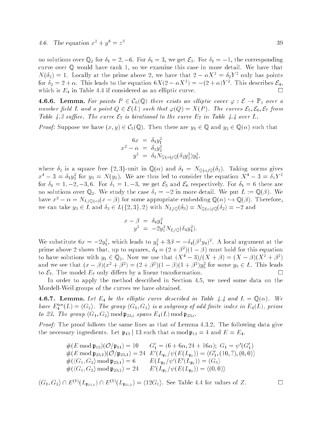no solutions over  $\mathbb{Q}_2$  for  $\delta_1 = 2, -6$ . For  $\delta_1 = 3$ , we get  $\mathcal{E}_3$ . For  $\delta_1 = -1$ , the corresponding curve over <sup>Q</sup> would have rank 1, so we examine this case in more detail. We have that  $N(\theta_2) = 1$ . Locally at the prime above 2, we have that  $2 - \alpha \Lambda = \theta_2 r$  only has points for  $\sigma_2 = z + \alpha$ . This leads to the equation  $\sigma \Lambda (z - \alpha \Lambda) = -(z + \alpha) \Gamma$  . This describes  $z_4,$ which is  $E_4$  in Table 4.4 if considered as an elliptic curve.  $\Box$ 

**4.6.6. Lemma.** For points  $P \in C_5(\mathbb{Q})$  there exists an elliptic cover  $\varphi : \mathcal{E} \to \mathbb{P}_1$  over a number field L and a point  $Q \in \mathcal{E}(L)$  such that  $\varphi(Q) = X(P)$ . The curves  $\mathcal{E}_5, \mathcal{E}_6, \mathcal{E}_7$  from Table 4.3 suffice. The curve  $\mathcal{E}_7$  is birational to the curve  $E_7$  in Table 4.4 over L.

*Proof:* Suppose we have  $(x, y) \in C_5(\mathbb{Q})$ . Then there are  $y_1 \in \mathbb{Q}$  and  $y_2 \in \mathbb{Q}(\alpha)$  such that

$$
6x = \delta_1 y_1^2
$$
  
\n
$$
x^2 - \alpha = \delta_2 y_2^2
$$
  
\n
$$
y^2 = \delta_1 N_{\mathbb{Q}(\alpha)/\mathbb{Q}}(\delta_2 y_2^2) y_1^2,
$$

where  $\delta_2$  is a square free  $\{2,3\}$ -unit in  $\mathbb{Q}(\alpha)$  and  $\delta_1 = N_{\mathbb{Q}(\alpha/\mathbb{Q}}(\delta_2))$ . Taking norms gives  $x_{-} \rightarrow 3 = \partial_1 y_3$  for  $y_3 = N(y_2)$ . We are thus led to consider the equation  $\Lambda_{-} \rightarrow 3 = \partial_1 T$ for  $\delta_1 = 1, -2, -3, 6$ . For  $\delta_1 = 1, -3$ , we get  $\mathcal{E}_5$  and  $\mathcal{E}_6$  respectively. For  $\delta_1 = 6$  there are no solutions over  $\mathbb{Q}_2$ . We study the case  $\delta_1 = -2$  in more detail. We put  $L := \mathbb{Q}(\beta)$ . We have  $x^2 - \alpha = N_{L/\mathbb{Q}(\alpha)}(x - \beta)$  for some appropriate embedding  $\mathbb{Q}(\alpha) \hookrightarrow \mathbb{Q}(\beta)$ . Therefore, we can take  $y_3 \in L$  and  $\delta_3 \in L(\{2,3\}, 2)$  with  $N_{L/\mathbb{Q}}(\delta_3) = N_{\mathbb{Q}(\alpha)/\mathbb{Q}}(\delta_2) = -2$  and

$$
x - \beta = \delta_4 y_4^2
$$
  

$$
y^2 = -2y_1^2 N_{L/\mathbb{Q}}(\delta_4 y_4^2).
$$

we substitute  $6x = -2y_1$ , which leads to  $y_1 + 3\beta = -04(\beta + y_4)$ . A local argument at the prime above 2 shows that, up to squares,  $\sigma_4 = (2 + \rho_-)$  (1  $\rho$  ) must hold for this equation to have solutions with  $y_1 \in \mathbb{Q}_2$ . Now we use that  $(X^* = 3)/((X + \beta) = (X - \beta)(X^* + \beta^*)$ and we see that  $(x - p)(x + p) = (2 + p)(1 - p)(1 + p)y_5$  for some  $y_5 \in L$ . This leads to  $\mathcal{E}_7$ . The model  $E_7$  only differs by a linear transformation.

In order to apply the method described in Section 4.5, we need some data on the Mordell-Weil groups of the curves we have obtained.

**4.6.7. Lemma.** Let  $E_4$  be the elliptic curve described in Table 4.4 and  $L = \mathbb{Q}(\alpha)$ . We have  $E_4^{\cdots}(L) = \langle G_2 \rangle$ . The group  $\langle G_1, G_2 \rangle$  is a subgroup of odd finite index in  $E_4(L)$ , prime to 23. The group  $\langle G_1, G_2 \rangle$  mod  $\mathfrak{p}_{23,i}$  spans  $E_4(L)$  mod  $\mathfrak{p}_{23,i}$ .

Proof: The proof follows the same lines as that of Lemma 4.3.2. The following data give the necessary ingredients. Let  $\mathfrak{p}_{13}$  | 13 such that  $\alpha$  mod  $\mathfrak{p}_{13} = 4$  and  $E = E_4$ .

$$
\#(E \mod \mathfrak{p}_{13})(\mathcal{O}/\mathfrak{p}_{11}) = 10 \t G'_1 = (6 + 6\alpha, 24 + 16\alpha); \t G_1 = \psi'(G'_1) \n\#(E \mod \mathfrak{p}_{23,1})(\mathcal{O}/\mathfrak{p}_{23,1}) = 24 \t E'(L_{\mathfrak{p}_2}/\psi(E(L_{\mathfrak{p}_2})) = \langle G'_1, (10, ?), (0, 0) \rangle \n\#(\langle G_1, G_2 \rangle \mod \mathfrak{p}_{23,1}) = 6 \t E(L_{\mathfrak{p}_2}/\psi'(E'(L_{\mathfrak{p}_2})) = \langle G_3 \rangle \n\#(\langle G_1, G_2 \rangle \mod \mathfrak{p}_{23,2}) = 24 \t E'(L_{\mathfrak{p}_2}/\psi(E(L_{\mathfrak{p}_2})) = \langle (0, 0) \rangle
$$

 $\langle G_1, G_2 \rangle \cap E^{(1)}(L_{\mathfrak{p}_{23,1}}) \cap E^{(1)}(L_{\mathfrak{p}_{23,2}}) = \langle 12G_1 \rangle$ . See Table 4.4 for values of Z.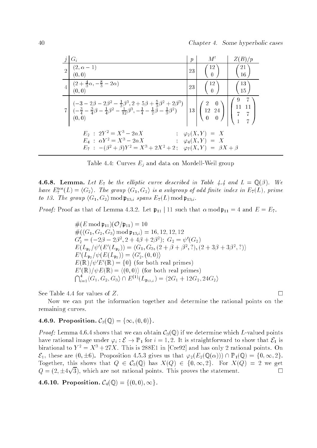|                          | $i \mid G_i$                                                                                                                                                                                                                                               | $\boldsymbol{p}$ | $M^t$                                                                                                                                                                                                         | Z(B)/p                                                                             |
|--------------------------|------------------------------------------------------------------------------------------------------------------------------------------------------------------------------------------------------------------------------------------------------------|------------------|---------------------------------------------------------------------------------------------------------------------------------------------------------------------------------------------------------------|------------------------------------------------------------------------------------|
| $\overline{\mathcal{L}}$ | $(2,\alpha-1)$<br>(0, 0)                                                                                                                                                                                                                                   | 23               | $\begin{pmatrix} 12 \\ 0 \end{pmatrix}$                                                                                                                                                                       | $\begin{array}{c} \begin{array}{c} \text{21} \\ \text{16} \end{array} \end{array}$ |
|                          | $(2+\frac{4}{3}\alpha,-\frac{8}{3}-2\alpha)$<br>(0,0)                                                                                                                                                                                                      | 23               |                                                                                                                                                                                                               | $\binom{13}{15}$                                                                   |
|                          | $7\left[\begin{array}{l}(-3-2\beta-2\beta^2-\frac{1}{3}\beta^3,2+5\beta+\frac{5}{3}\beta^2+2\beta^3)\\(-\frac{3}{4}-\frac{3}{4}\beta-\frac{1}{4}\beta^2-\frac{1}{12}\beta^3,-\frac{1}{4}-\frac{1}{2}\beta-\frac{1}{3}\beta^2)\end{array}\right]$<br>(0, 0) |                  | $\begin{array}{ c c c }\hline &13 & \left(\begin{array}{cc} 2 & 0 \\ 12 & 24 \\ 0 & 0 \end{array}\right) & \left(\begin{array}{cc} 9 & 7 \\ 11 & 11 \\ 7 & 7 \\ 1 & 7 \end{array}\right) \end{array} \right.$ |                                                                                    |
|                          | $E_2$ : $2Y^2 = X^3 - 2\alpha X$<br>$E_4$ : $\alpha Y^2 = X^3 - 2\alpha X$<br>$E_7$ : $-(\beta^2 + \beta)Y^2 = X^3 + 2X^2 + 2$ ; $\varphi_7(X,Y) = \beta X + \beta$                                                                                        |                  | $\varphi_2(X,Y) = X$<br>$\phi_4(X,Y) = X$                                                                                                                                                                     |                                                                                    |

Table 4.4: Curves  $E_j$  and data on Mordell-Weil group

**4.6.8. Lemma.** Let  $E_7$  be the elliptic curve described in Table 4.4 and  $L = \mathbb{Q}(\beta)$ . We have  $E_7^{\sim\sim}(L)=\langle G_2\rangle.$  The group  $\langle G_1,G_2\rangle$  is a subgroup of odd finite index in  $E_7(L),$  prime to 13. The group  $\langle G_1, G_2 \rangle$  mod  $\mathfrak{p}_{13,i}$  spans  $E_7(L)$  mod  $\mathfrak{p}_{13,i}$ .

*Proof:* Proof as that of Lemma 4.3.2. Let  $\mathfrak{p}_{11}$  | 11 such that  $\alpha$  mod  $\mathfrak{p}_{11} = 4$  and  $E = E_7$ .

 $#(E \mod \mathfrak{p}_{11})(\mathcal{O}/\mathfrak{p}_{11}) = 10$  $\#({\langle} G_1, G_2, G_3 \rangle \text{ mod } \mathfrak{p}_{13,i}) = 16, 12, 12, 12$  $G_2 = (-2p - 2p, 2 + 4p + 2p)$ ;  $G_2 = \psi(G_2)$  $E(L_{\mathfrak{p}_2}/\psi \ (L \ (L_{\mathfrak{p}_2})) = \langle G_1, G_3, (2 + \rho + \rho^-, 1), (2 + 3\rho + 3\rho^-, 1) \rangle$  $E(L_{\mathfrak{p}_2}/\psi(L(L_{\mathfrak{p}_2})) = \langle G_2, (0,0) \rangle$  $E(\mathbb{R})/\psi E(\mathbb{R}) = \{0\}$  (for both real primes)  $E(\mathbb{R})/\psi E(\mathbb{R}) = \langle (0,0) \rangle$  (for both real primes)  $\bigcap_{i=1}^4 \langle G_1, G_2, G_3 \rangle \cap E^{(1)}(L_{\mathfrak{p}_{13,i}}) = \langle 2G_1 + 12G_2, 24G_2 \rangle$ 

See Table 4.4 for values of  $Z$ .

Now we can put the information together and determine the rational points on the remaining curves.

**4.6.9. Proposition.**  $C_3(\mathbb{Q}) = {\infty, (0, 0)}.$ 

*Proof:* Lemma 4.6.4 shows that we can obtain  $C_3(\mathbb{Q})$  if we determine which L-valued points have rational image under  $\varphi_i : \mathcal{E} \to \mathbb{P}_1$  for  $i = 1, 2$ . It is straightforward to show that  $\mathcal{E}_1$  is birational to  $Y^2 = X^3 + 27X$ . This is 288E1 in [Cre92] and has only 2 rational points. On  $\mathcal{E}_1$ , these are  $(0, \pm 6)$ . Proposition 4.5.3 gives us that  $\varphi_2(E_2(\mathbb{Q}(\alpha))) \cap \mathbb{P}_1(\mathbb{Q}) = \{0, \infty, 2\}.$ Together, this shows that  $Q \in C_3(\mathbb{Q})$  has  $X(Q) \in \{0,\infty,2\}$ . For  $X(Q) = 2$  we get <u>provided and the second second and the second second second and second second second second second second second second second second second second second second second second second second second second second second sec</u>  $\Box$ 3), which are not rational points. This proves the statement.  $\sim$  (2)  $\sim$   $\sim$ 

4.6.10. Proposition.  $C_4(\mathbb{Q}) = \{(0,0), \infty\}.$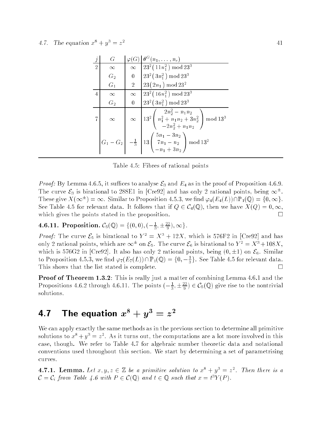#### 4.7. Ine equation  $x^2 + y^3 = z^3$

| $\boldsymbol{j}$ | G        |                  | $\varphi(G) \,   \, \theta^G(n_1, \ldots, n_r)$                                                                                           |
|------------------|----------|------------------|-------------------------------------------------------------------------------------------------------------------------------------------|
| $\overline{2}$   | $\infty$ |                  | $\infty$ 23 <sup>2</sup> (11n <sup>2</sup> <sub>1</sub> ) mod 23 <sup>3</sup>                                                             |
|                  | $G_2$    | $\boldsymbol{0}$ | $\begin{pmatrix} 23^2\left(3n_1^2\right) \bmod 23^3 \ 23\left(2n_1\right) \bmod 23^2 \end{pmatrix}$                                       |
|                  | $G_1$    | 2 <sup>1</sup>   |                                                                                                                                           |
| $\overline{4}$   | $\infty$ |                  | $\infty\;\;\left[\,23^2\big(\,16\ \!n_1^2\,\big)\,\textrm{mod}\, 23^3\right]$                                                             |
|                  | $G_2$    | $\theta$         | $23^2(3n_1^2)$ mod $23^3$                                                                                                                 |
|                  |          |                  | $\infty \begin{array}{c} 2n_2^2 - n_1 n_2 \\ 13^2 \left( n_1^2 + n_1 n_2 + 3n_2^2 \atop -2n_2^2 + n_1 n_2 \right) \bmod 13^3 \end{array}$ |
|                  |          |                  | $G_1 - G_2$ $- \frac{1}{3}$ $13 \begin{pmatrix} 5n_1 - 3n_2 \\ 7n_1 - n_2 \\ -n_1 + 3n_2 \end{pmatrix}$ mod 13 <sup>2</sup>               |

Table 4.5: Fibres of rational points

*Proof:* By Lemma 4.6.5, it suffices to analyse  $\mathcal{E}_3$  and  $E_4$  as in the proof of Proposition 4.6.9. The curve  $\zeta_3$  is birational to 288E1 in [Cre92] and has only 2 rational points, being  $\infty^-$ . These give  $\Lambda(\infty^+) = \infty$ . Similar to Proposition 4.5.3, we find  $\varphi_4(E_4(L))\square \mathbb{P}_1(\mathbb{Q}) = \{0,\infty\}$ . See Table 4.5 for relevant data. It follows that if  $Q \in C_4(\mathbb{Q})$ , then we have  $X(Q) = 0, \infty$ . which gives the points stated in the proposition.  $\Box$ 

### 4.6.11. Proposition.  $C_5(\mathbb{Q}) = \{ (0,0), (-\frac{2}{3}, \pm \frac{2}{10}), \infty \}.$

*Proof:* The curve  $\mathcal{E}_5$  is birational to  $Y^2 = X^3 + 12X$ , which is 576F2 in [Cre92] and has only 2 rational points, which are  $\infty^-$  on  $z_5$ . The curve  $z_6$  is birational to  $Y_- \equiv X_+ +$  108 $\Lambda$ , which is 576G2 in [Cre92]. It also has only 2 rational points, being  $(0, \pm 1)$  on  $\mathcal{E}_6$ . Similar to Proposition 4.5.3, we find  $\varphi_7(E_7(L)) \sqcup \mathbb{F}_1(\mathbb{Q}) = \{0, -\frac{1}{3}\}.$  See Table 4.5 for relevant data. This shows that the list stated is complete.  $\square$ 

Proof of Theorem 1.3.2: This is really just a matter of combining Lemma 4.6.1 and the Propositions 4.6.2 through 4.6.11. The points  $(-\frac{1}{3}, \pm \frac{1}{9}) \in C_5(\mathbb{Q})$  give rise to the nontrivial solutions.

## 4.7 The equation  $x^8 + y^3 = z^2$

We can apply exactly the same methods as in the previous section to determine all primitive solutions to  $x^2 + y^2 = z$  . As it turns out, the computations are a lot more involved in this case, though. We refer to Table 4.7 for algebraic number theoretic data and notational conventions used throughout this section. We start by determining a set of parametrising curves.

**4.1.1. Lemma.** Let  $x, y, z \in \mathbb{Z}$  be a primitive solution to  $x^* + y^* = z^*$ . Then there is a  $\mathcal{L} = \mathcal{L}_i$  from Table 4.0 with  $P \in \mathcal{L}(\mathbb{Q})$  and  $t \in \mathbb{Q}$  such that  $x = t^*Y(P)$ .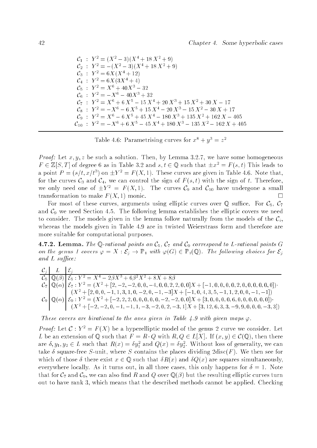$C_1$  :  $Y^2 = (X^2 - 3)(X^4 + 18 X^2 + 9)$  $\mathcal{C}_2$  :  $Y^2 = -(X^2-3)(X^4+18 X^2+9)$  $C_3$ :  $Y^2 = 6X(X^4 + 12)$  $C_4$  :  $Y^2 = 6X(3X^4 + 4)$  $C_5$  :  $Y^2 = X^6 + 40X^3 - 32$  $C_6$  :  $Y^2 = -X^6 - 40X^3 + 32$  $C_7$  :  $Y^2 = X^6 + 6 X^5 - 15 X^4 + 20 X^3 + 15 X^2 + 30 X - 17$  $C_8$  :  $Y^2 = -X^6 - 6X^5 + 15X^4 - 20X^3 - 15X^2 - 30X + 17$  $C_9$  :  $Y^2 = X^6 - 6X^5 + 45X^4 - 180X^3 + 135X^2 + 162X - 405$  $C_{10}$  :  $Y^2 = -X^6 + 6X^5 - 45X^4 + 180X^3 - 135X^2 - 162X + 405$ 

Table 4.0: Parametrising curves for  $x^+ + y^+ = z^-$ 

*Proof:* Let  $x, y, z$  be such a solution. Then, by Lemma 3.2.7, we have some homogeneous  $F \in \mathbb{Z}[S, T]$  of degree 6 as in Table 3.2 and  $s, t \in \mathbb{Q}$  such that  $\pm x^2 = F(s, t)$  This leads to a point  $P = (s/t, x/t^2)$  on  $\pm Y \mp F(\Lambda, 1)$ . These curves are given in Table 4.6. Note that, for the curves  $\mathcal{C}_3$  and  $\mathcal{C}_4$ , we can control the sign of  $F(s, t)$  with the sign of t. Therefore, we only need one of  $\pm Y^2 = F(X,1)$ . The curves  $C_9$  and  $C_{10}$  have undergone a small transformation to make  $F(X, 1)$  monic.

For most of these curves, arguments using elliptic curves over  $\mathbb Q$  suffice. For  $\mathcal C_5$ ,  $\mathcal C_7$ and  $C_9$  we need Section 4.5. The following lemma establishes the elliptic covers we need to consider. The models given in the lemma follow naturally from the models of the  $C_i$ . whereas the models given in Table 4.9 are in twisted Weierstrass form and therefore are more suitable for computational purposes.

**4.7.2. Lemma.** The Q-rational points on  $\mathcal{C}_5$ ,  $\mathcal{C}_7$  and  $\mathcal{C}_9$  correspond to L-rational points G on the genus 1 covers  $\varphi = X : \mathcal{E}_j \to \mathbb{P}_1$  with  $\varphi(G) \in \mathbb{P}_1(\mathbb{Q})$ . The following choices for  $\mathcal{E}_j$ and  $L$  suffice:

| $\mathcal{C}_i \begin{bmatrix} L & \mathcal{E}_j \end{bmatrix}$ |                                                                                                                                                                    |
|-----------------------------------------------------------------|--------------------------------------------------------------------------------------------------------------------------------------------------------------------|
|                                                                 | $C_5   \mathbb{Q}(\beta)   \mathcal{E}_5 : Y^2 = X^4 - 2\beta X^3 + 6\beta^2 X^2 + 8X + 8\beta$                                                                    |
|                                                                 | $\mathcal{C}_7 \big  \mathbb{Q}(\alpha) \big  \mathcal{E}_7 : Y^2 = (X^2 + [2, -2, -2, 0, 0, -4, 0, 0, 2, 2, 0, 0]X + [-1, 0, 0, 0, 0, 2, 0, 0, 0, 0, 0, 0] \big $ |
|                                                                 | $(X^2 + [2, 0, 0, -1, 1, 3, 1, 0, -2, 0, -1, -3]X + [-1, 0, 4, 3, 5, -1, 1, 2, 0, 0, -1, -1])$                                                                     |
|                                                                 | $\mathcal{C}_9   \mathbb{Q}(\alpha)   \mathcal{E}_9 : Y^2 = (X^2 + [-2, 2, 2, 0, 0, 0, 0, 0, -2, -2, 0, 0]X + [3, 0, 0, 0, 0, 0, 0, 0, 0, 0, 0, 0])$               |
|                                                                 | $(X^2 + [-2, -2, 0, -1, -1, 1, -3, -2, 0, 2, -3, 1]X + [3, 12, 6, 3, 3, -9, 9, 0, 0, 0, -3, 3])$                                                                   |

These covers are birational to the ones given in Table 4.9 with given maps  $\varphi$ .

*Proof:* Let  $\mathcal{C}: Y^2 = F(X)$  be a hyperelliptic model of the genus 2 curve we consider. Let L be an extension of  $\mathbb Q$  such that  $F = R \cdot Q$  with  $R, Q \in L[X]$ . If  $(x, y) \in C(\mathbb Q)$ , then there are  $o, y_1, y_2 \in L$  such that  $\kappa(x) = o y_1^-$  and  $Q(x) = o y_2^-.$  Without loss of generality, we can take  $\delta$  square-free S-unit, where S contains the places dividing 2disc(F). We then see for which of those  $\delta$  there exist  $x \in \mathbb{Q}$  such that  $\delta R(x)$  and  $\delta Q(x)$  are squares simultaneously, everywhere locally. As it turns out, in all three cases, this only happens for  $\delta = 1$ . Note that for  $C_7$  and  $C_9$ , we can also find R and Q over  $\mathbb{Q}(\beta)$  but the resulting elliptic curves turn out to have rank 3, which means that the described methods cannot be applied. Checking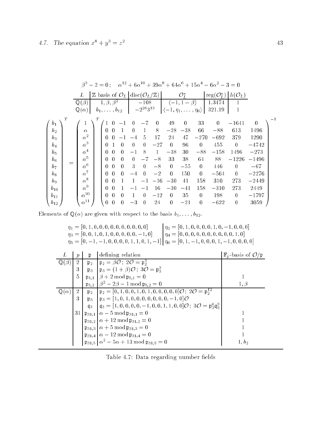|                |                      | $\beta^3 - 2 = 0$ ; $\alpha^{12} + 6\alpha^{10} + 39\alpha^8 + 64\alpha^6 + 15\alpha^4 - 6\alpha^2 - 3 = 0$ |                                                   |                          |                                |                                                              |                  |                |
|----------------|----------------------|-------------------------------------------------------------------------------------------------------------|---------------------------------------------------|--------------------------|--------------------------------|--------------------------------------------------------------|------------------|----------------|
|                | L                    | $\mathbb{Z}$ basis of $\mathcal{O}_L$ disc $(\mathcal{O}_L/\mathbb{Z})$ $\mathcal{O}_L^*$                   |                                                   |                          |                                | $\lceil \text{reg}(\mathcal{O}_L^*) \rceil h(\mathcal{O}_L)$ |                  |                |
|                | $\mathbb{Q}(\beta)$  | $\boxed{1,\beta,\beta^2}$   $-108$   $\langle -1,1-\beta \rangle$   1.3474                                  |                                                   |                          |                                |                                                              |                  |                |
|                | $\mathbb{Q}(\alpha)$ | $b_1, \ldots, b_{12}$   $-2^{26}3^{13}$ $ \langle -1, \eta_1, \ldots, \eta_6 \rangle $ 321.19               |                                                   |                          |                                |                                                              |                  |                |
| $b_{1}$        |                      | $1 \t 0 \t -1 \t 0$                                                                                         | $-7$ 0                                            | 49                       | $\overline{\phantom{0}}$<br>33 | $\overline{0}$                                               | $-1641$          | $\overline{0}$ |
| b <sub>2</sub> | $\alpha$             | $0 \t0 \t1 \t0$                                                                                             | $\overline{1}$                                    | 8<br>$-28 - 38$          | 66                             | $-88$                                                        | 613              | 1496           |
| b <sub>3</sub> | $\alpha^2$           | $0\quad 0$<br>$-1$                                                                                          | $-4$<br>- 5                                       | 17<br>24                 | 47<br>$-270$                   | $-692$                                                       | 379              | 1290           |
| $b_4$          | $\alpha^3$           | $\Omega$<br>0 <sub>1</sub>                                                                                  | $\bigcap$<br>$\theta$                             | $-27$<br>$\vert 0 \vert$ | 96<br>$\overline{0}$           | 455                                                          | $\overline{0}$   | $-4742$        |
| $b_{5}$        | $\alpha^4$           | 0 <sub>0</sub><br>$\theta$                                                                                  | -8<br>$-1$                                        | $-38$<br>-1              | 30<br>$-88$                    | $-158$                                                       | 1496             | $-273$         |
| $b_6$          | $\alpha^5$           | $0\quad 0$<br>$\Omega$                                                                                      | $\vert$<br>$-7$                                   | 33<br>$-8$               | 38<br>64                       | 88                                                           | $-1226$          | $-1496$        |
| $=$<br>$b_7$   | $\alpha^6$           | $0\quad 0$<br>$\Omega$                                                                                      | 3<br>$\overline{\phantom{0}}$                     | $\overline{0}$<br>$-8$   | $-55$<br>$\overline{0}$        | 446                                                          | $\boldsymbol{0}$ | $-67$          |
| $b_8$          | $\alpha^7$           | $\Box$ 0<br>$\Omega$<br>$\mathbf{0}$                                                                        | $-4$<br>$\Box$ 0                                  | $\overline{0}$<br>$-2$   | 150<br>$\vert 0 \vert$         | $-564$                                                       | $\overline{0}$   | $-2276$        |
| $b_{9}$        | $\alpha^8$           | $0\quad 0$<br>$\overline{1}$                                                                                | $\mathbf{1}$<br>$-1$                              | $-16$<br>$-30$           | 41<br>158                      | 310                                                          | 273              | $-2449$        |
| $b_{10}$       | $\alpha^9$           | 0 <sub>0</sub><br>$\mathbf{1}$                                                                              | $-1$                                              | -16<br>$-30$             | 158<br>$-41$                   | $-310$                                                       | 273              | 2449           |
| $b_{11}$       | $\alpha^{10}$        | $\Box$ 0<br>$\theta$<br>$\Omega$                                                                            | $\mathbf{1}$<br>$\theta$                          | $-12$<br>$\overline{0}$  | $\overline{0}$<br>35           | 198                                                          | $\theta$         | $-1797$        |
| $b_{12}$       | $\alpha^{11}$        | $0\quad 0$<br>$\overline{0}$                                                                                | $-3$<br>- 24<br>$\begin{array}{cc} 0 \end{array}$ | $\overline{0}$           | $\overline{0}$<br>$-21$        | $-622$                                                       | $\boldsymbol{0}$ | 3059           |

Elements of  $\mathbb{Q}(\alpha)$  are given with respect to the basis  $b_1, \ldots, b_{12}$ .

| $\eta_1=[0,1,0,0,0,0,0,0,0,0,0,0]$                                                               | $\eta_2 = [0, 1, 0, 0, 0, 0, 1, 0, -1, 0, 0, 0]$ |
|--------------------------------------------------------------------------------------------------|--------------------------------------------------|
| $\eta_3=[0,0,1,0,1,0,0,0,0,0,-1,0]$                                                              | $\eta_4 = [0, 0, 0, 0, 0, 0, 0, 0, 0, 0, 1, 0]$  |
| $\eta_5=[0, -1, -1, 0, 0, 0, 0, 1, 1, 0, 1, -1]$ $\eta_6=[0, 1, -1, 0, 0, 0, 1, -1, 0, 0, 0, 0]$ |                                                  |

|                      | $\boldsymbol{v}$ | $\mathfrak{p}$   | defining relation                                                                                                                            | $\mathbb{F}_p$ -basis of $\mathcal{O}/\mathfrak{p}$ |
|----------------------|------------------|------------------|----------------------------------------------------------------------------------------------------------------------------------------------|-----------------------------------------------------|
| $\mathbb{Q}(\beta)$  | -2               |                  | $\mathfrak{p}_2$ $\mathfrak{p}_2 = \beta \mathcal{O}$ ; $2\mathcal{O} = \mathfrak{p}_2^3$                                                    |                                                     |
|                      | 3                | $\mathfrak{p}_3$ | $\mathfrak{p}_3 = (1+\beta)\mathcal{O}$ ; $3\mathcal{O} = \mathfrak{p}_3^3$                                                                  |                                                     |
|                      | $\overline{5}$   |                  | $\mathfrak{p}_{5,1}   \beta + 2 \mod \mathfrak{p}_{5,1} = 0$                                                                                 |                                                     |
|                      |                  |                  | $\mathfrak{p}_{5,2}$ $\beta^2 - 2\beta - 1 \mod \mathfrak{p}_{5,2} = 0$                                                                      | $1, \beta$                                          |
| $\mathbb{Q}(\alpha)$ | $2^{\circ}$      | $\mathfrak{p}_2$ | $\mathfrak{p}_2 = [0, 1, 0, 0, 1, 0, 1, 0, 0, 0, 0, 0, 0]$ $\mathcal{O}$ ; $2\mathcal{O} = \mathfrak{p}_2^{12}$                              |                                                     |
|                      | 3                |                  | $\mathfrak{p}_3$ $[\mathfrak{p}_3 = [1, 0, 1, 0, 0, 0, 0, 0, 0, 0, -1, 0]\mathcal{O}$                                                        |                                                     |
|                      |                  |                  | $\mathfrak{q}_3$ $\mathfrak{q}_3 = [1, 0, 0, 0, 0, -1, 0, 0, 1, 1, 0, 0]$ $\mathcal{O}$ ; $3\mathcal{O} = \mathfrak{p}_3^6 \mathfrak{q}_3^3$ |                                                     |
|                      | 31               |                  | $\vert \mathfrak{p}_{31,1} \vert \alpha - 5 \bmod \mathfrak{p}_{31,1} = 0$                                                                   |                                                     |
|                      |                  |                  | $\mathfrak{p}_{31,2}$ $\alpha + 12 \mod \mathfrak{p}_{31,2} = 0$                                                                             |                                                     |
|                      |                  |                  | $\mathfrak{p}_{31,3}$   $\alpha + 5 \mod \mathfrak{p}_{31,3} = 0$                                                                            |                                                     |
|                      |                  |                  | $\mathfrak{p}_{31,4}$   $\alpha - 12 \mod \mathfrak{p}_{31,4} = 0$                                                                           |                                                     |
|                      |                  |                  | $\vert \mathfrak{p}_{31.5} \vert \alpha^2 - 5\alpha + 13 \bmod \mathfrak{p}_{31.5} = 0$                                                      | 1, b <sub>2</sub>                                   |

Table 4.7: Data regarding number fields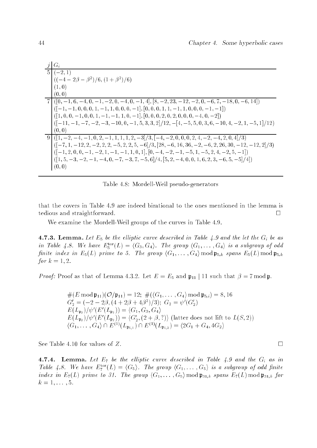| $G_i$                                                                                                 |
|-------------------------------------------------------------------------------------------------------|
| $5 (-2,1)$                                                                                            |
| $((-4-2\beta-\beta^2)/6,(1+\beta^2)/6)$                                                               |
| (1, 0)                                                                                                |
| (0, 0)                                                                                                |
| $7   ([0, -1, 6, -4, 0, -1, -2, 0, -4, 0, -1, 4], [8, -2, 23, -12, -2, 0, -6, 7, -18, 0, -6, 14] )$   |
| $([-1, -1, 0, 0, 0, 1, -1, 1, 0, 0, 0, -1], [0, 0, 0, 1, 1, -1, 1, 0, 0, 0, -1, -1])$                 |
| $([1, 0, 0, -1, 0, 0, 1, -1, -1, 1, 0, -1], [0, 0, 0, 2, 0, 2, 0, 0, 0, -4, 0, -2])$                  |
| $([-11, -1, -7, -2, -3, -10, 0, -1, 5, 3, 3, 2]/12, -[4, -5, 5, 0, 3, 6, -10, 4, -2, 1, -5, 1]/12)$   |
| (0, 0)                                                                                                |
| $9 (1, -2, -4, -1, 0, 2, -1, 1, 1, 1, 2, -3)/3, [-4, -2, 0, 0, 0, 2, 4, -2, -4, 2, 0, 4]/3)$          |
| $([-7, 1, -12, 2, -2, 2, 2, -5, 2, 2, 5, -6]/3$ , [28, -6, 16, 36, -2, -6, 2, 26, 30, -12, -12, 2]/3) |
| $([-1, 2, 0, 0, -1, -2, 1, -1, -1, 1, 0, 1], [0, -4, -2, -1, -5, 1, -5, 2, 4, -2, 5, -1])$            |
| $([1, 5, -3, -2, -1, -4, 0, -7, -3, 7, -5, 6]/4, [5, 2, -4, 0, 0, 1, 6, 2, 3, -6, 5, -5]/4]$          |
| (0, 0)                                                                                                |

Table 4.8: Mordell-Weil pseudo-generators

that the covers in Table 4.9 are indeed birational to the ones mentioned in the lemma is tedious and straightforward.

We examine the Mordell-Weil groups of the curves in Table 4.9.

**4.7.3. Lemma.** Let  $E_5$  be the elliptic curve described in Table 4.9 and the let the  $G_i$  be as in Table 4.8. We have  $E_5^{--}(L) = \langle G_3, G_4 \rangle$ . The group  $\langle G_1, \ldots, G_4 \rangle$  is a subgroup of odd finite index in  $E_5(L)$  prime to 5. The group  $\langle G_1, \ldots, G_4 \rangle$  mod  $\mathfrak{p}_{5,k}$  spans  $E_5(L)$  mod  $\mathfrak{p}_{5,k}$ *for*  $k = 1, 2$ .

*Proof:* Proof as that of Lemma 4.3.2. Let  $E = E_5$  and  $\mathfrak{p}_{11}$  | 11 such that  $\beta = 7 \text{ mod } \mathfrak{p}$ .

 $#(E \mod \mathfrak{p}_{11})(\mathcal{O}/\mathfrak{p}_{11}) = 12; \#(\langle G_1, \ldots, G_4 \rangle \mod \mathfrak{p}_{5,i}) = 8, 16$  $G_2 = (-2 - 2\rho, (4 + 2\rho + 4\rho)/\rho); G_2 = \psi(G_2)$  $L(L_{\mathfrak{p}_2})/\psi$  ( $L(L_{\mathfrak{p}_2})$ ) = ( $G_1, G_3, G_4$ )  $E(L_{p_2})/\psi$  (E  $(L_{p_2}) = (G_2, (2 + \beta, 1))$  (latter does not lift to  $E(S, 2))$ )  $\langle G_1, \ldots, G_4 \rangle \cap E^{(1)}(L_{\mathfrak{p}_{5,1}}) \cap E^{(1)}(L_{\mathfrak{p}_{5,2}}) = \langle 2G_1 + G_4, 4G_2 \rangle$ 

See Table 4.10 for values of Z.

**4.7.4.** Lemma. Let  $E_7$  be the elliptic curve described in Table 4.9 and the  $G_i$  as in Table 4.8. We have  $E_7^{\sim}(L) = \langle G_5 \rangle$ . The group  $\langle G_1, \ldots, G_5 \rangle$  is a subgroup of odd finite index in  $E_7(L)$  prime to 31. The group  $\langle G_1, \ldots, G_5 \rangle$  mod  $\mathfrak{p}_{31,k}$  spans  $E_7(L)$  mod  $\mathfrak{p}_{31,k}$  for  $k = 1, \ldots, 5$ .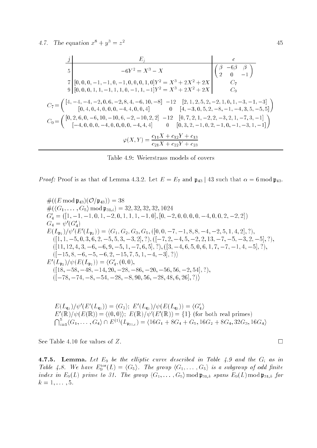$$
\begin{array}{c|c}\nj & E_j & c \\
5 & -6Y^2 = X^3 - X & \sqrt{20} & 0 & -1 \\
7 & 0 & 0, 0, -1, -1, 0, -1, 0, 0, 0, 1, 0 \\
8 & 0 & 0, 0, 1, 1, -1, 1, 1, 0, -1, 1, -1 \\
9 & 0 & 0, 0, 1, 1, -1, 1, 1, 0, -1, 1, -1 \\
1 & 0 & -1, 1, 1, 1\n\end{array}
$$
\n
$$
C_7 = \begin{pmatrix}\n[4, -4, -4, -2, 0, 6, -2, 8, 4, -6, 10, -8] & -12 & [2, 1, 2, 5, 2, -2, 1, 0, 1, -3, -1, -3] \\
[0, 4, 0, 4, 0, 0, 0, -4, 4, 0, 0, 4] & 0 & [4, -3, 0, 5, 2, -8, -1, -4, 3, 5, -5, 5]\n\end{pmatrix}
$$
\n
$$
C_9 = \begin{pmatrix}\n[0, 2, 6, 0, -6, 10, -10, 6, -2, -10, 2, 2] & -12 & [0, 7, 2, 1, -2, 2, -3, 2, 1, -7, 3, -1] \\
[-4, 0, 0, 0, -4, 0, 0, 0, 0, -4, 4, 4] & 0 & [0, 3, 2, -1, 0, 2, -1, 0, -1, -3, 1, -1]\n\end{pmatrix}
$$
\n
$$
\varphi(X, Y) = \frac{c_{11}X + c_{12}Y + c_{13}}{c_{21}X + c_{22}Y + c_{23}}
$$

Table 4.9: Weierstrass models of covers

*Proof:* Proof is as that of Lemma 4.3.2. Let  $E = E_7$  and  $\mathfrak{p}_{43}$  | 43 such that  $\alpha = 6 \mod \mathfrak{p}_{43}$ .

$$
\#((E \mod \mathfrak{p}_{43})(\mathcal{O}/\mathfrak{p}_{43})) = 38
$$
  
\n
$$
\#(\langle G_1, \ldots, G_5 \rangle \mod \mathfrak{p}_{31,i}) = 32, 32, 32, 1024
$$
  
\n
$$
G'_4 = ([1, -1, -1, 0, 1, -2, 0, 1, 1, 1, -1, 0], [0, -2, 0, 0, 0, 0, -4, 0, 0, 2, -2, 2])
$$
  
\n
$$
G_4 = \psi'(G'_4)
$$
  
\n
$$
E(L_{\mathfrak{p}_2})/\psi'(E'(L_{\mathfrak{p}_2})) = \langle G_1, G_2, G_3, G_5, ([0, 0, -7, -1, 8, 8, -4, -2, 5, 1, 4, 2], ?),
$$
  
\n
$$
([1, 1, -5, 0, 3, 6, 2, -5, 5, 3, -3, 2], ?), ([-7, 2, -4, 5, -2, 2, 13, -7, -5, -3, 2, -5], ?),
$$
  
\n
$$
([11, 12, 4, 3, -6, -6, 9, -5, 1, -7, 6, 5], ?), ([3, -4, 6, 5, 0, 6, 1, 7, -7, -1, 4, -5], ?),
$$
  
\n
$$
([-15, 8, -6, -5, -6, 2, -15, 7, 5, 1, -4, -3], ?))
$$
  
\n
$$
E'(L_{\mathfrak{p}_2})/\psi(E(L_{\mathfrak{p}_2})) = \langle G'_4, (0, 0),
$$
  
\n
$$
([18, -58, -48, -14, 20, -28, -86, -20, -56, 56, -2, 54], ?),
$$
  
\n
$$
([-78, -74, -8, -54, -28, -8, 90, 56, -28, 48, 6, 26], ?)
$$

 $E(L_{\mathfrak{q}_3})/\psi$  (E  $(L_{\mathfrak{q}_3})$ ) =  $\langle \sigma_2 \rangle$ ; E  $(L_{\mathfrak{q}_3})/\psi$ (E( $L_{\mathfrak{q}_3}$ )) =  $\langle \sigma_4 \rangle$  $E(\mathbb{R})/\psi(E(\mathbb{R})) = \langle (0,0) \rangle$ ;  $E(\mathbb{R})/\psi(E(\mathbb{R})) = \{1\}$  (for both real primes)  $\bigcap_{i=1}^{\infty} \langle G_1, \ldots, G_4 \rangle \cap E^{(1)}(L_{\mathfrak{p}_{31,i}}) = \langle 16G_1 + 8G_4 + G_5, 16G_2 + 8G_4, 32G_3, 16G_4 \rangle$ 

See Table 4.10 for values of Z.

**4.7.5.** Lemma. Let  $E_9$  be the elliptic curve described in Table 4.9 and the  $G_i$  as in Table 4.8. We have  $E_9^{\circ\circ}(L) = \langle G_5 \rangle$ . The group  $\langle G_1, \ldots, G_5 \rangle$  is a subgroup of odd finite index in  $E_9(L)$  prime to 31. The group  $\langle G_1, \ldots, G_5 \rangle$  mod  $\mathfrak{p}_{31,k}$  spans  $E_9(L)$  mod  $\mathfrak{p}_{31,k}$  for  $k = 1, \ldots, 5$ .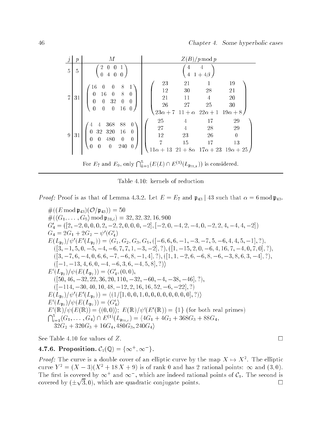|                  | р  | М                                                                                                                                                                                                 | $Z(B)/p \mod p$                                                                                                                                                       |
|------------------|----|---------------------------------------------------------------------------------------------------------------------------------------------------------------------------------------------------|-----------------------------------------------------------------------------------------------------------------------------------------------------------------------|
| $\overline{5}$   | 5  | $2\quad 0$<br>$0 \t4 \t0 \t0$                                                                                                                                                                     | $1+4\beta$                                                                                                                                                            |
| $\overline{7}$   | 31 | $\begin{pmatrix} 16 & 0 & 0 & 8 & 1 \ 0 & 16 & 0 & 8 & 0 \ 0 & 0 & 32 & 0 & 0 \ 0 & 0 & 0 & 16 & 0 \end{pmatrix}$                                                                                 | 23<br>21<br>19<br>12<br>28<br>21<br>30<br>21<br>20<br>11<br>$\overline{4}$<br>26<br>25<br>27<br>30<br>$23\alpha + 7$ 11 + $\alpha$ 22 $\alpha$ + 1 19 $\alpha$ + 8    |
| $\boldsymbol{9}$ | 31 | 368<br>88<br>$\boldsymbol{0}$<br>4<br>$\overline{4}$<br>$0 \t32 \t320 \t16$<br>$0 \t0 \t480 \t0$<br>$\boldsymbol{0}$<br>$\boldsymbol{0}$<br>240 0<br>$\overline{\phantom{0}}$<br>$\boldsymbol{0}$ | 25<br>29<br>17<br>4<br>27<br>28<br>29<br>4<br>12<br>23<br>26<br>$\overline{0}$<br>15<br>17<br>13<br>$11\alpha + 13$ 21 + 8 $\alpha$ 17 $\alpha$ + 23 19 $\alpha$ + 25 |

For  $E_7$  and  $E_9$ , only  $\bigcap_{k=1}^5 (E(L) \cap E^{(1)}(L_{\mathfrak{p}_{31,k}}))$  is considered.

Table 4.10: kernels of reduction

*Proof:* Proof is as that of Lemma 4.3.2. Let  $E = E_7$  and  $\mathfrak{p}_{43}$  | 43 such that  $\alpha = 6 \mod \mathfrak{p}_{43}$ .

$$
\#((E \mod \mathfrak{p}_{43})(\mathcal{O}/\mathfrak{p}_{43})) = 50
$$
  
\n
$$
\#((G_1, \ldots, G_5) \mod \mathfrak{p}_{31,i}) = 32, 32, 32, 16, 900
$$
  
\n
$$
G'_4 = ([2, -2, 0, 0, 0, 2, -2, 2, 0, 0, 0, -2], [-2, 0, -4, 2, -4, 0, -2, 2, 4, -4, 4, -2])
$$
  
\n
$$
G_4 = 2G_1 + 2G_2 - \psi'(G'_4)
$$
  
\n
$$
E(L_{\mathfrak{p}_2})/\psi'(E'(L_{\mathfrak{p}_2})) = \langle G_1, G_2, G_3, G_5, ([-6, 6, 6, -1, -3, -7, 5, -6, 4, 4, 5, -1], ?),
$$
  
\n
$$
([3, -1, 5, 0, -5, -4, -6, 7, 7, 1, -3, -2], ?), ([1, -15, 2, 0, -6, 4, 16, 7, -4, 0, 7, 0], ?),
$$
  
\n
$$
([3, -7, 6, -4, 0, 6, 6, -7, -6, 8, -1, 4], ?), ([1, 1, -2, 6, -6, 8, -6, -3, 8, 6, 3, -4], ?),
$$
  
\n
$$
([-1, -13, 4, 6, 0, -4, -6, 3, 6, -4, 5, 8], ?)
$$
  
\n
$$
E'(L_{\mathfrak{p}_2})/\psi(E(L_{\mathfrak{p}_2})) = \langle G'_4, (0, 0),
$$
  
\n
$$
([50, 46, -32, 22, 36, 20, 110, -32, -60, -4, -38, -46], ?),
$$
  
\n
$$
([-114, -30, 40, 10, 48, -12, 2, 16, 16, 52, -6, -22], ?)
$$
  
\n
$$
E(L_{\mathfrak{p}_3})/\psi'(E'(L_{\mathfrak{p}_3)) =
$$

See Table 4.10 for values of  $Z$ .

4.7.6. Proposition.  $C_1(\mathcal{Q}) = \{ \infty, \infty \}$ .

Proof: The curve is a double cover of an elliptic curve by the map  $\Lambda \mapsto \Lambda^*$ . The elliptic curve  $Y^2 = (X-3)(X^2+18X+9)$  is of rank 0 and has 2 rational points:  $\infty$  and  $(3,0)$ . The first is covered by  $\infty$  + and  $\infty$  , which are indeed rational points of  $C_1$ . The second is covered by ( product the control of 3; 0), which are quadratic conjugate points.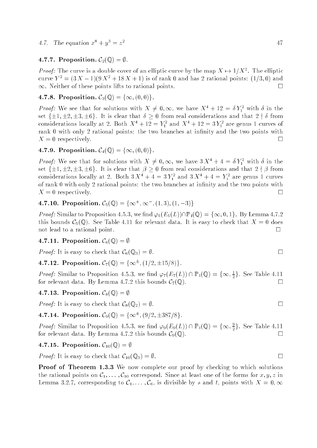#### 4.7. Ine equation  $x^2 + y^3 = z^3$

#### 4.7.7. Proposition.  $C_2(\mathbb{Q}) = \emptyset$ .

Proof: The curve is a double cover of an elliptic curve by the map  $\Lambda \mapsto 1/\Lambda^*$ . The elliptic curve  $Y^2 = (3 X - 1)(9 X^2 + 18 X + 1)$  is of rank 0 and has 2 rational points:  $(1/3, 0)$  and  $\infty$ . Neither of these points lifts to rational points.

#### 4.7.8. Proposition.  $C_3(\mathbb{Q}) = {\infty, (0, 0)}$ .

*Proof:* We see that for solutions with  $A \neq 0, \infty$ , we have  $A_1 + 12 = o I_1$  with o in the set  $\{\pm 1, \pm 2, \pm 3, \pm 6\}$ . It is clear that  $\delta \geq 0$  from real considerations and that  $2 \nmid \delta$  from considerations locally at 2. Doth  $A^+ + 12 = Y_1^+$  and  $A^+ + 12 = 3Y_1^+$  are genus 1 curves of rank 0 with only 2 rational points: the two branches at infinity and the two points with  $X = 0$  respectively.

#### 4.7.9. Proposition.  $C_4(\mathbb{Q}) = {\infty, (0, 0)}$ .

*Proof:* We see that for solutions with  $A \neq 0, \infty$ , we have  $3A^+ + 4 = 0$   $I_1^+$  with 0 in the set  $\{\pm 1, \pm 2, \pm 3, \pm 6\}$ . It is clear that  $\beta \geq 0$  from real considerations and that  $2 \nmid \beta$  from considerations locally at 2. Doth  $3\Lambda^+ + 4 = 3Y_1^+$  and  $3\Lambda^+ + 4 = Y_1^-$  are genus 1 curves of rank  $0$  with only  $2$  rational points: the two branches at infinity and the two points with  $X = 0$  respectively.  $\Box$ 

#### 4.7.10. Proposition.  $C_5(\mathcal{Q}) = \{ \infty, \infty, (1, 3), (1, -3) \}$

*Proof:* Similar to Proposition 4.5.3, we find  $\varphi_5(E_5(L))\cap \mathbb{P}_1(\mathbb{Q}) = {\infty, 0, 1}$ . By Lemma 4.7.2 this bounds  $C_5(\mathbb{Q})$ . See Table 4.11 for relevant data. It is easy to check that  $X = 0$  does not lead to a rational point.

#### 4.7.11. Proposition.  $\mathcal{C}_6(\mathbb{Q}) = \emptyset$

*Proof:* It is easy to check that  $C_6(\mathbb{Q}_3) = \emptyset$ .

4.7.12. Proposition.  $C_7(\mathbb{Q}) = \{ \infty^-, (1/2, \pm 15/8) \}$ .

*Proof:* Similar to Proposition 4.3.3, we find  $\varphi_7(E_7(L)) \sqcup \mathbb{F}_1(\mathbb{Q}) = \{\infty, \frac{1}{2}\}.$  See Table 4.11 for relevant data. By Lemma 4.7.2 this bounds  $C_7(\mathbb{Q})$ .

#### 4.7.13. Proposition.  $\mathcal{C}_8(\mathbb{Q}) = \emptyset$

*Proof:* It is easy to check that  $C_8(\mathbb{Q}_2) = \emptyset$ .

4.7.14. Proposition.  $C_9(\mathcal{Q}) = \{ \infty^-, (\mathcal{Y}/2, \pm 3\delta)/\delta \}$ .

*Proof:* Similar to Proposition 4.3.3, we find  $\varphi_9(E_9(L)) \sqcup \mathbb{F}_1(\mathbb{Q}) = \{\infty, \frac{1}{2}\}.$  See Table 4.11 for relevant data. By Lemma 4.7.2 this bounds  $C_9(\mathbb{Q})$ .

#### 4.7.15. Proposition.  $C_{10}(\mathbb{Q}) = \emptyset$

*Proof:* It is easy to check that  $C_{10}(\mathbb{Q}_3) = \emptyset$ .

Proof of Theorem 1.3.3 We now complete our proof by checking to which solutions the rational points on  $C_1, \ldots, C_{10}$  correspond. Since at least one of the forms for  $x, y, z$  in Lemma 3.2.7, corresponding to  $C_1, \ldots, C_6$ , is divisible by s and t, points with  $X = 0, \infty$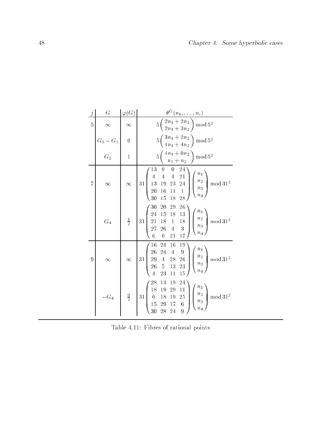| $\boldsymbol{j}$ | $\cal G$        | $\varphi(G)$     | $\theta^G(n_1,\ldots,n_r)$                                                                                                                                                                                                                                                                                                                                                                                                                              |  |  |  |
|------------------|-----------------|------------------|---------------------------------------------------------------------------------------------------------------------------------------------------------------------------------------------------------------------------------------------------------------------------------------------------------------------------------------------------------------------------------------------------------------------------------------------------------|--|--|--|
| $\overline{5}$   | $\infty$        | $\infty$         | $5\left(\frac{2n_1+2n_2}{2n_1+3n_2}\right) \bmod{5^2}$                                                                                                                                                                                                                                                                                                                                                                                                  |  |  |  |
|                  | $G_3-G_1$ $G_2$ | $\boldsymbol{0}$ | $5\left(\frac{3n_1+2n_2}{4n_1+4n_2}\right) \bmod{5^2}$                                                                                                                                                                                                                                                                                                                                                                                                  |  |  |  |
|                  |                 | $\mathbf{1}$     | $\left(\frac{4n_1+0n_2}{n_1+n_2}\right) \bmod 5^2$<br>$\overline{5}$                                                                                                                                                                                                                                                                                                                                                                                    |  |  |  |
| $\overline{7}$   | $\infty$        | $\infty$         | $\begin{array}{c c} & \text{ } & 24 \\ \text{ } & 4 & 4 & 21 \\ 13 & 19 & 23 & 24 \\ 20 & 16 & 11 & 1 \\ 30 & 15 & 18 & 28 \end{array}\Bigg\vert\begin{array}{c} \overbrace{\begin{array}{c} n_1 \\ n_2 \\ n_3 \\ n_4 \end{array} }^{\hskip -7pt \overbrace{\begin{array}{c} n_1 \\ n_2 \\ n_3 \\ n_4 \end{array} }^{\hskip -7pt \overbrace{\begin{array}{c} n_2 \\ n_5 \\ n_6 \end{array} }^{\hskip -7pt \overbrace{\begin{array}{c} n_1 \\$<br>$31\,$ |  |  |  |
|                  | $G_4$           | $\frac{1}{2}$    | $30\,$<br><b>20</b><br>$\,29$<br>${\bf 26}$<br>$\begin{array}{c c c c c c} \hline z_2 & z_2 & z_3 & z_0 \\ \hline 24 & 15 & 18 & 13 \\ 21 & 18 & 1 & 18 \\ 27 & 26 & 4 & 3 \end{array} \begin{pmatrix} n_1 \\ n_2 \\ n_3 \\ n \end{pmatrix} \bmod 31^2$<br>$3\sqrt{1}$<br>$\overline{6}$<br>$\mathbf 0$<br>$2\sqrt{1}$<br>17                                                                                                                            |  |  |  |
| 9                | $\infty$        | $\infty$         | $\sqrt{24}$<br>$16\,$<br>16<br>19<br>$\left\lfloor \begin{pmatrix} n_1 \\ n_2 \\ n_3 \\ \cdots \end{pmatrix} \right\rfloor$ mod 31 <sup>2</sup><br>$\begin{array}{cccc} 26 & 24 & 4 & 9 \\ 29 & 4 & 28 & 26 \\ 26 & 5 & 13 & 23 \\ \end{array}$<br>$3\sqrt{1}$<br>$\overline{4}$<br>23<br>11<br>$15\,$                                                                                                                                                  |  |  |  |
|                  | $-G_4$          | $\frac{9}{2}$    | $28\,$<br>$19\,$<br>14<br>$\begin{array}{c} \begin{array}{c} \text{-} \\ 11 \\ 25 \\ 6 \\ \text{-} \\ \end{array} \end{array} \left( \begin{array}{c} n_1 \\ n_2 \\ n_3 \\ n \end{array} \right) \bmod 31^2$<br>$\begin{bmatrix} 18 & 19 & 29 \\ 0 & 18 & 19 \\ 15 & 29 & 17 \\ 30 & 28 & 24 \end{bmatrix}$<br>31<br>$\overline{9}$                                                                                                                     |  |  |  |

Table 4.11: Fibres of rational points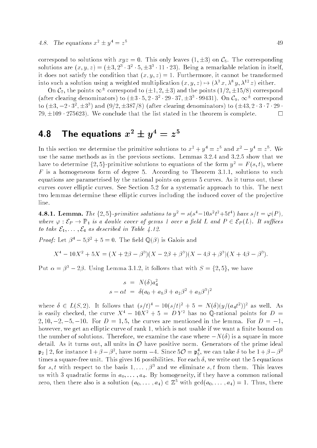correspond to solutions with  $xyz = 0$ . This only leaves  $(1, \pm 3)$  on  $\mathcal{C}_5$ . The corresponding solutions are  $(x, y, z) = (\pm 3, 2 \pm 3 \pm 3 \pm 11 \pm 23)$ . Deing a remarkable relation in itself, it does not satisfy the condition that  $(x, y, z) = 1$ . Furthermore, it cannot be transformed into such a solution using a weighted multiplication  $(x, y, z) \mapsto (\lambda/x, \lambda/y, \lambda-z)$  either.

On  $C_7$ , the points  $\infty^+$  correspond to  $(\pm 1, 2, \pm 3)$  and the points  $(1/2, \pm 15/8)$  correspond (after clearing denominators) to  $(\pm 3 \cdot 5, 2 \cdot 3) \cdot 29 \cdot 37, \pm 3) \cdot 99431$ ). On  $\mathcal{C}_9, \infty^-$  correspond to (±3,  $-$ 2 · 3 , ±3 ) and (9/2, ±387/8) (after clearing denominators) to (±43, 2 · 3 · 7 · 29 · 79,  $\pm 109 \cdot 275623$ . We conclude that the list stated in the theorem is complete.

## 4.8 The equations  $x^2 \pm y^4 = z^5$

In this section we determine the primitive solutions to  $x^2 + y^2 = z^2$  and  $x^2 - y^2 = z^2$ . We use the same methods as in the previous sections. Lemmas 3.2.4 and 3.2.5 show that we have to determine  $\{2,5\}$ -primitive solutions to equations of the form  $y^2 = F(s,t)$ , where  $F$  is a homogeneous form of degree 5. According to Theorem 3.1.1, solutions to such equations are parametrised by the rational points on genus 5 curves. As it turns out, these curves cover elliptic curves. See Section 5.2 for a systematic approach to this. The next two lemmas determine these elliptic curves including the induced cover of the projective line.

**4.8.1. Lemma.** The  $\{2,5\}$ -primitive solutions to  $y^2 = s(s^2 - 10s^2t^2 + 5t^2)$  have  $s/t = \varphi(P)$ , where  $\varphi : \mathcal{E}_P \to \mathbb{P}_1$  is a double cover of genus 1 over a field L and  $P \in \mathcal{E}_P(L)$ . It suffices to take  $\mathcal{E}_1, \ldots, \mathcal{E}_4$  as described in Table 4.12.

*Proof:* Let  $\beta^4 - 5\beta^2 + 5 = 0$ . The field  $\mathbb{Q}(\beta)$  is Galois and

$$
X^{4} - 10X^{2} + 5X = (X + 2\beta - \beta^{3})(X - 2\beta + \beta^{3})(X - 4\beta + \beta^{3})(X + 4\beta - \beta^{3}).
$$

Put  $\alpha = \beta^3 - 2\beta$ . Using Lemma 3.1.2, it follows that with  $S = \{2, 5\}$ , we have

$$
s = N(\delta)a_4^2
$$
  

$$
s - \alpha t = \delta(a_0 + a_1\beta + a_2\beta^2 + a_3\beta^3)^2
$$

where  $\sigma \in L(\mathcal{S}, \mathcal{Z})$ . It follows that  $(s/t)$  =  $10(s/t)$  +  $\bar{\sigma}$  =  $N(\sigma)(y/(a_4t))$  as well. As is easily checked, the curve  $A^+ - 10A^- + 5 = D T^-$  has no Q-rational points for  $D =$ 2, 10, -2, -5, -10. For  $D = 1, 5$ , the curves are mentioned in the lemma. For  $D = -1$ , however, we get an elliptic curve of rank 1, which is not usable if we want a finite bound on the number of solutions. Therefore, we examine the case where  $-N(\delta)$  is a square in more detail. As it turns out, all units in  $\mathcal O$  have positive norm. Generators of the prime ideal  $\mathfrak{p}_2$  | 2, for instance  $1 + \rho - \rho$  , nave norm  $-4$ . Since  $3\mathcal{O} = \mathfrak{p}_5$ , we can take  $\sigma$  to be  $1 + \rho - \rho$ times a square-free unit. This gives 16 possibilities. For each  $\delta$ , we write out the 5 equations for  $s,t$  with respect to the basis  $1,\ldots,\beta^+$  and we eliminate  $s,t$  from them. This leaves us with 3 quadratic forms in  $a_0, \ldots, a_4$ . By homogeneity, if they have a common rational zero, then there also is a solution  $(a_0, \ldots, a_4) \in \mathbb{Z}^\times$  with  $\mathrm{gcd}(a_0, \ldots, a_4) = 1$ . Thus, there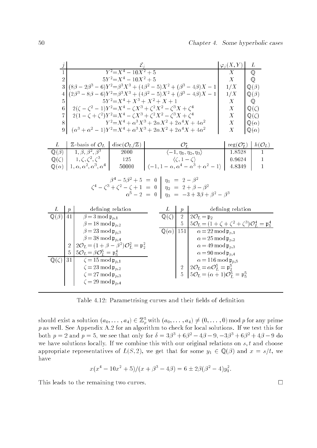|                     |                                                                                                                                                                                                                                                                                                                                                                                                                | $\frac{\mathcal{E}_j}{Y^2 = X^4 - 10X^2 + 5}$                                            |  |  |                                                                      |  |                                                                                                                                                                                                                  | $\frac{\varphi_j(X,Y)}{X}$ | L                                                          |  |  |
|---------------------|----------------------------------------------------------------------------------------------------------------------------------------------------------------------------------------------------------------------------------------------------------------------------------------------------------------------------------------------------------------------------------------------------------------|------------------------------------------------------------------------------------------|--|--|----------------------------------------------------------------------|--|------------------------------------------------------------------------------------------------------------------------------------------------------------------------------------------------------------------|----------------------------|------------------------------------------------------------|--|--|
|                     |                                                                                                                                                                                                                                                                                                                                                                                                                |                                                                                          |  |  |                                                                      |  |                                                                                                                                                                                                                  |                            | $\mathbb{Q}$                                               |  |  |
| $\overline{2}$      |                                                                                                                                                                                                                                                                                                                                                                                                                | $5Y^2 = X^4 - 10X^2 + 5$                                                                 |  |  |                                                                      |  |                                                                                                                                                                                                                  | X<br>1/X                   | $\mathbb{Q}$                                               |  |  |
| 3                   |                                                                                                                                                                                                                                                                                                                                                                                                                | $(8\beta - 2\beta^3 - 6)Y^2 = \beta^3 X^3 + (4\beta^2 - 5)X^2 + (\beta^3 - 4\beta)X - 1$ |  |  |                                                                      |  |                                                                                                                                                                                                                  |                            | $\mathbb{Q}(\beta)$                                        |  |  |
| $\overline{4}$      |                                                                                                                                                                                                                                                                                                                                                                                                                | $(2\beta^3 - 8\beta - 6)Y^2 = \beta^3 X^3 + (4\beta^2 - 5)X^2 + (\beta^3 - 4\beta)X - 1$ |  |  |                                                                      |  |                                                                                                                                                                                                                  |                            | $\mathbb{Q}(\beta)$                                        |  |  |
| $\overline{5}$      |                                                                                                                                                                                                                                                                                                                                                                                                                | $5Y^2 = X^4 + X^3 + X^2 + X + 1$                                                         |  |  |                                                                      |  |                                                                                                                                                                                                                  |                            | $\mathbb{Q}$                                               |  |  |
| $6\phantom{.}$      |                                                                                                                                                                                                                                                                                                                                                                                                                | $2(\zeta - \zeta^2 - 1)Y^2 = X^4 - \zeta X^3 + \zeta^2 X^2 - \zeta^3 X + \zeta^4$        |  |  |                                                                      |  |                                                                                                                                                                                                                  |                            | $\mathbb{Q}(\zeta)$                                        |  |  |
| $\overline{7}$      |                                                                                                                                                                                                                                                                                                                                                                                                                | $2(1 - \zeta + \zeta^2)Y^2 = X^4 - \zeta X^3 + \zeta^2 X^2 - \zeta^3 X + \zeta^4$        |  |  |                                                                      |  |                                                                                                                                                                                                                  |                            | $\mathbb{Q}(\zeta)$                                        |  |  |
| $8\,$               | $Y^2 = X^4 + \alpha^3 X^3 + 2\alpha X^2 + 2\alpha^4 X + 4\alpha^2$                                                                                                                                                                                                                                                                                                                                             |                                                                                          |  |  |                                                                      |  |                                                                                                                                                                                                                  | $X^-$                      | $\mathbb{Q}(\alpha)$                                       |  |  |
| 9                   | $(\alpha^3 + \alpha^2 - 1)Y^2 = X^4 + \alpha^3 X^3 + 2\alpha X^2 + 2\alpha^4 X + 4\alpha^2$                                                                                                                                                                                                                                                                                                                    |                                                                                          |  |  |                                                                      |  |                                                                                                                                                                                                                  | $\boldsymbol{X}$           | $\mathbb{Q}(\alpha)$                                       |  |  |
|                     |                                                                                                                                                                                                                                                                                                                                                                                                                |                                                                                          |  |  |                                                                      |  |                                                                                                                                                                                                                  |                            |                                                            |  |  |
| L                   |                                                                                                                                                                                                                                                                                                                                                                                                                | Z-basis of $\mathcal{O}_L$   disc $(\mathcal{O}_L/\mathbb{Z})$                           |  |  |                                                                      |  |                                                                                                                                                                                                                  |                            | $\operatorname{reg}(\mathcal{O}_L^*)$   $h(\mathcal{O}_L)$ |  |  |
|                     | $\overline{\mathbb{Q}(\beta)}$ $\overline{1,\beta,\beta^2,\beta^3}$<br>2000                                                                                                                                                                                                                                                                                                                                    |                                                                                          |  |  | $\frac{\mathcal{O}_L^*}{\langle -1, \eta_1, \eta_2, \eta_3 \rangle}$ |  |                                                                                                                                                                                                                  | 1.8528                     | 1                                                          |  |  |
|                     | $\left[\begin{array}{c} \overline{\mathbb{Q}}(\zeta) \\ \mathbb{Q}(\alpha) \end{array} \middle  \begin{array}{c} 1, \zeta, \zeta^2, \zeta^3 \\ 1, \alpha, \alpha^2, \alpha^3, \alpha^4 \end{array} \right]$ $\left[\begin{array}{c} 125 \\ 50000 \end{array} \middle  \begin{array}{c} \langle \zeta, 1-\zeta \rangle \\ \langle -1, 1-\alpha, \alpha^4 - \alpha^3 + \alpha^2 - 1 \rangle \end{array} \right]$ |                                                                                          |  |  |                                                                      |  |                                                                                                                                                                                                                  |                            | 0.9624<br>$\mathbf{1}$                                     |  |  |
|                     |                                                                                                                                                                                                                                                                                                                                                                                                                |                                                                                          |  |  | 4.8349<br>$\mathbf{1}$                                               |  |                                                                                                                                                                                                                  |                            |                                                            |  |  |
|                     | $\beta^4 - 5\beta^2 + 5 = 0$ $\eta_1 = 2 - \beta^2$<br>$\zeta^4 - \zeta^3 + \zeta^2 - \zeta + 1 = 0$<br>$\alpha^5 - 2 = 0$<br>$\eta_2 = 2 + \beta - \beta^2$<br>$\eta_3 = -3 + 3\beta + \beta^2 - \beta^3$                                                                                                                                                                                                     |                                                                                          |  |  |                                                                      |  |                                                                                                                                                                                                                  |                            |                                                            |  |  |
|                     | defining relation                                                                                                                                                                                                                                                                                                                                                                                              |                                                                                          |  |  |                                                                      |  | $\begin{array}{c c c c} L & p & \text{defining relation} \\ \hline \mathbb{Q}(\zeta) & 2 & 2\mathcal{O}_L = \mathfrak{p}_2 \end{array}$                                                                          |                            |                                                            |  |  |
|                     | $\begin{array}{c c c} L & p & \text{defining rel:} \\ \hline \mathbb{Q}(\beta) & 41 & \beta = 3 \bmod \mathfrak{p}_{p,1} \end{array}$                                                                                                                                                                                                                                                                          |                                                                                          |  |  |                                                                      |  |                                                                                                                                                                                                                  |                            |                                                            |  |  |
|                     |                                                                                                                                                                                                                                                                                                                                                                                                                | $\beta = 18 \mod \mathfrak{p}_{p,2}$                                                     |  |  |                                                                      |  | 5 $5\mathcal{O}_L = (1 + \zeta + \zeta^2 + \zeta^3)\mathcal{O}_L^4 = \mathfrak{p}_5^4$                                                                                                                           |                            |                                                            |  |  |
|                     |                                                                                                                                                                                                                                                                                                                                                                                                                | $\beta = 23 \mod \mathfrak{p}_{p,3}$                                                     |  |  |                                                                      |  | $\mathbb{Q}(\alpha)$ 151 $\alpha = 22 \mod \mathfrak{p}_{p,1}$                                                                                                                                                   |                            |                                                            |  |  |
|                     |                                                                                                                                                                                                                                                                                                                                                                                                                | $\beta = 38 \mod \mathfrak{p}_{p,4}$                                                     |  |  |                                                                      |  | $\alpha = 25 \mod \mathfrak{p}_{p,2}$                                                                                                                                                                            |                            |                                                            |  |  |
|                     |                                                                                                                                                                                                                                                                                                                                                                                                                | 2 $2\mathcal{O}_L = (1 + \beta - \beta^2)\mathcal{O}_L^2 = \mathfrak{p}_2^2$             |  |  |                                                                      |  | $\alpha = 49 \mod \mathfrak{p}_{p,3}$                                                                                                                                                                            |                            |                                                            |  |  |
|                     |                                                                                                                                                                                                                                                                                                                                                                                                                | 5 $5\mathcal{O}_L = \beta \mathcal{O}_L^5 = \mathfrak{p}_5^4$                            |  |  |                                                                      |  | $\alpha = 90 \mod \mathfrak{p}_{p,4}$                                                                                                                                                                            |                            |                                                            |  |  |
| $\mathbb{Q}(\zeta)$ |                                                                                                                                                                                                                                                                                                                                                                                                                | 31 $\zeta = 15 \mod \mathfrak{p}_{p,1}$                                                  |  |  |                                                                      |  | $\alpha = 116 \mod \mathfrak{p}_{p,5}$                                                                                                                                                                           |                            |                                                            |  |  |
|                     |                                                                                                                                                                                                                                                                                                                                                                                                                | $\zeta = 23 \mod \mathfrak{p}_{p,2}$                                                     |  |  |                                                                      |  | $\begin{array}{c}\n 2 \left  \begin{array}{c}\n 20L = \alpha 0^5 = \mathfrak{p}_2^5 \\  5 \left  \begin{array}{c}\n 20L = \alpha 0^5 = \mathfrak{p}_2^5\n \end{array}\right.\n \end{array}\right.\n \end{array}$ |                            |                                                            |  |  |
|                     |                                                                                                                                                                                                                                                                                                                                                                                                                | $\zeta = 27 \mod \mathfrak{p}_{p,3}$                                                     |  |  |                                                                      |  | $5\overline{\mathcal{O}_L} = (\alpha + 1)\overline{\mathcal{O}_L^5} = \mathfrak{p}_5^5$                                                                                                                          |                            |                                                            |  |  |
|                     |                                                                                                                                                                                                                                                                                                                                                                                                                | $\zeta = 29 \mod \mathfrak{p}_{p,4}$                                                     |  |  |                                                                      |  |                                                                                                                                                                                                                  |                            |                                                            |  |  |

Table 4.12: Parametrising curves and their fields of definition

should exist a solution  $(a_0,\ldots,a_4)\in{\mathbb Z}_p$  with  $(a_0,\ldots,a_4)\not\equiv(0,\ldots,0)$  mod  $p$  for any prime  $p$  as well. See Appendix A.2 for an algorithm to check for local solutions. If we test this for both  $p = 2$  and  $p = 5$ , we see that only for  $\delta = 3\beta^3 + 6\beta^2 - 4\beta - 9$ ,  $-3\beta^3 + 6\beta^2 + 4\beta - 9$  do we have solutions locally. If we combine this with our original relations on  $s, t$  and choose appropriate representatives of  $L(S, 2)$ , we get that for some  $y_1 \in \mathbb{Q}(\beta)$  and  $x = s/t$ , we have

$$
x(x4 - 10x2 + 5)/(x + \beta3 - 4\beta) = 6 \pm 2\beta(\beta2 - 4)y12.
$$

This leads to the remaining two curves.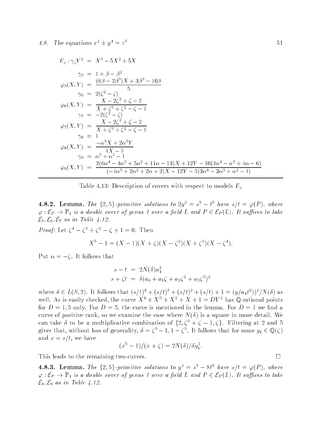$$
E_j : \gamma_j Y^2 = X^3 - 5X^2 + 5X
$$
  
\n
$$
\gamma_3 = 1 + \beta - \beta^2
$$
  
\n
$$
\varphi_3(X, Y) = \frac{(6\beta - 2\beta^3)X + 3\beta^3 - 10\beta}{5}
$$
  
\n
$$
\gamma_6 = 2(\zeta^2 - \zeta)
$$
  
\n
$$
\varphi_6(X, Y) = \frac{X - 2\zeta^2 + \zeta - 2}{X + \zeta^3 + \zeta^2 - \zeta - 1}
$$
  
\n
$$
\gamma_7 = -2(\zeta^2 - \zeta)
$$
  
\n
$$
\varphi_7(X, Y) = \frac{X - 2\zeta^2 + \zeta - 2}{X + \zeta^3 + \zeta^2 - \zeta - 1}
$$
  
\n
$$
\gamma_8 = 1
$$
  
\n
$$
\varphi_8(X, Y) = \frac{-\alpha^3 X + 2\alpha^3 Y}{4X - 5}
$$
  
\n
$$
\gamma_9 = \frac{\alpha^3 + \alpha^2 - 1}{4X - 5}
$$
  
\n
$$
\gamma_9 = \frac{2(6\alpha^4 - 4\alpha^3 + 5\alpha^2 + 11\alpha - 13)X + 12Y - 10(3\alpha^4 - \alpha^3 + 4\alpha - 6)}{(-4\alpha^3 + 2\alpha^2 + 2\alpha + 2)X - 12Y - 5(3\alpha^4 - 3\alpha^3 + \alpha^2 - 4)}
$$



**4.8.2. Lemma.** The  $\{2, 5\}$ -primitive solutions to  $2y^* = s^* - t^*$  have  $s/t = \varphi(F)$ , where  $\varphi : \mathcal{E}_P \to \mathbb{P}_1$  is a double cover of genus 1 over a field L and  $P \in \mathcal{E}_P(L)$ . It suffices to take  $\mathcal{E}_5$ ,  $\mathcal{E}_6$ ,  $\mathcal{E}_7$  as in Table 4.12.

*Proof:* Let  $\zeta$   $- \zeta$   $+ \zeta$   $- \zeta$   $+ 1 = 0$ . Then

$$
X^{5} - 1 = (X - 1)(X + \zeta)(X - \zeta^{2})(X + \zeta^{3})(X - \zeta^{4}).
$$

Put  $\alpha = -\zeta$ . It follows that

$$
s - t = 2N(\delta)a_4^2
$$
  

$$
s + \zeta t = \delta(a_0 + a_1\zeta + a_2\zeta^2 + a_3\zeta^3)^2
$$

where  $o \in L(\mathcal{S}, \mathcal{Z})$ . It follows that  $(s/t)^{-} + (s/t)^{-} + (s/t)^{-} + (s/t)^{+} + 1 = (y/a_4t^{-})^{-} / N(0)$  as well. As is easily checked, the curve  $A^+ + A^- + A^- + I = D$  and  $\Psi$ -rational points for  $D = 1, 5$  only. For  $D = 5$ , the curve is mentioned in the lemma. For  $D = 1$  we find a curve of positive rank, so we examine the case where  $N(\delta)$  is a square in more detail. We can take  $\delta$  to be a multiplicative combination of  $\{2,\zeta^3+\zeta-1,\zeta\}$ . Filtering at 2 and 5 gives that, without loss of generality,  $o = \zeta^* - 1, 1 - \zeta^*$ . It follows that for some  $y_1 \in \mathbb{Q}(\zeta)$ and  $x = s/t$ , we have

$$
(x^5 - 1)/(x + \zeta) = 2N(\delta)/\delta y_1^2.
$$

This leads to the remaining two curves.

**4.8.3. Lemma.** The  $\{2, 5\}$ -primitive solutions to  $y^2 = s^3 - 8t^3$  have  $s/t = \varphi(F)$ , where  $\varphi : \mathcal{E}_P \to \mathbb{P}_1$  is a double cover of genus 1 over a field L and  $P \in \mathcal{E}_P(L)$ . It suffices to take  $\mathcal{E}_8$ ,  $\mathcal{E}_9$  as in Table 4.12.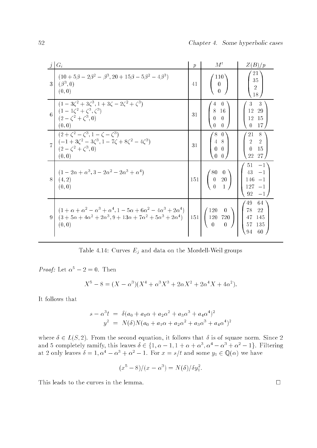|                | $j G_i$                                                                                                                                                             | $\overline{p}$ | $M^t$                                                               | Z(B)/p                                                             |
|----------------|---------------------------------------------------------------------------------------------------------------------------------------------------------------------|----------------|---------------------------------------------------------------------|--------------------------------------------------------------------|
| $\mathcal{R}$  | $(10+5\beta-2\beta^2-\beta^3,20+15\beta-5\beta^2-4\beta^3)$<br>$(\beta^3,0)$<br>(0, 0)                                                                              | 41             | 110<br>$\boldsymbol{0}$                                             | 21<br>$35\,$<br>$\overline{2}$<br>18/                              |
| 6 <sup>1</sup> | $(1-3\zeta^2+3\zeta^3, 1+3\zeta-2\zeta^2+\zeta^3)$<br>$(1 - 1\zeta^2 + \zeta^3, \zeta^3)$<br>$(2 - \zeta^2 + \zeta^3, 0)$<br>(0, 0)                                 | 31             | $\left( \right)$<br>$\begin{array}{cc} 8 & 16 \\ 0 & 0 \end{array}$ | 3<br>3<br>12 29<br>12 15<br>$0$ 17                                 |
|                | $(2+\zeta^2-\zeta^3, 1-\zeta-\zeta^3)$<br>$\frac{1}{7}$ $\left(-1+3\zeta^2-3\zeta^3, 1-7\zeta^2+8\zeta^2-4\zeta^3\right)$<br>$(2 - \zeta^2 + \zeta^3, 0)$<br>(0, 0) | 31             | $\begin{array}{cc} 4&8\\0&0 \end{array}$<br>$\overline{0}$          | 8<br>21<br>$2\quad 2$<br>$0 \t15$<br>22 27                         |
| 8              | $(1 - 2\alpha + \alpha^3, 3 - 2\alpha^2 - 2\alpha^3 + \alpha^4)$<br>(4, 2)<br>(0, 0)                                                                                | $151\,$        | $\left(\begin{array}{ll} 80&0\0&20\0&1 \end{array}\right)$          | $-1$<br>51<br>$43 - 1$<br>$146 - 1$<br>$-1$<br>127<br>92<br>$-1$ , |
| 9 <sup>1</sup> | $(1 + \alpha + \alpha^2 - \alpha^3 + \alpha^4, 1 - 5\alpha + 6\alpha^2 - 4\alpha^3 + 2\alpha^4)$                                                                    |                |                                                                     | 64<br>49<br>60<br>94                                               |

Table 4.14: Curves  $E_j$  and data on the Mordell-Weil groups

*Proof:* Let  $\alpha^5 - 2 = 0$ . Then

$$
X^{5} - 8 = (X - \alpha^{3})(X^{4} + \alpha^{3}X^{3} + 2\alpha X^{2} + 2\alpha^{4}X + 4\alpha^{2}).
$$

It follows that

$$
s - \alpha^{3}t = \delta(a_{0} + a_{1}\alpha + a_{2}\alpha^{2} + a_{3}\alpha^{3} + a_{4}\alpha^{4})^{2}
$$
  

$$
y^{2} = N(\delta)N(a_{0} + a_{1}\alpha + a_{2}\alpha^{2} + a_{3}\alpha^{3} + a_{4}\alpha^{4})^{2}
$$

where  $\delta \in L(S, 2)$ . From the second equation, it follows that  $\delta$  is of square norm. Since 2 and 5 completely ramily, this leaves  $\theta \in \{1, \alpha = 1, 1 + \alpha + \alpha\}$  ,  $\alpha^\prime = \alpha^\prime + \alpha^\prime = 1\}$  . Filtering at 2 only leaves  $\sigma = 1, \alpha^2 - \alpha^2 + \alpha^2 - 1$ . For  $x = s/t$  and some  $y_1 \in \mathbb{Q}(\alpha)$  we have

$$
(x^5 - 8)/(x - \alpha^3) = N(\delta)/\delta y_1^2.
$$

This leads to the curves in the lemma.  $\square$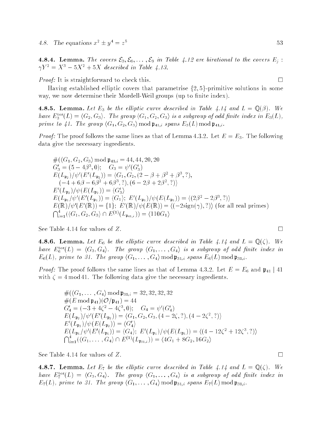4.8. The equations  $x^2 \pm y^2 \equiv z^2$ 

**4.8.4. Lemma.** The covers  $\mathcal{E}_3, \mathcal{E}_6, \ldots, \mathcal{E}_9$  in Table 4.12 are birational to the covers  $E_j$ :  $\gamma Y^2 = X^3 - 5X^2 + 5X$  described in Table 4.13.

*Proof:* It is straightforward to check this.

Having established elliptic covers that parametrise  $\{2, 5\}$ -primitive solutions in some way, we now determine their Mordell-Weil groups (up to finite index).

**4.8.5. Lemma.** Let  $E_3$  be the elliptic curve described in Table 4.14 and  $L = \mathbb{Q}(\beta)$ . We have  $E_3^-(L) = \langle G_2, G_3 \rangle$ . The group  $\langle G_1, G_2, G_3 \rangle$  is a subgroup of odd finite index in  $E_3(L)$ , prime to 41. The group  $\langle G_1, G_2, G_3 \rangle$  mod  $\mathfrak{p}_{41,i}$  spans  $E_3(L)$  mod  $\mathfrak{p}_{41,i}$ .

*Proof:* The proof follows the same lines as that of Lemma 4.3.2. Let  $E = E_3$ . The following data give the necessary ingredients.

$$
\#(\langle G_1, G_2, G_3 \rangle \text{ mod } \mathfrak{p}_{41,i} = 44, 44, 20, 20
$$
  
\n
$$
G'_3 = (5 - 4\beta^3, 0); \quad G_3 = \psi'(G'_3)
$$
  
\n
$$
E(L_{\mathfrak{p}_2})/\psi'(E'(L_{\mathfrak{p}_2})) = \langle G_1, G_2, (2 - \beta + \beta^2 + \beta^3, ?),
$$
  
\n
$$
(-4 + 6\beta - 6\beta^2 + 6\beta^3, ?), (6 - 2\beta + 2\beta^2, ?)\rangle
$$
  
\n
$$
E'(L_{\mathfrak{p}_2})/\psi(E(L_{\mathfrak{p}_2})) = \langle G'_3 \rangle
$$
  
\n
$$
E(L_{\mathfrak{p}_5}/\psi'(E'(L_{\mathfrak{p}_5})) = \langle G_1 \rangle; E'(L_{\mathfrak{p}_5})/\psi(E(L_{\mathfrak{p}_5})) = \langle (2\beta^2 - 2\beta^3, ?) \rangle
$$
  
\n
$$
E(\mathbb{R})/\psi'(E'(\mathbb{R})) = \{1\}; E'(\mathbb{R})/\psi(E(\mathbb{R})) = \langle (-2\text{sign}(\gamma), ?) \rangle \text{ (for all real primes)}
$$
  
\n
$$
\bigcap_{i=1}^4 (\langle G_1, G_2, G_3 \rangle \cap E^{(1)}(L_{\mathfrak{p}_{41,i}})) = \langle 110G_1 \rangle
$$

See Table 4.14 for values of  $Z$ .

**4.8.6. Lemma.** Let  $E_6$  be the elliptic curve described in Table 4.14 and  $L = \mathbb{Q}(\zeta)$ . We have  $E_6^{(1)}(L) = \langle G_3, G_4 \rangle$ . The group  $\langle G_1, \ldots, G_4 \rangle$  is a subgroup of odd finite index in  $E_6(L)$ , prime to 31. The group  $\langle G_1, \ldots, G_4 \rangle$  mod  $\mathfrak{p}_{31,i}$  spans  $E_6(L)$  mod  $\mathfrak{p}_{31,i}$ .

*Proof:* The proof follows the same lines as that of Lemma 4.3.2. Let  $E = E_6$  and  $\mathfrak{p}_{41}$  | 41 with  $\zeta = 4 \mod 41$ . The following data give the necessary ingredients.

$$
\begin{aligned}\n&\#(\langle G_1,\ldots,G_4\rangle\text{ mod }\mathfrak{p}_{31,i}=32,32,32,32\\
&\#(E\text{ mod }\mathfrak{p}_{41})(\mathcal{O}/\mathfrak{p}_{41})=44\\
&G_4' = (-3+4\zeta^2-4\zeta^3,0); \quad G_4 = \psi'(G_4')\\
&E(L_{\mathfrak{p}_2})/\psi'(E'(L_{\mathfrak{p}_2})) = \langle G_1, G_2, G_3, (4-2\zeta,?, (4-2\zeta^2,?)\rangle\\
&E'(L_{\mathfrak{p}_2})/\psi(E(L_{\mathfrak{p}_2})) = \langle G_4' \rangle\\
&E(L_{\mathfrak{p}_5}/\psi'(E'(L_{\mathfrak{p}_5})) = \langle G_4 \rangle; \quad E'(L_{\mathfrak{p}_5})/\psi(E(L_{\mathfrak{p}_5})) = \langle (4-12\zeta^2+12\zeta^3,?)\rangle\\
\bigcap_{i=1}^4 (\langle G_1,\ldots,G_4\rangle \cap E^{(1)}(L_{\mathfrak{p}_{31,i}})) = \langle 4G_1 + 8G_2, 16G_2 \rangle\n\end{aligned}
$$

See Table 4.14 for values of Z.

**4.8.7. Lemma.** Let  $E_7$  be the elliptic curve described in Table 4.14 and  $L = \mathbb{Q}(\zeta)$ . We have  $E_7^-(L) = \langle G_3, G_4 \rangle$ . The group  $\langle G_1, \ldots, G_4 \rangle$  is a subgroup of odd finite index in  $E_7(L)$ , prime to 31. The group  $\langle G_1, \ldots, G_4 \rangle$  mod  $\mathfrak{p}_{31,i}$  spans  $E_7(L)$  mod  $\mathfrak{p}_{31,i}$ .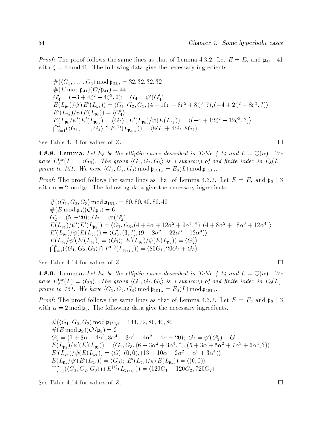*Proof:* The proof follows the same lines as that of Lemma 4.3.2. Let  $E = E_7$  and  $\mathfrak{p}_{41}$  | 41 with  $\zeta = 4 \mod 41$ . The following data give the necessary ingredients.

$$
\#(\langle G_1, \ldots, G_4 \rangle \mod \mathfrak{p}_{31,i} = 32, 32, 32, 32
$$
\n
$$
\#(E \mod \mathfrak{p}_{41})(\mathcal{O}/\mathfrak{p}_{41}) = 44
$$
\n
$$
G_4' = (-3 + 4\zeta^2 - 4\zeta^3, 0); \quad G_4 = \psi'(G_4')
$$
\n
$$
E(L_{\mathfrak{p}_2})/\psi'(E'(L_{\mathfrak{p}_2})) = \langle G_1, G_2, G_3, (4 + 10\zeta + 8\zeta^2 + 8\zeta^3, ?), (-4 + 2\zeta^2 + 8\zeta^3, ?) \rangle
$$
\n
$$
E'(L_{\mathfrak{p}_2})/\psi(E(L_{\mathfrak{p}_2})) = \langle G_4' \rangle
$$
\n
$$
E(L_{\mathfrak{p}_5}/\psi'(E'(L_{\mathfrak{p}_5})) = \langle G_2 \rangle; E'(L_{\mathfrak{p}_5})/\psi(E(L_{\mathfrak{p}_5})) = \langle (-4 + 12\zeta^2 - 12\zeta^3, ?) \rangle
$$
\n
$$
\bigcap_{i=1}^4 (\langle G_1, \ldots, G_4 \rangle \cap E^{(1)}(L_{\mathfrak{p}_{3+i}})) = \langle 8G_1 + 4G_2, 8G_2 \rangle
$$

See Table 4.14 for values of Z.

**4.8.8. Lemma.** Let  $E_8$  be the elliptic curve described in Table 4.14 and  $L = \mathbb{Q}(\alpha)$ . We have  $E_8^{\sim\sim}(L)=\langle G_3\rangle.$  The group  $\langle G_1,G_2,G_3\rangle$  is a subgroup of odd finite index in  $E_8(L),$ prime to 151. We have  $\langle G_1, G_2, G_3 \rangle \mod \mathfrak{p}_{151,i} = E_8(L) \mod \mathfrak{p}_{151,i}$ .

*Proof:* The proof follows the same lines as that of Lemma 4.3.2. Let  $E = E_8$  and  $\mathfrak{p}_3$  | 3 with  $\alpha = 2 \mod p_3$ . The following data give the necessary ingredients.

$$
\#(\langle G_1, G_2, G_3 \rangle \mod \mathfrak{p}_{151,i} = 80, 80, 40, 80, 40
$$
  
\n
$$
\#(E \mod \mathfrak{p}_3)(\mathcal{O}/\mathfrak{p}_3) = 6
$$
  
\n
$$
G'_2 = (5, -20); G_2 = \psi'(G'_2)
$$
  
\n
$$
E(L_{\mathfrak{p}_2})/\psi'(E'(L_{\mathfrak{p}_2})) = \langle G_1, G_3, (4 + 4\alpha + 12\alpha^2 + 9\alpha^4, ?), (4 + 8\alpha^2 + 18\alpha^3 + 12\alpha^4) \rangle
$$
  
\n
$$
E'(L_{\mathfrak{p}_2})/\psi(E(L_{\mathfrak{p}_2})) = \langle G'_2, (3, ?), (9 + 8\alpha^2 - 22\alpha^3 + 12\alpha^4) \rangle
$$
  
\n
$$
E(L_{\mathfrak{p}_5}/\psi'(E'(L_{\mathfrak{p}_5})) = \langle G_3 \rangle; E'(L_{\mathfrak{p}_5})/\psi(E(L_{\mathfrak{p}_5})) = \langle G'_2 \rangle
$$
  
\n
$$
\bigcap_{i=1}^5 (\langle G_1, G_2, G_3 \rangle \cap E^{(1)}(L_{\mathfrak{p}_{15+i}})) = \langle 80G_1, 20G_2 + G_3 \rangle
$$

See Table 4.14 for values of Z.

**4.8.9. Lemma.** Let  $E_9$  be the elliptic curve described in Table 4.14 and  $L = \mathbb{Q}(\alpha)$ . We have  $E_9$  (L)  $\equiv$  (G3). The group (G1; G2; G3) is a subgroup of odd finite index in  $E_9(L)$ , prime to 151. We have  $\langle G_1, G_2, G_3 \rangle \mod \mathfrak{p}_{151,i} = E_9(L) \mod \mathfrak{p}_{151,i}$ .

*Proof:* The proof follows the same lines as that of Lemma 4.3.2. Let  $E = E_9$  and  $\mathfrak{p}_3 \mid 3$ with  $\alpha = 2 \mod p_3$ . The following data give the necessary ingredients.

 $\#(\langle G_1, G_2, G_3 \rangle \text{ mod } \mathfrak{p}_{151,i} = 144, 72, 80, 40, 80)$  $#(E \mod \mathfrak{p}_3)(\mathcal{O}/\mathfrak{p}_3) = 2$  $G_2 = (1 + \delta \alpha - 4\alpha^2, \delta \alpha^2 - \delta \alpha^2 - 4\alpha^2 - 4\alpha + 20); G_2 = \psi (G_2) - G_1$  $E(L_{\mathfrak{p}_2})/\psi$  (E  $(L_{\mathfrak{p}_2})$ ) =  $\langle G_1, G_3, (0 - 3\alpha + 3\alpha, 1), (3 + 3\alpha + 3\alpha + 1\alpha + 6\alpha, 1) \rangle$  $E(L_{\mathfrak{p}_2})/\psi(E(L_{\mathfrak{p}_2})) = \langle G_2, (0,0), (13 + 10\alpha + 2\alpha^2 - \alpha^2 + 3\alpha^2) \rangle$  $E(L_{\mathfrak{p}_5}/\psi \,(E\,(L_{\mathfrak{p}_5})) = \langle \text{G}_3 \rangle$ ; E  $(L_{\mathfrak{p}_5})/\psi(E(L_{\mathfrak{p}_5})) = \langle (0,0) \rangle$  $\bigcap_{i=1}^{\infty} (\langle G_1, G_2, G_3 \rangle \cap E^{(1)}(L_{\mathfrak{p}_{151,i}})) = \langle 120G_1 + 120G_2, 720G_2 \rangle$ 

See Table 4.14 for values of Z.

 $\Box$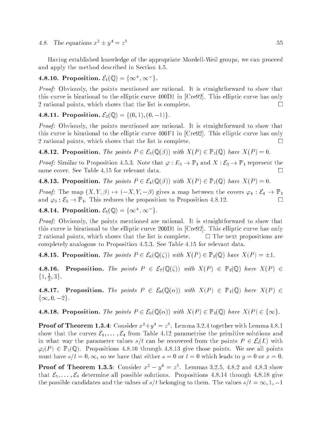#### 4.8. The equations  $x^2 \pm y^2 \equiv z^2$

Having established knowledge of the appropriate Mordell-Weil groups, we can proceed and apply the method described in Section 4.5.

#### 4.8.10. Proposition.  $\varepsilon_1(\psi) = \{\infty, \infty, \infty\}$ .

Proof: Obviously, the points mentioned are rational. It is straightforward to show that this curve is birational to the elliptic curve 400D1 in [Cre92]. This elliptic curve has only 2 rational points, which shows that the list is complete.  $\Box$ 

4.8.11. Proposition.  $\mathcal{E}_2(\mathbb{Q}) = \{(0,1), (0,-1)\}.$ 

Proof: Obviously, the points mentioned are rational. It is straightforward to show that this curve is birational to the elliptic curve 400F1 in [Cre92]. This elliptic curve has only 2 rational points, which shows that the list is complete.  $\Box$ 

**4.8.12. Proposition.** The points  $P \in \mathcal{E}_3(\mathbb{Q}(\beta))$  with  $X(P) \in \mathbb{P}_1(\mathbb{Q})$  have  $X(P) = 0$ .

*Proof:* Similar to Proposition 4.5.3. Note that  $\varphi : E_3 \to \mathbb{P}_1$  and  $X : \mathcal{E}_3 \to \mathbb{P}_1$  represent the same cover. See Table 4.15 for relevant data.

**4.8.13. Proposition.** The points  $P \in \mathcal{E}_4(\mathbb{Q}(\beta))$  with  $X(P) \in \mathbb{P}_1(\mathbb{Q})$  have  $X(P) = 0$ .

*Proof:* The map  $(X, Y, \beta) \mapsto (-X, Y, -\beta)$  gives a map between the covers  $\varphi_4 : \mathcal{E}_4 \to \mathbb{P}_1$ and  $\varphi_3 : \mathcal{E}_3 \to \mathbb{P}_1$ . This reduces the proposition to Proposition 4.8.12.

**4.8.14. Proposition.**  $c_5(\mathbb{Q}) = \{ \infty, \infty \}$ .

Proof: Obviously, the points mentioned are rational. It is straightforward to show that this curve is birational to the elliptic curve 200D1 in [Cre92]. This elliptic curve has only 2 rational points, which shows that the list is complete.  $\Box$  The next propositions are completely analogous to Proposition 4.5.3. See Table 4.15 for relevant data.

**4.8.15. Proposition.** The points  $P \in \mathcal{E}_6(\mathbb{Q}(\zeta))$  with  $X(P) \in \mathbb{P}_1(\mathbb{Q})$  have  $X(P) = \pm 1$ .

**4.8.16. Proposition.** The points  $P \in \mathcal{E}_7(\mathbb{Q}(\zeta))$  with  $X(P) \in \mathbb{P}_1(\mathbb{Q})$  have  $X(P) \in \mathbb{Q}$  $\{1, 5, 3\}$ .

**4.8.17. Proposition.** The points  $P \in \mathcal{E}_8(\mathbb{Q}(\alpha))$  with  $X(P) \in \mathbb{P}_1(\mathbb{Q})$  have  $X(P) \in$  $\{\infty, 0, -2\}.$ 

**4.8.18. Proposition.** The points  $P \in \mathcal{E}_9(\mathbb{Q}(\alpha))$  with  $X(P) \in \mathbb{P}_1(\mathbb{Q})$  have  $X(P) \in \{\infty\}.$ 

**Proof of Theorem 1.3.4:** Consider  $x^2 + y^3 = z^3$  . Lemma 3.2.4 together with Lemma 4.8.1 show that the curves  $\mathcal{E}_1, \ldots, \mathcal{E}_4$  from Table 4.12 parametrise the primitive solutions and in what way the parameter values  $s/t$  can be recovered from the points  $P \in \mathcal{E}_i(L)$  with  $\varphi_i(P) \in \mathbb{P}_1(\mathbb{Q})$ . Propositions 4.8.10 through 4.8.13 give those points. We see all points must have  $s/t = 0, \infty$ , so we have that either  $s = 0$  or  $t = 0$  which leads to  $y = 0$  or  $x = 0$ .

**Proof of Theorem 1.3.5:** Consider  $x^2 - y^3 = z^3$ . Lemmas 3.2.3, 4.8.2 and 4.8.3 show that  $\mathcal{E}_5, \ldots, \mathcal{E}_9$  determine all possible solutions. Propositions 4.8.14 through 4.8.18 give the possible candidates and the values of  $s/t$  belonging to them. The values  $s/t = \infty, 1, -1$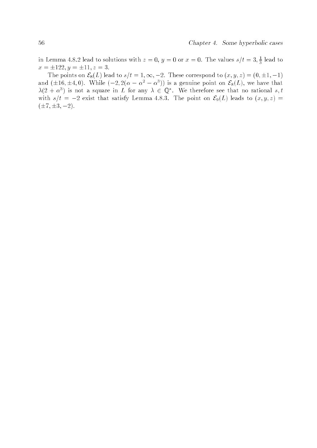in Lemma 4.8.2 lead to solutions with  $z = 0, y = 0$  or  $x = 0$ . The values  $s/t = 3, \frac{1}{2}$  lead to  $x = \pm 122, y = \pm 11, z = 3.$ 

The points on  $\mathcal{E}_8(L)$  lead to  $s/t = 1, \infty, -2$ . These correspond to  $(x, y, z) = (0, \pm 1, -1)$ and  $(\pm 10,\pm 4,0)$ . While  $(-2,2(\alpha - \alpha) - \alpha)$  is a genuine point on  $\varepsilon_8(L)$ , we have that  $\lambda(2 + \alpha^*)$  is not a square in L for any  $\lambda \in \mathbb{Q}$ . We therefore see that no rational s, t with  $s/t = -2$  exist that satisfy Lemma 4.8.3. The point on  $\mathcal{E}_9(L)$  leads to  $(x, y, z) =$  $(\pm 7, \pm 3, -2).$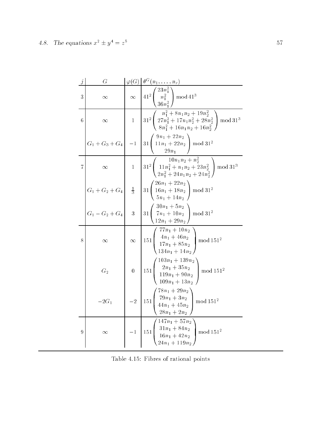| J              | G                 |                | $\varphi(G)$ $\theta^G(n_1,\ldots,n_r)$                                                                                                        |
|----------------|-------------------|----------------|------------------------------------------------------------------------------------------------------------------------------------------------|
| 3              | $\infty$          | $\infty$       | $\left\lfloor 41^2\left(\frac{23n_1^2}{n_1^2}{36n_1^2}\right)\bmod{41^3} \right\rfloor$                                                        |
| $6\phantom{.}$ | $\infty$          | $\overline{1}$ | $31^2\left(\begin{array}{c} n_1^2+8n_1n_2+19n_2^2 \\ 27n_1^2+17n_1n_2^2+28n_2^2 \\ 8n_1^2+16n_1n_2+16n_2^2 \end{array}\right) \bmod 31^3$      |
|                | $G_1 + G_3 + G_4$ | $-1$           | $\left. \begin{array}{l} 9 n_1 + 22 n_2 \\ 11 n_1 + 22 n_2 \end{array} \right) \bmod{31^2}$<br>31<br>$29n_1$                                   |
| $\overline{7}$ | $\infty$          | $\overline{1}$ | $\overline{31^2\Bigg(\frac{10n_1n_2+n_2^2}{11n_1^2+n_1n_2+23n_2^2}\Bigg) \bmod 31^3}$                                                          |
|                | $G_1 + G_2 + G_4$ | $\frac{1}{3}$  | $\left(\frac{26n_1+22n_2}{16n_1+18n_2}\right) \bmod{31^2} \ \left(\frac{5n_1+14n_2}{16n_1+14n_2}\right)$<br>31                                 |
|                | $G_1 - G_2 + G_4$ | 3              | $\left(\frac{30n_1+5n_2}{7n_1+10n_2}\right) \bmod{31^2}$<br>31<br>$12n_1 + 29n_2$                                                              |
| 8              | $\infty$          | $\infty$       | $77n_1 + 10n_2$<br>$151\left(\begin{array}{c} 1 \\ 4n_1 + 46n_2 \\ 17n_1 + 85n_2 \\ 134n_1 + 14n_2 \end{array}\right)$<br>mod $151^2$          |
|                | $G_2$             | $\overline{0}$ | $\left( \begin{array}{c} 103n_1 + 139n_2 \ 2n_1 + 35n_2 \ 119n_1 + 90n_2 \ 109n_1 + 13n_2 \end{array} \right)$<br>mod $151^2$<br>151           |
|                | $-2G_1$           | $-2$           | $78n_1 + 29n_2$<br>$79n_1 + 3n_2$<br>$44n_1 + 45n_2$<br>mod $151^2$<br>151<br>$28n_1 + 2n_2$                                                   |
| 9              | $\infty$          | $-1$           | $147n_1 + 57n_2$<br>$31n_1 + 84n_2$<br>$\vert 151 \vert$<br>mod $151^2$<br>$16\hspace{0.02cm} n_1 + 42\hspace{0.02cm} n_2$<br>$24n_1 + 119n_2$ |

Table 4.15: Fibres of rational points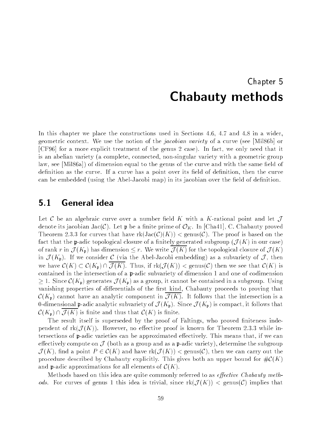# Chapter 5 Chabauty methods

In this chapter we place the constructions used in Sections 4.6, 4.7 and 4.8 in a wider, geometric context. We use the notion of the jacobian variety of a curve (see [Mil86b] or [CF96] for a more explicit treatment of the genus 2 case). In fact, we only need that it is an abelian variety (a complete, connected, non-singular variety with a geometric group law, see [Mil86a]) of dimension equal to the genus of the curve and with the same field of definition as the curve. If a curve has a point over its field of definition, then the curve can be embedded (using the Abel-Jacobi map) in its jacobian over the field of definition.

### 5.1 General idea

Let C be an algebraic curve over a number field K with a K-rational point and let  $\mathcal J$ denote its jacobian Jac(C). Let **p** be a finite prime of  $\mathcal{O}_K$ . In [Cha41], C. Chabauty proved Theorem 2.3.3 for curves that have  $rk(Jac(\mathcal{C})(K)) <$  genus( $\mathcal{C})$ ). The proof is based on the fact that the **p**-adic topological closure of a finitely generated subgroup  $(\mathcal{J}(K))$  in our case) of rank r in  $\mathcal{J}(K_{\mathfrak{p}})$  has dimension  $\leq r$ . We write  $\mathcal{J}(K)$  for the topological closure of  $\mathcal{J}(K)$ in  $\mathcal{J}(K_{\mathfrak{p}})$ . If we consider C (via the Abel-Jacobi embedding) as a subvariety of  $\mathcal{J}$ , then we have  $\mathcal{C}(K) \subset \mathcal{C}(K_{\mathfrak{p}}) \cap \overline{\mathcal{J}(K)}$ . Thus, if  $\text{rk}(\mathcal{J}(K)) < \text{genus}(\mathcal{C})$  then we see that  $\mathcal{C}(K)$  is contained in the intersection of a p-adic subvariety of dimension 1 and one of codimension  $\geq 1$ . Since  $\mathcal{C}(K_{\mathfrak{p}})$  generates  $\mathcal{J}(K_{\mathfrak{p}})$  as a group, it cannot be contained in a subgroup. Using vanishing properties of differentials of the first kind, Chabauty proceeds to proving that  $\mathcal{C}(K_{\mathfrak{p}})$  cannot have an analytic component in  $\mathcal{J}(K)$ . It follows that the intersection is a 0-dimensional **p**-adic analytic subvariety of  $\mathcal{J}(K_{\mathfrak{p}})$ . Since  $\mathcal{J}(K_{\mathfrak{p}})$  is compact, it follows that  $\mathcal{C}(K_{\mathfrak{p}}) \cap \mathcal{J}(K)$  is finite and thus that  $\mathcal{C}(K)$  is finite.

The result itself is superseded by the proof of Faltings, who proved finiteness independent of  $rk(\mathcal{J}(K))$ . However, no effective proof is known for Theorem 2.3.3 while intersections of p-adic varieties can be approximated effectively. This means that, if we can effectively compute on  $\mathcal J$  (both as a group and as a p-adic variety), determine the subgroup  $\mathcal{J}(K)$ , find a point  $P \in \mathcal{C}(K)$  and have  $\text{rk}(\mathcal{J}(K))$  < genus(C), then we can carry out the procedure described by Chabauty explicitly. This gives both an upper bound for  $\#C(K)$ and **p**-adic approximations for all elements of  $\mathcal{C}(K)$ .

Methods based on this idea are quite commonly referred to as *effective Chabauty meth*ods. For curves of genus 1 this idea is trivial, since  $rk(\mathcal{J}(K)) < genus(\mathcal{C})$  implies that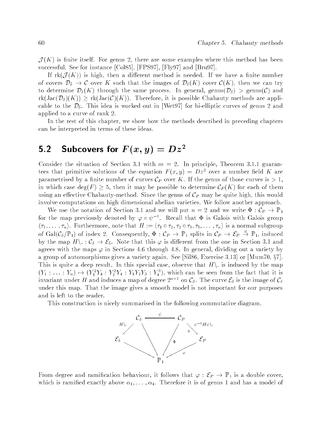$\mathcal{J}(K)$  is finite itself. For genus 2, there are some examples where this method has been successful. See for instance [Col85], [FPS97], [Fly97] and [Bru97].

If  $rk(\mathcal{J}(K))$  is high, then a different method is needed. If we have a finite number of covers  $\mathcal{D}_{\delta} \to \mathcal{C}$  over K such that the images of  $\mathcal{D}_{\delta}(K)$  cover  $\mathcal{C}(K)$ , then we can try to determine  $\mathcal{D}_{\delta}(K)$  through the same process. In general, genus( $\mathcal{D}_{\delta}$ ) > genus( $\mathcal{C}$ ) and  $r k(Jac(\mathcal{D}_{\delta})(K)) > r k(Jac(\mathcal{C})(K))$ . Therefore, it is possible Chabauty methods are applicable to the  $\mathcal{D}_{\delta}$ . This idea is worked out in [Wet97] for bi-elliptic curves of genus 2 and applied to a curve of rank 2.

In the rest of this chapter, we show how the methods described in preceding chapters can be interpreted in terms of these ideas.

## 5.2 Subcovers for  $F(x, y) = Dz^2$

Consider the situation of Section 3.1 with  $m = 2$ . In principle, Theorem 3.1.1 guarantees that primitive solutions of the equation  $F(x, y) = Dz^2$  over a number field  $K$  are parametrised by a finite number of curves  $\mathcal{C}_P$  over K. If the genus of those curves is  $> 1$ , in which case deg(F)  $\geq$  5, then it may be possible to determine  $\mathcal{C}_P(K)$  for each of them using an effective Chabauty-method. Since the genus of  $\mathcal{C}_P$  may be quite high, this would involve computations on high dimensional abelian varieties. We follow another approach.

We use the notation of Section 3.1 and we will put  $n = 2$  and we write  $\Phi : C_P \to \mathbb{P}_1$ for the map previously denoted by  $\varphi \circ \psi$   $\,$  . Recall that  $\Psi$  is Galois with Galois group  $\langle \tau_1, \ldots, \tau_n \rangle$ . Furthermore, note that  $H := \langle \tau_1 \circ \tau_2, \tau_2 \circ \tau_3, \tau_5, \ldots, \tau_n \rangle$  is a normal subgroup of Gal $(\mathcal{C}_{\delta}/\mathbb{P}_1)$  of index 2. Consequently,  $\Phi : \mathcal{C}_P \to \mathbb{P}_1$  splits in  $\mathcal{C}_P \to \mathcal{E}_P \stackrel{\varphi}{\to} \mathbb{P}_1$ , induced by the map  $H\backslash \cdot : \mathcal{C}_{\delta} \to \mathcal{E}_{\delta}$ . Note that this  $\varphi$  is different from the one in Section 3.1 and agrees with the maps  $\varphi$  in Sections 4.6 through 4.8. In general, dividing out a variety by a group of automorphisms gives a variety again. See [Sil86, Exercise 3.13] or [Mum70,  $\S7$ ]. This is quite a deep result. In this special case, observe that  $H\setminus$  is induced by the map  $(Y_1: \ldots: Y_n) \mapsto (Y_1^T Y_4: Y_2^T Y_4: Y_1 Y_2 Y_3: Y_4^T)$ , which can be seen from the fact that it is invariant under  $H$  and induces a map of degree  $Z_1$  = on  $C_\delta$  . The curve  $C_\delta$  is the image of  $C_\delta$ under this map. That the image gives a smooth model is not important for our purposes and is left to the reader.

This construction is nicely summarised in the following commutative diagram.



From degree and ramification behaviour, it follows that  $\varphi : \mathcal{E}_P \to \mathbb{P}_1$  is a double cover, which is ramified exactly above  $\alpha_1, \ldots, \alpha_4$ . Therefore it is of genus 1 and has a model of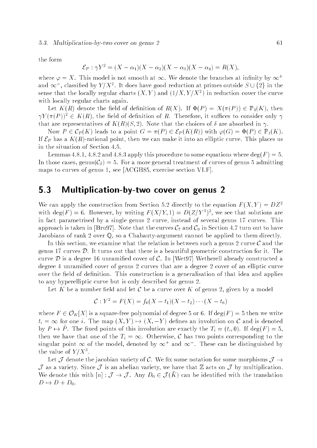the form

$$
\mathcal{E}_P : \gamma Y^2 = (X - \alpha_1)(X - \alpha_2)(X - \alpha_3)(X - \alpha_4) = R(X),
$$

where  $\varphi = X$ . This model is not smooth at  $\infty$ . We denote the branches at infinity by  $\infty^+$ and  $\infty$  , classified by  $Y/X$  . It does have good reduction at primes outside  $S \cup \{2\}$  in the sense that the locally regular charts ( $X, Y$  ) and (1/ $X, Y/X$  ) in reduction cover the curve with locally regular charts again.

Let  $K(R)$  denote the field of definition of  $R(X)$ . If  $\Phi(P) = X(\pi(P)) \in \mathbb{P}_1(K)$ , then  $\gamma$ r ( $\pi$ (F))]  $\in$  K(R), the field of definition of R. Therefore, it suffices to consider only  $\gamma$ that are representatives of  $K(R)(S, 2)$ . Note that the choices of  $\delta$  are absorbed in  $\gamma$ .

Now  $P \in C_P(K)$  leads to a point  $G = \pi(P) \in \mathcal{E}_P(K(R))$  with  $\varphi(G) = \Phi(P) \in \mathbb{P}_1(K)$ . If  $\mathcal{E}_P$  has a  $K(R)$ -rational point, then we can make it into an elliptic curve. This places us in the situation of Section 4.5.

Lemmas 4.8.1, 4.8.2 and 4.8.3 apply this procedure to some equations where deg( $F$ ) = 5. In those cases, genus( $\mathcal{C}_{\delta}$ ) = 5. For a more general treatment of curves of genus 5 admitting maps to curves of genus 1, see [ACGH85, exercise section VI.F].

#### $5.3$ 5.3 Multiplication-by-two cover on genus 2

We can apply the construction from Section 5.2 directly to the equation  $F(X,Y) = DZ^2$ with deg(f) = 0. However, by writing  $F(\Lambda/T, 1) = D(Z/T^*)^2$ , we see that solutions are in fact parametrised by a single genus 2 curve, instead of several genus 17 curves. This approach is taken in [Bru97]. Note that the curves  $C_7$  and  $C_9$  in Section 4.7 turn out to have Jacobians of rank 2 over Q, so a Chabauty-argument cannot be applied to them directly.

In this section, we examine what the relation is between such a genus 2 curve  $\mathcal C$  and the genus 17 curves  $\mathcal{D}$ . It turns out that there is a beautiful geometric construction for it. The curve  $D$  is a degree 16 unramified cover of  $C$ . In [Wet97] Wetherell already constructed a degree 4 unramied cover of genus 2 curves that are a degree 2 cover of an elliptic curve over the field of definition. This construction is a generalisation of that idea and applies to any hyperelliptic curve but is only described for genus 2.

Let K be a number field and let C be a curve over K of genus 2, given by a model

$$
C: Y^2 = F(X) = f_6(X - t_1)(X - t_2) \cdots (X - t_6)
$$

where  $F \in \mathcal{O}_K[X]$  is a square-free polynomial of degree 5 or 6. If  $deg(F) = 5$  then we write  $t_i = \infty$  for one i. The map  $(X, Y) \mapsto (X, -Y)$  defines an involution on C and is denoted by  $P \rightarrow P$ . The fixed points of this involution are exactly the  $T_i = (t_i, 0)$ . If  $deg(T) = 0$ , then we have that one of the  $T_i = \infty$ . Otherwise, C has two points corresponding to the singular point  $\infty$  of the model, denoted by  $\infty^+$  and  $\infty^-$  . These can be distinguished by the value of  $Y/A$  .

Let  $\mathcal J$  denote the jacobian variety of  $\mathcal C$ . We fix some notation for some morphisms  $\mathcal J \to$  $J$  as a variety. Since  $J$  is an abelian variety, we have that  $\mathbb Z$  acts on  $J$  by multiplication. We denote this with  $|n| : \mathcal{J} \to \mathcal{J}$ . Any  $\mathcal{D}_0 \in \mathcal{J}(K)$  can be identified with the translation  $D \mapsto D + D_0.$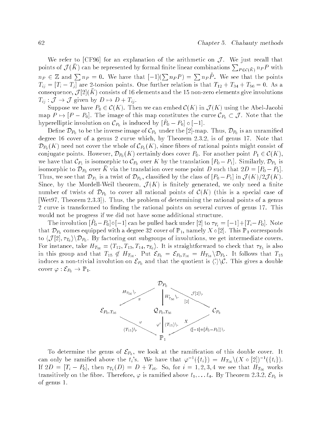We refer to [CF96] for an explanation of the arithmetic on  $\mathcal{J}$ . We just recall that points of  $\mathcal{J}(K)$  can be represented by formal finite linear combinations  $\sum_{P\in\mathcal{C}(\bar{K})}n_P P$  with  $n_P \in \mathbb{Z}$  and  $\sum n_P = 0$ . We have that  $[-1](\sum n_P P) = \sum n_P P$ . We see that the points  $T_{ij} = [T_i - T_j]$  are 2-torsion points. One further relation is that  $T_{12} + T_{34} + T_{56} = 0$ . As a consequence,  $J_1$   $\geq$   $\mid$   $K$  ) consists of 10 elements and the 15 non-zero elements give involutions  $T_{ij}: \mathcal{J} \to \mathcal{J}$  given by  $D \mapsto D + T_{ij}$ .

Suppose we have  $P_0 \in \mathcal{C}(K)$ . Then we can embed  $\mathcal{C}(K)$  in  $\mathcal{J}(K)$  using the Abel-Jacobi map  $P \mapsto [P - P_0]$ . The image of this map constitutes the curve  $\mathcal{C}_{P_0} \subset \mathcal{J}$ . Note that the hyperemptic involution on  $\mathcal{C}P_0$  is induced by  $\lbrack P_0 \rbrack$   $\lbrack P_0 \rbrack$   $\lbrack P_1 \rbrack$ .

Dene DP0 to be the inverse image of CP0 under the [2]-map. Thus, DP0 is an unramied degree 16 cover of a genus 2 curve which, by Theorem 2.3.2, is of genus 17. Note that  $\mathcal{D}_{P_0}(K)$  need not cover the whole of  $\mathcal{C}_{P_0}(K)$ , since fibres of rational points might consist of conjugate points. However,  $\mathcal{D}_{P_0}(K)$  certainly does cover  $P_0$ . For another point  $P_1 \in \mathcal{C}(K)$ , we have that CP1 is isomorphic to CP0 over <sup>K</sup> by the translation [P0 P1]. Similarly, DP1 is isomorphic to  $\mathcal{D}_{P_0}$  over K via the translation over some point D such that  $2D = [P_0 - P_1].$ Thus, we see that  $\Gamma$  is a twist of  $\Gamma$ 10, classified by the class of [PO P1] in  $\mathbf{C}$  (PD) (PD). Since, by the Mordell-Weil theorem,  $\mathcal{J}(K)$  is finitely generated, we only need a finite number of twists of  $\mathcal{D}_{P_0}$  to cover all rational points of  $\mathcal{C}(K)$  (this is a special case of [Wet97, Theorem 2.3.3]). Thus, the problem of determining the rational points of a genus 2 curve is transformed to finding the rational points on several curves of genus 17. This would not be progress if we did not have some additional structure.

The involution  $[10^{-1}0]$   $[10^{-1}]$  can be pulled back under [2] to  $T_i = [-1] + [T_i - T_0]$ . Note that  $\mathcal{D}_{P_0}$  comes equipped with a degree 32 cover of  $\mathbb{P}_1$ , namely  $X \circ [2]$ . This  $\mathbb{P}_1$  corresponds . By factoring  $\{e_1\}$  independent on the subgroups of intermediate covers. We get intermediate covers. For instance, the form  $\Gamma_{56}$  is  $\Gamma_{12}$ ; T13; T14; T16; I. It is straightforward to check that T15; T15; T15; T15; in the the T15 form of the T156  $\pm 56$  ,  $\pm 10$  for  $\pm 56$  nD  $\pm 9$  for  $\pm 9$ induces a non-trivial involution on  $\mathcal{E}_{P_0}$  and that the quotient is  $\langle \cdot \rangle \setminus \mathcal{C}$ . This gives a double cover  $\varphi : \mathcal{E}_{P_0} \to \mathbb{P}_1$ .



To determine the  $\Theta$  and the  $\bullet$   $\bullet$   $\bullet$   $\theta$ ), we look at the commutation of the ramification of the ramification can only be ramified above the  $t_i$ 's. We have that  $\varphi^{-1}(\{t_i\}) = H_{T_{56}}(X \circ [2])^{-1}(\{t_i\}).$ If  $2D = [T_i - P_0]$ , then  $\tau_{T_6}(D) = D + T_{i6}$ . So, for  $i = 1, 2, 3, 4$  we see that  $H_{T_{56}}$  works transitively on the fibre. Therefore,  $\varphi$  is ramified above  $t_1, \ldots t_4.$  By Theorem 2.3.2,  $\mathcal{E} P_0$  is of genus 1.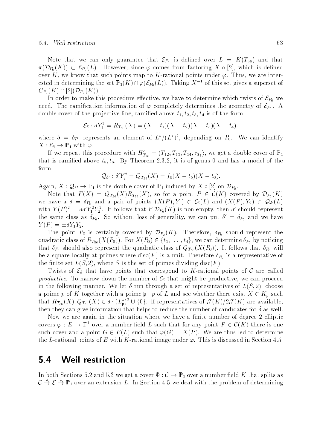#### 5.4. Weil restriction 63

is defined on the case  $\mathcal{L}_{\mathcal{A}}$  is defined on the  $\mathcal{L}_{\mathcal{A}}$  $\pi(\mathcal{D}_{P_0}(K)) \subset \mathcal{E}_{P_0}(L)$ . However, since  $\varphi$  comes from factoring X  $\circ$  [2], which is defined over K, we know that such points map to K-rational points under  $\varphi$ . Thus, we are interested in determining the set  $\mathbb{F}_1(K) \sqcup \varphi(\mathcal{E}_{P_0}(L)).$  Taking  $X$   $\lnot$  of this set gives a superset of  $C_{P_0}(K) \cap [2]({\mathcal D}_{P_0}(K)).$ 

In order to make this procedure effective, we have to determine which twists of  $\mathcal{E}_{P_0}$  we need. The ramification information of  $\varphi$  completely determines the geometry of  $\mathcal{E}_{P_0}.$  A double cover of the projective line, ramified above  $t_1, t_2, t_3, t_4$  is of the form

$$
\mathcal{E}_{\delta}: \delta Y_1^2 = R_{T_{56}}(X) = (X - t_1)(X - t_2)(X - t_3)(X - t_4).
$$

where  $\sigma = \sigma_{P_0}$  represents an element of L  $/(L)$ , depending on  $P_0$ . We can identify  $X: \mathcal{E}_{\delta} \to \mathbb{P}_1$  with  $\varphi$ .

If we repeat this procedure with  $H_{T_{56}} = \langle T_{12}, T_{13}, T_{14}, T_{T_1} \rangle$ , we get a double cover of  $\mathbb{F}_1$ that is ramified above  $t_5, t_6$ . By Theorem 2.3.2, it is of genus 0 and has a model of the form

$$
Q_{\delta'}: \delta'Y_2^2 = Q_{T_{56}}(X) = f_6(X - t_5)(X - t_6).
$$

 $\mathcal{L}_{\mathcal{D}}$  is  $\mathcal{L}_{\{0\}}$  in P1 is the double cover of P1 induced by  $\mathcal{L}_{\{1\}}$  on P<sub>10</sub>.

Note that  $F(X) = Q_{T_{56}}(X)R_{T_{56}}(X)$ , so for a point  $P \in \mathcal{C}(K)$  covered by  $\mathcal{D}_{P_0}(K)$ we have a  $\delta = \delta_{P_0}$  and a pair of points  $(X(P), Y_1) \in \mathcal{E}_{\delta}(L)$  and  $(X(P), Y_2) \in \mathcal{Q}_{\delta'}(L)$ with  $Y(P)^\perp = o o \, Y_1^\perp Y_2^\perp$ . It follows that if  $\nu_{P_0}(K)$  is non-empty, then  $o$  should represent the same class as  $\sigma_{P_0}$ . So without loss of generality, we can put  $\sigma ~ = ~ \sigma_{P_0}$  and we have  $Y(P) = \pm \delta Y_1 Y_2.$ 

The point  $P_0$  is certainly covered by  $\mathcal{D}_{P_0}(K)$ . Therefore,  $\delta_{P_0}$  should represent the quadratic class of  $R_{T_{56}}(X(P_0))$ . For  $X(P_0) \in \{t_1, \ldots, t_4\}$ , we can determine  $\delta_{P_0}$  by noticing that  $\delta_{P_0}$  should also represent the quadratic class of  $Q_{T_{56}}(X(P_0))$ . It follows that  $\delta_{P_0}$  will is a square localized at primes where disc(F ) is a unit. Therefore P0 is a representative of the finite set  $L(S, 2)$ , where S is the set of primes dividing disc(F).

Twists of  $\mathcal{E}_{\delta}$  that have points that correspond to K-rational points of C are called productive. To narrow down the number of  $\mathcal{E}_{\delta}$  that might be productive, we can proceed in the following manner. We let  $\delta$  run through a set of representatives of  $L(S, 2)$ , choose a prime p of K together with a prime  $\mathfrak{p} \mid p$  of L and see whether there exist  $X \in K_p$  such that  $R_{T_{56}}(X)$ ,  $Q_{T_{56}}(X)\in\mathfrak{o} \cdot (L_{\mathfrak{p}}) \cup \{0\}$ . If representatives of  $J$  (K)/2J (K) are available, then they can give information that helps to reduce the number of candidates for  $\delta$  as well.

Now we are again in the situation where we have a finite number of degree 2 elliptic covers  $\varphi\,:\,E\,\to\,\mathbb{I}^*$  over a number field  $L$  such that for any point  $P\,\in\mathcal{C}(K)$  there is one such cover and a point  $G \in E(L)$  such that  $\varphi(G) = X(P)$ . We are thus led to determine the L-rational points of E with K-rational image under  $\varphi$ . This is discussed in Section 4.5.

#### Weil restriction  $5.4$

In both Sections 5.2 and 5.3 we get a cover  $\Phi : \mathcal{C} \to \mathbb{P}_1$  over a number field K that splits as  $\mathcal{C} \stackrel{\pi}{\to} \mathcal{E} \stackrel{\varphi}{\to} \mathbb{P}_1$  over an extension L. In Section 4.5 we deal with the problem of determining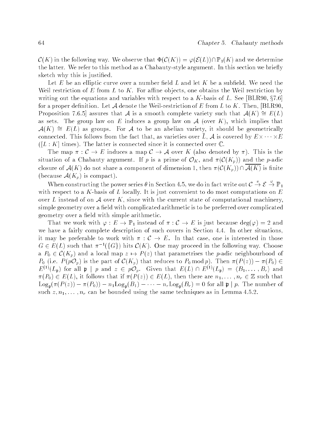$\mathcal{C}(K)$  in the following way. We observe that  $\Phi(\mathcal{C}(K)) = \varphi(\mathcal{E}(L))\cap \mathbb{P}_1(K)$  and we determine the latter. We refer to this method as a Chabauty-style argument. In this section we briefly sketch why this is justified.

Let E be an elliptic curve over a number field L and let K be a subfield. We need the Weil restriction of E from L to K. For affine objects, one obtains the Weil restriction by writing out the equations and variables with respect to a  $K$ -basis of  $L$ . See [BLR90, §7.6] for a proper definition. Let  $\mathcal A$  denote the Weil-restriction of E from L to K. Then, [BLR90, Proposition 7.6.5 assures that A is a smooth complete variety such that  $\mathcal{A}(K) \cong E(L)$ as sets. The group law on E induces a group law on  $A$  (over K), which implies that  $\mathcal{A}(K) \cong E(L)$  as groups. For A to be an abelian variety, it should be geometrically connected. This follows from the fact that, as varieties over  $L$ , A is covered by  $E \wedge \cdots \wedge E$  $([L:K]$  times). The latter is connected since it is connected over  $\mathbb C$ .

The map  $\pi : \mathcal{C} \to E$  induces a map  $\mathcal{C} \to \mathcal{A}$  over K (also denoted by  $\pi$ ). This is the situation of a Chabauty argument. If p is a prime of  $\mathcal{O}_K$ , and  $\pi(\mathcal{C}(K_p))$  and the p-adic closure of  $\mathcal{A}(K)$  do not share a component of dimension 1, then  $\pi(\mathcal{C}(K_p)) \cap \mathcal{A}(K)$  is finite (because  $\mathcal{A}(K_p)$  is compact).

When constructing the power series  $\theta$  in Section 4.5, we do in fact write out  $\mathcal{C} \stackrel{\pi}{\to} \mathcal{E} \stackrel{\varphi}{\to} \mathbb{P}_1$ with respect to a K-basis of L locally. It is just convenient to do most computations on  $E$ over L instead of on  $\mathcal A$  over K, since with the current state of computational machinery, simple geometry over a field with complicated arithmetic is to be preferred over complicated geometry over a field with simple arithmetic.

That we work with  $\varphi : E \to \mathbb{P}_1$  instead of  $\pi : C \to E$  is just because  $\deg(\varphi) = 2$  and we have a fairly complete description of such covers in Section 4.4. In other situations, it may be preferable to work with  $\pi : \mathcal{C} \to E$ . In that case, one is interested in those  $G \in E(L)$  such that  $\pi$   $\rightarrow$   $\{\{\sigma\}\}\$  hits  $C(K)$ . One may proceed in the following way. Choose a  $P_0 \in \mathcal{C}(K_p)$  and a local map  $z \mapsto P(z)$  that parametrises the p-adic neighbourhood of  $P_0$  (i.e.  $P(p\mathcal{O}_p)$  is the part of  $\mathcal{C}(K_p)$  that reduces to  $P_0 \bmod p$ . Then  $\pi(P(z)) - \pi(P_0) \in$  $E^{(1)}(L_{\mathfrak{p}})$  for all  $\mathfrak{p} \mid p$  and  $z \in p\mathcal{O}_p$ . Given that  $E(L) \cap E^{(1)}(L_{\mathfrak{p}}) = \langle B_1, \ldots, B_r \rangle$  and  $\pi(P_0) \in E(L)$ , it follows that if  $\pi(P(z)) \in E(L)$ , then there are  $n_1, \ldots, n_r \in \mathbb{Z}$  such that  $\text{Log}_{\mathbf{n}}(\pi(P(z)) - \pi(P_0)) - n_1 \text{Log}_{\mathbf{n}}(B_1) - \cdots - n_r \text{Log}_{\mathbf{n}}(B_r) = 0$  for all  $\mathfrak{p} \mid p$ . The number of such  $z, n_1, \ldots, n_r$  can be bounded using the same techniques as in Lemma 4.5.2.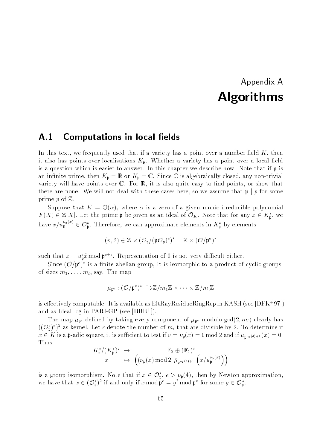# Appendix A Algorithms

#### $A<sub>1</sub>$ Computations in local fields

In this text, we frequently used that if a variety has a point over a number field  $K$ , then it also has points over localisations  $K_p$ . Whether a variety has a point over a local field is a question which is easier to answer. In this chapter we describe how. Note that if <sup>p</sup> is an infinite prime, then  $K_{\mathfrak{p}} = \mathbb{R}$  or  $K_{\mathfrak{p}} = \mathbb{C}$ . Since  $\mathbb{C}$  is algebraically closed, any non-trivial variety will have points over  $\mathbb C$ . For  $\mathbb R$ , it is also quite easy to find points, or show that there are none. We will not deal with these cases here, so we assume that  $\mathfrak{p} \mid p$  for some prime  $p$  of  $\mathbb Z$ .

Suppose that  $K = \mathbb{Q}(\alpha)$ , where  $\alpha$  is a zero of a given monic irreducible polynomial  $F(A) \in \mathbb{Z}[A]$ . Let the prime p be given as an ideal of  $\mathcal{O}_K$ . Note that for any  $x \in \Lambda_{\mathfrak{p}}$ , we have  $x/u_p^{p^{n-p}} \in \mathcal{O}_p^n$ . Therefore, we can approximate elements in  $K_p^*$  by elements

$$
(v,\tilde{x})\in\mathbb{Z}\times(\mathcal{O}_{\mathfrak{p}}/(\mathfrak{p}\mathcal{O}_{\mathfrak{p}})^e)^*=\mathbb{Z}\times(\mathcal{O}/\mathfrak{p}^e)^*
$$

such that  $x = u_p x \bmod p + \infty$  Representation of 0 is not very difficult either.

Since  $(\mathcal{O}/\mathfrak{p}^*)$  is a limite abelian group, it is isomorphic to a product of cyclic groups, of sizes  $m_1, \ldots, m_t$ , say. The map

$$
\mu_{\mathfrak{p}^e} : (\mathcal{O}/\mathfrak{p}^e)^* \tilde{\longrightarrow} \mathbb{Z}/m_1\mathbb{Z} \times \cdots \times \mathbb{Z}/m_t\mathbb{Z}
$$

is effectively computable. It is available as Eitnaynesiqueningnep in NASH (see [DFK+97]) and as IdealLog in PARI-GP (see [BBB+ ]).

The map  $\bar{\mu}_{p^e}$  defined by taking every component of  $\mu_{p^e}$  modulo gcd $(2, m_i)$  clearly has  $((\mathcal{O}_{\mathfrak{p}}^*)^\top$  as kernel. Let c denote the number of  $m_i$  that are divisible by 2. To determine if  $x \in K$  is a p-adic square, it is sufficient to test if  $v = \nu_{\mathfrak{p}}(x) = 0 \mod 2$  and if  $\bar{\mu}_{\mathfrak{n}^{\nu_{\mathfrak{p}}(4)+1}}(x) = 0$ . Thus

$$
\begin{array}{ccc}K_{\mathfrak{p}}^{\ast}/(K_{\mathfrak{p}}^{\ast})^{2}&\to&\mathbb{F}_{2}\oplus(\mathbb{F}_{2})^{c}\\x&\mapsto&\left((\nu_{\mathfrak{p}}(x)\, \text{mod}\, 2,\bar{\mu}_{\mathfrak{p}^{\nu_{\mathfrak{p}}(4)+1}}\left(x/u_{\mathfrak{p}}^{\nu_{\mathfrak{p}}(x)}\right)\right)\end{array}
$$

is a group isomorphism. Note that if  $x \in \mathcal{C}_{\mathfrak{n}}, \, e > \nu_{\mathfrak{p}}(4),$  then by Newton approximation, we have that  $x \in (\mathcal{O}_n)^+$  if and only if  $x \mod p^+ = y^-$  mod performed  $y \in \mathcal{O}_n$ .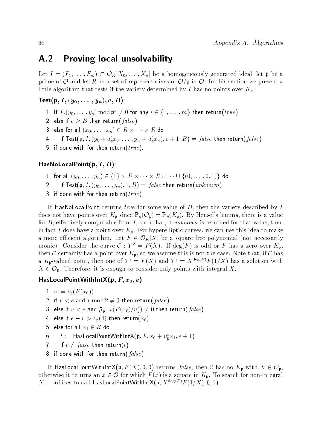### A.2 Proving local unsolvability

Let  $I = (F_1, \ldots, F_m) \subset \mathcal{O}_K[X_0, \ldots, X_n]$  be a homogeneously generated ideal, let p be a prime of O and let R be a set of representatives of  $\mathcal{O}/\mathfrak{p}$  in O. In this section we present a little algorithm that tests if the variety determined by I has no points over  $K_{p}$ .

Test  $({\frak p}, I, (y_0, \dots, y_n), e, B)$ :

- 1. If  $F_i(y_0, \ldots, y_n)$  mod  $\mathfrak{p}^* \neq 0$  for any  $i \in \{1, \ldots, m\}$  then return(true).
- 2. else if  $e \geq B$  then return(  $false$ ).
- $\begin{array}{ccc} \text{3.6}\ \text{4.7}\ \text{5.7}\ \text{6.7}\ \text{6.7}\ \text{6.7}\ \text{6.7}\ \text{6.7}\ \text{6.7}\ \text{6.7}\ \text{6.7}\ \text{6.7}\ \text{6.7}\ \text{6.7}\ \text{6.7}\ \text{6.7}\ \text{6.7}\ \text{6.7}\ \text{6.7}\ \text{6.7}\ \text{6.7}\ \text{6.7}\ \text{6.7}\ \text{6.7}\ \text{6.7}\ \text{6.7}\ \text{6.7}\ \text{6.7}\ \text{6.7}\ \text{6.7}\ \text{$
- 4. If Test( $\mathfrak{p}, I$  ,  $(y_0 + u_{\mathfrak{p}}^T x_0, \ldots, y_n + u_{\mathfrak{p}}^T x_n), e + 1, D$ ) = *Jaise* then return(*false*)
- 5. if done with for then return( $true$ ).

#### HasNoLocalPoint $(p, I, B)$ :

- 1. for all  $\alpha$  is the set of the set of the set of the set of the set of the set of the set of the set of the set of the set of the set of the set of the set of the set of the set of the set of the set of the set of the se
- 2. if  $Test(p, I, (y_0, \ldots, y_n), 1, B) = false$  then return(unknown)
- 3 if done with for then return $(true)$

If HasNoLocalPoint returns true for some value of  $B$ , then the variety described by  $I$ does not have points over  $K_{\mathfrak{p}}$  since  $\mathbb{P}_n(\mathcal{O}_{\mathfrak{p}}) = \mathbb{P}_n(K_{\mathfrak{p}})$ . By Hensel's lemma, there is a value for  $B$ , effectively computable from  $I$ , such that, if unknown is returned for that value, then in fact I does have a point over  $K_n$ . For hyperelliptic curves, we can use this idea to make a more efficient algorithm. Let  $F \in \mathcal{O}_K[X]$  be a square free polynomial (not necessarily monic). Consider the curve  $\mathcal{C}: Y^2 = F(X)$ . If  $deg(F)$  is odd or F has a zero over  $K_p$ . then C certainly has a point over  $K_{\mathfrak{p}}$ , so we assume this is not the case. Note that, if C has a  $K_{\mathfrak{p}}$ -valued point, then one of  $Y^- = F(X)$  and  $Y^- = X^ \cong$   $'F(1/X)$  has a solution with  $X \in \mathcal{O}_{p}$ . Therefore, it is enough to consider only points with integral X.

### HasLocalPointWithInt $X(\mathfrak{p}, F, x_0, e)$ :

- 1.  $v := \nu_{n}(F(x_0)).$
- 2. if  $v < e$  and  $v \mod 2 \neq 0$  then return(  $false$ )
- 5. eise if  $v < e$  and  $\mu_{\mathfrak{p}^{e-v}}(r \left(x_0\right) / u_{\mathfrak{p}}) \neq 0$  then return(  $\mathfrak{g}$  ase)
- 4. else if  $e v > \nu_{p}(4)$  then return $(x_0)$
- 5. else for all  $x_1 \in R$  do
- $\mathfrak{b}$ .  $\iota := \textsf{hasLocarsonivointian}(\mathfrak{p}, F, x_0 + u_{\mathfrak{p}}^* x_1, e+1)$
- 7. if  $t \neq false$  then return $(t)$
- 8. if done with for then return(  $false$ )

If HasLocalPointWithIntX(p,  $F(X)$ , 0, 0) returns false, then C has no  $K_{\mathfrak{p}}$  with  $X \in \mathcal{O}_{\mathfrak{p}}$ , otherwise it returns an  $x \in \mathcal{O}$  for which  $F(x)$  is a square in  $K_{\mathfrak{p}}$ . To search for non-integral  $\Lambda$  it suffices to call maslocal point withint  $\lambda[\mathfrak{p},\Lambda^{+ \circ \circ \leftarrow f}$  (1/ $\Lambda$  ), 0, 1).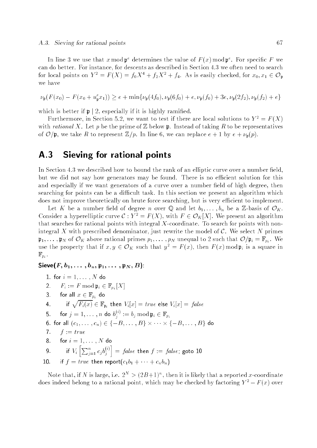In time 5 we use that x mod pe determines the value of  $F(x)$  mod p. For specific  $F$  we can do better. For instance, for descents as described in Section 4.3 we often need to search for local points on  $Y^2 = F(X) = f_0 X^4 + f_2 X^2 + f_4$ . As is easily checked, for  $x_0, x_1 \in \mathcal{O}_{\mathfrak{p}}$ we have

$$
\nu_{\mathfrak{p}}(F(x_0)-F(x_0+u_{\mathfrak{p}}^{\epsilon}x_1))\geq e+\min\{\nu_{\mathfrak{p}}(4f_0),\nu_{\mathfrak{p}}(6f_0)+e,\nu_{\mathfrak{p}}(f_0)+3e,\nu_{\mathfrak{p}}(2f_2),\nu_{\mathfrak{p}}(f_2)+e\}
$$

which is better if  $\mathfrak{p} \mid 2$ , especially if it is highly ramified.

Furthermore, in Section 5.2, we want to test if there are local solutions to  $Y^2 = F(X)$ with rational X. Let p be the prime of  $\mathbb Z$  below p. Instead of taking R to be representatives of  $\mathcal{O}/\mathfrak{p}$ , we take R to represent  $\mathbb{Z}/p$ . In line 6, we can replace  $e + 1$  by  $e + \nu_{\mathfrak{p}}(p)$ .

#### $A.3$ Sieving for rational points

In Section 4.3 we described how to bound the rank of an elliptic curve over a number field, but we did not say how generators may be found. There is no efficient solution for this and especially if we want generators of a curve over a number field of high degree, then searching for points can be a difficult task. In this section we present an algorithm which does not improve theoretically on brute force searching, but is very efficient to implement.

Let K be a number field of degree n over  $\mathbb Q$  and let  $b_1, \ldots, b_n$  be a Z-basis of  $\mathcal O_K$ . Consider a hyperelliptic curve  $\mathcal{C}: Y^2 = F(X)$ , with  $F \in \mathcal{O}_K[X]$ . We present an algorithm that searches for rational points with integral  $X$ -coordinate. To search for points with nonintegral X with prescribed denominator, just rewrite the model of  $\mathcal C$ . We select N primes p 1; : : : ; p 1;  $\cdots$  =  $\mathbf{A}$  . We are constantly partners p1;  $\mathbf{A}$  ,  $\mathbf{A}$  and  $\mathbf{A}$  are  $\mathbf{A}$  and  $\mathbf{A}$  are  $\mathbf{A}$  and  $\mathbf{A}$  are  $\mathbf{A}$  .  $\mathbf{A}$  and  $\mathbf{A}$  are  $\mathbf{A}$  and  $\mathbf{A}$  are use the property that if  $x, y \in \mathcal{O}_K$  such that  $y^2 = F(x)$ , then  $F(x) \mod \mathfrak{p}_i$  is a square in  $-\mu_i$ .

### Sieve $(F, b_1, \ldots, b_n, \mathfrak{p}_1, \ldots, \mathfrak{p}_N, B)$ :

1. for  $i = 1, \ldots, N$  do  $\blacksquare$ .  $\blacksquare$ ,  $\blacksquare$   $\blacksquare$   $\blacksquare$   $\blacksquare$   $\blacksquare$   $\blacksquare$   $\blacksquare$   $\blacksquare$   $\blacksquare$   $\blacksquare$   $\blacksquare$   $\blacksquare$   $\blacksquare$   $\blacksquare$   $\blacksquare$   $\blacksquare$   $\blacksquare$   $\blacksquare$   $\blacksquare$   $\blacksquare$   $\blacksquare$   $\blacksquare$   $\blacksquare$   $\blacksquare$   $\blacksquare$   $\blacksquare$   $\blacksquare$   $\blacksquare$   $\blacksquare$   $\$ 3 for all  $x \in \mathbb{F}_{p_i}$  do 4. if  $\sqrt{F_i(x)} \in \mathbb{F}_{\mathfrak{p}_i}$  then  $V_i[x] = \textit{true}$  else  $V_i[x] = \textit{false}$  ${\mathfrak b} \qquad \text{for} \ j=1,\ldots, n$  do  $b_i^{\scriptscriptstyle {\rm \vee}}:=b_j \ {\rm mod} \ {\mathfrak p}_i \in {\mathbb F}_{p_i}$  $\sim$ 6. for all (c1; : : : ; cn) 2 fB ; : : : ; Bg - - fB ; : : : ; Bg do 7.  $f := true$ 8 for  $i = 1, ..., N$  do 9 if  $V_i$   $\left[\sum_{i=1}^n$  $i=1$   $c_j b_j$ '  $\cdot$ <sup>i</sup> = false then f := false ; goto <sup>10</sup> 10. if  $f = true$  then report $(c_1b_1 + \cdots + c_nb_n)$ 

Note that, if *i*v is large, i.e.  $Z \rightarrow (ZB+1)$  , then it is likely that a reported x-coordinate does indeed belong to a rational point, which may be checked by factoring  $Y^2 - F(x)$  over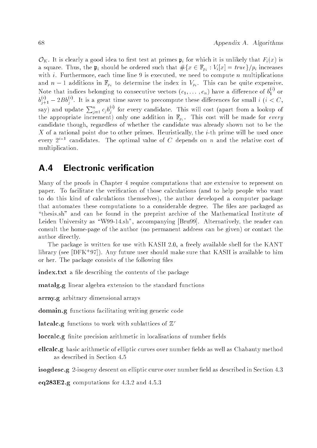$\mathcal{O}_K$ . It is clearly a good idea to first test at primes  $\mathfrak{p}_i$  for which it is unlikely that  $F_i(x)$  is a square is the pinch of such that  $\alpha$  is the order such that  $H$  (in  $\in$  Fpi incline  $H$  increases for  $H$ with  $i$ . Furthermore, each time line 9 is executed, we need to compute  $n$  multiplications and if we hadditions in F $p_i$  to determine the index in  $\mu_i$  , find the quite expensive. Note that indices belonging to consecutive vectors  $(c_1,\ldots,c_n)$  have a difference of  $b_1^\vee$  or  $b_{j+1}^s-2Bb_j^s$  . It is a great time saver to precompute these differences for small  $i$   $(i< U, j)$ say) and update  $\sum_{i=1}^n c_j b_i^{(i)}$  $j$  for every candidate. This will contribute  $\chi$  apart from a lookup of the appropriate increment) only one addition in Fpi . This cost will be made for  $j$ candidate though, regardless of whether the candidate was already shown not to be the X of a rational point due to other primes. Heuristically, the  $i$ -th prime will be used once every 2  $\,$  candidates. The optimal value of  $\rm C$  depends on  $n$  and the relative cost of multiplication.

#### **Electronic verification**  $A.4$

Many of the proofs in Chapter 4 require computations that are extensive to represent on paper. To facilitate the verication of those calculations (and to help people who want to do this kind of calculations themselves), the author developed a computer package that automates these computations to a considerable degree. The files are packaged as "thesis.sh" and can be found in the preprint archive of the Mathematical Institute of Leiden University as "W99-14.sh", accompanying [Bru99]. Alternatively, the reader can consult the home-page of the author (no permanent address can be given) or contact the author directly.

The package is written for use with KASH 2.0, a freely available shell for the KANT library (see [DFK+ 97]). Any future user should make sure that KASH is available to him or her. The package consists of the following files

index.txt a file describing the contents of the package

matalg.g linear algebra extension to the standard functions

array.g arbitrary dimensional arrays

domain.g functions facilitating writing generic code

**latcalc.g** functions to work with sublattices of  $\mathbb{Z}^r$ 

loccalc.g finite precision arithmetic in localisations of number fields

ellcalc.g basic arithmetic of elliptic curves over number fields as well as Chabauty method as described in Section 4.5

**isogdesc.g** 2-isogeny descent on elliptic curve over number field as described in Section 4.3

eq283E2.g computations for 4.3.2 and 4.5.3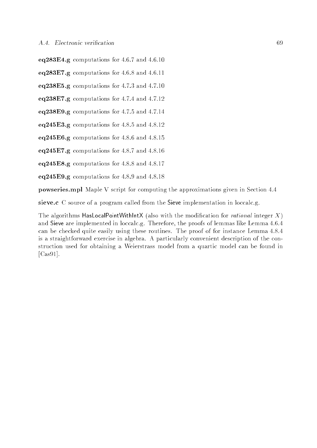#### A.4. Electronic verification

eq283E4.g computations for 4.6.7 and 4.6.10

eq283E7.g computations for 4.6.8 and 4.6.11

eq238E5.g computations for 4.7.3 and 4.7.10

eq238E7.g computations for 4.7.4 and 4.7.12

eq238E9.g computations for 4.7.5 and 4.7.14

eq245E3.g computations for 4.8.5 and 4.8.12

eq245E6.g computations for 4.8.6 and 4.8.15

eq245E7.g computations for 4.8.7 and 4.8.16

eq245E8.g computations for 4.8.8 and 4.8.17

eq245E9.g computations for 4.8.9 and 4.8.18

powseries.mpl Maple V script for computing the approximations given in Section 4.4

sieve.c C source of a program called from the Sieve implementation in loccalc.g.

The algorithms HasLocalPointWithIntX (also with the modification for *rational* integer  $X$ ) and Sieve are implemented in loccalc.g. Therefore, the proofs of lemmas like Lemma 4.6.4 can be checked quite easily using these routines. The proof of for instance Lemma 4.8.4 is a straightforward exercise in algebra. A particularly convenient description of the construction used for obtaining a Weierstrass model from a quartic model can be found in  $[Cas91]$ .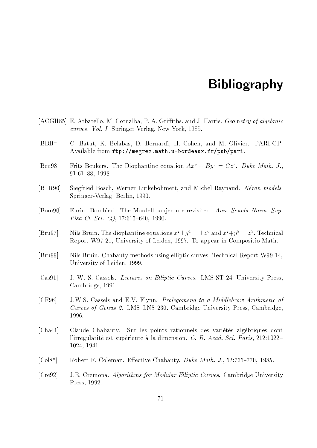## Bibliography

- [ACGH85] E. Arbarello, M. Cornalba, P. A. Griffiths, and J. Harris. Geometry of algebraic curves. Vol. I. Springer-Verlag, New York, 1985.
- $[BBB^+]$ ] C. Batut, K. Belabas, D. Bernardi, H. Cohen, and M. Olivier. PARI-GP. Available from ftp://megrez.math.u-bordeaux.fr/pub/pari.
- $\lvert {\rm De}$ ubo $\lvert$  frits Deukers. The Diophantine equation  $Ax^i + By^i = \cup z$  . Duke Math. J., 91:61-88, 1998.
- [BLR90] Siegfried Bosch, Werner Lütkebohmert, and Michel Raynaud. Neron models. Springer-Verlag, Berlin, 1990.
- [Bom90] Enrico Bombieri. The Mordell conjecture revisited. Ann. Scuola Norm. Sup. Pisa Cl. Sci.  $(4)$ , 17:615-640, 1990.
- $\lceil \text{Div}(x) \rceil = \lceil \text{Div}(x) \rceil$  and  $x \rceil$  and  $x \rceil + y \rceil = z$  . Technical Report W97-21, University of Leiden, 1997. To appear in Compositio Math.
- [Bru99] Nils Bruin. Chabauty methods using elliptic curves. Technical Report W99-14, University of Leiden, 1999.
- [Cas91] J. W. S. Cassels. Lectures on Elliptic Curves. LMS-ST 24. University Press, Cambridge, 1991.
- [CF96] J.W.S. Cassels and E.V. Flynn. Prolegomena to a Middlebrow Arithmetic of Curves of Genus 2. LMS-LNS 230. Cambridge University Press, Cambridge, 1996.
- [Cha41] Claude Chabauty. Sur les points rationnels des variétés algébriques dont l'irrégularité est supérieure à la dimension. C. R. Acad. Sci. Paris, 212:1022-1024, 1941.
- [Col85] Robert F. Coleman. Effective Chabauty. Duke Math. J., 52:765-770, 1985.
- [Cre92] J.E. Cremona. Algorithms for Modular Elliptic Curves. Cambridge University Press, 1992.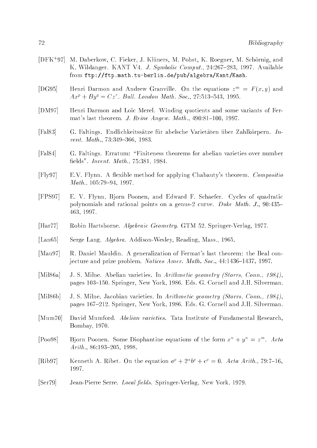- [DFK+ 97] M. Daberkow, C. Fieker, J. Kluners, M. Pohst, K. Roegner, M. Schornig, and K. Wildanger. KANT V4. J. Symbolic Comput., 24:267-283, 1997. Available from ftp://ftp.math.tu-berlin.de/pub/algebra/Kant/Kash.
- [DG95] Henri Darmon and Andrew Granville. On the equations  $z^m = F(x, y)$  and  $Ax^r + By^r = \bigcup z$ . Duit. London Math. Soc., 21:513-543, 1995.
- [DM97] Henri Darmon and Loïc Merel. Winding quotients and some variants of Fermat's last theorem. J. Reine Angew. Math.,  $490.81{\text -}100$ , 1997.
- [Fal83] G. Faltings. Endlichkeitssatze fur abelsche Varietaten uber Zahlkorpern. Invent. Math., 73:349-366, 1983.
- [Fal84] G. Faltings. Erratum: \Finiteness theorems for abelian varieties over number fields". *Invent. Math.*, 75:381, 1984.
- [Fly97] E.V. Flynn. A exible method for applying Chabauty's theorem. Compositio  $Math., 105:79–94, 1997.$
- [FPS97] E. V. Flynn, Bjorn Poonen, and Edward F. Schaefer. Cycles of quadratic polynomials and rational points on a genus-2 curve. Duke Math. J.,  $90:435-$ 463, 1997.
- [Har77] Robin Hartshorne. Algebraic Geometry. GTM 52. Springer-Verlag, 1977.
- [Lan65] Serge Lang. Algebra. Addison-Wesley, Reading, Mass., 1965.
- [Mau97] R. Daniel Mauldin. A generalization of Fermat's last theorem: the Beal conjecture and prize problem. *Notices Amer. Math. Soc.*,  $44:1436-1437$ , 1997.
- [Mil86a] J. S. Milne. Abelian varieties. In Arithmetic geometry (Storrs, Conn., 1984), pages 103-150. Springer, New York, 1986. Eds. G. Cornell and J.H. Silverman.
- [Mil86b] J. S. Milne. Jacobian varieties. In Arithmetic geometry (Storrs, Conn., 1984), pages 167{212. Springer, New York, 1986. Eds. G. Cornell and J.H. Silverman.
- [Mum70] David Mumford. Abelian varieties. Tata Institute of Fundamental Research, Bombay, 1970.
- $[10098]$  Born Poonen. Some Diophantine equations of the form  $x^2 + y^2 = z^2$ . Acta Arith., 86:193-205, 1998.
- $\lceil \mathbf{R} \rceil$   $\mathbf{R}$   $\lceil \mathbf{R} \rceil$  and  $\lceil \mathbf{R} \rceil$  and  $\lceil \mathbf{R} \rceil$  and  $\lceil \mathbf{R} \rceil$  and  $\lceil \mathbf{R} \rceil$  and  $\lceil \mathbf{R} \rceil$  and  $\lceil \mathbf{R} \rceil$  and  $\lceil \mathbf{R} \rceil$  and  $\lceil \mathbf{R} \rceil$  and  $\lceil \mathbf{R} \rceil$  and  $\lceil \mathbf$ 1997.
- [Ser79] Jean-Pierre Serre. Local fields. Springer-Verlag, New York, 1979.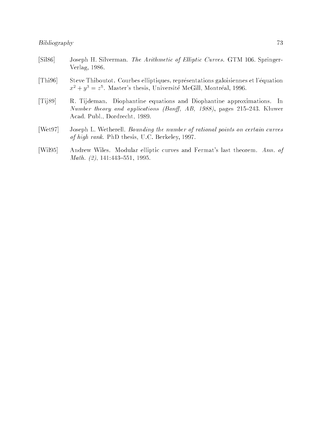- [Sil86] Joseph H. Silverman. The Arithmetic of Elliptic Curves. GTM 106. Springer-Verlag, 1986.
- [Thi96] Steve Thiboutot. Courbes elliptiques, representations galoisiennes et l'equation  $x^2 + y^3 = z^5$ . Master's thesis, Université McGill, Montréal, 1996.
- [Tij89] R. Tijdeman. Diophantine equations and Diophantine approximations. In Number theory and applications (Banff, AB, 1988), pages  $215{\text -}243$ . Kluwer Acad. Publ., Dordrecht, 1989.
- [Wet97] Joseph L. Wetherell. Bounding the number of rational points on certain curves of high rank. PhD thesis, U.C. Berkeley, 1997.
- [Wil95] Andrew Wiles. Modular elliptic curves and Fermat's last theorem. Ann. of Math.  $(2)$ , 141:443-551, 1995.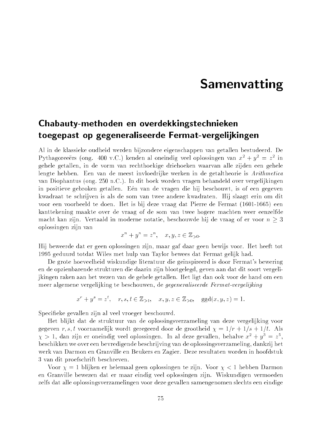## Samenvatting

### Chabauty-methoden en overdekkingstechnieken toegepast op gegeneraliseerde Fermat-vergelijkingen

Al in de klassieke oudheid werden bijzondere eigenschappen van getallen bestudeerd. De Pythagoreeers (ong. 400 v.C.) kenden al oneindig veel oplossingen van  $x^2 + y^2 = z^2$  in gehele getallen, in de vorm van rechthoekige driehoeken waarvan alle zijden een gehele lengte hebben. Een van de meest invloedrijke werken in de getaltheorie is Arithmetica van Diophantus (ong. 250 n.C.). In dit boek worden vragen behandeld over vergelijkingen in positieve gebroken getallen. Eén van de vragen die hij beschouwt, is of een gegeven kwadraat te schrijven is als de som van twee andere kwadraten. Hij slaagt erin om dit voor een voorbeeld te doen. Het is bij deze vraag dat Pierre de Fermat (1601-1665) een kanttekening maakte over de vraag of de som van twee hogere machten weer eenzelfde macht kan zijn. Vertaald in moderne notatie, beschouwde hij de vraag of er voor  $n \geq 3$ oplossingen zijn van

$$
x^n + y^n = z^n, \quad x, y, z \in \mathbb{Z}_{>0}.
$$

Hij beweerde dat er geen oplossingen zijn, maar gaf daar geen bewijs voor. Het heeft tot 1995 geduurd totdat Wiles met hulp van Taylor bewees dat Fermat gelijk had.

De grote hoeveelheid wiskundige literatuur die geïnspireerd is door Fermat's bewering en de opzienbarende strukturen die daarin zijn blootgelegd, geven aan dat dit soort vergelijkingen raken aan het wezen van de gehele getallen. Het ligt dan ook voor de hand om een meer algemene vergelijking te beschouwen, de gegeneraliseerde Fermat-vergelijking

$$
x^r + y^s = z^t
$$
,  $r, s, t \in \mathbb{Z}_{\geq 1}$ ,  $x, y, z \in \mathbb{Z}_{\geq 0}$ ,  $ggd(x, y, z) = 1$ .

Specifieke gevallen zijn al veel vroeger beschouwd.

Het blijkt dat de struktuur van de oplossingsverzameling van deze vergelijking voor gegeven r, s, t voornamelijk wordt geregeerd door de grootheid  $\chi = 1/r + 1/s + 1/t$ . Als  $\chi$   $>$  1, dan zijn er oneindig veel oplossingen. In al deze gevallen, behalve  $x^- + y^+ = z^-$ , beschikken we over een bevredigende beschrijving van de oplossingsverzameling, dankzij het werk van Darmon en Granville en Beukers en Zagier. Deze resultaten worden in hoofdstuk 3 van dit proefschrift beschreven.

Voor  $\chi = 1$  blijken er helemaal geen oplossingen te zijn. Voor  $\chi < 1$  hebben Darmon en Granville bewezen dat er maar eindig veel oplossingen zijn. Wiskundigen vermoeden zelfs dat alle oplossingsverzamelingen voor deze gevallen samengenomen slechts een eindige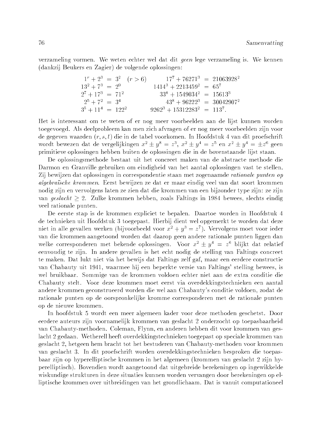verzameling vormen. We weten echter wel dat dit geen lege verzameling is. We kennen (dankzij Beukers en Zagier) de volgende oplossingen:

$$
1r + 23 = 32 (r > 6)
$$
  
\n
$$
177 + 762713 = 210639282
$$
  
\n
$$
132 + 73 = 29
$$
  
\n
$$
27 + 173 = 712
$$
  
\n
$$
25 + 72 = 34
$$
  
\n
$$
38 + 15490342 = 156133
$$
  
\n
$$
25 + 72 = 34
$$
  
\n
$$
38 + 962223 = 300429072
$$
  
\n
$$
35 + 114 = 1222
$$
  
\n
$$
92623 + 153122832 = 1137
$$

Het is interessant om te weten of er nog meer voorbeelden aan de lijst kunnen worden toegevoegd. Als deelprobleem kan men zich afvragen of er nog meer voorbeelden zijn voor de gegeven waarden  $(r, s, t)$  die in de tabel voorkomen. In Hoofdstuk 4 van dit proefschrift wordt bewezen dat de vergelijkingen  $x \pm y = z$  ,  $x \pm y = z$  en  $x \pm y = \pm z$  geen primitieve oplossingen hebben buiten de oplossingen die in de bovenstaande lijst staan.

De oplossingsmethode bestaat uit het concreet maken van de abstracte methode die Darmon en Granville gebruiken om eindigheid van het aantal oplossingen vast te stellen. Zij bewijzen dat oplossingen in correspondentie staan met zogenaamde rationale punten op algebraïsche krommen. Eerst bewijzen ze dat er maar eindig veel van dat soort krommen nodig zijn en vervolgens laten ze zien dat die krommen van een bijzonder type zijn: ze zijn van geslacht  $> 2$ . Zulke krommen hebben, zoals Faltings in 1984 bewees, slechts eindig veel rationale punten.

De eerste stap is de krommen expliciet te bepalen. Daartoe worden in Hoofdstuk 4 de technieken uit Hoofdstuk 3 toegepast. Hierbij dient wel opgemerkt te worden dat deze met in alle gevallen werken (bijvoorbeeld voor  $x^+ + y^+ = z^-$ ). Vervolgens moet voor leder van die krommen aangetoond worden dat daarop geen andere rationale punten liggen dan welke corresponderen met bekende oplossingen. Voor  $x_{-} \pm y_{+} = z_{-}$  biljkt dat relatief eenvoudig te zijn. In andere gevallen is het echt nodig de stelling van Faltings concreet te maken. Dat lukt niet via het bewijs dat Faltings zelf gaf, maar een eerdere constructie van Chabauty uit 1941, waarmee hij een beperkte versie van Faltings' stelling bewees, is wel bruikbaar. Sommige van de krommen voldoen echter niet aan de extra conditie die Chabauty stelt. Voor deze krommen moet eerst via overdekkingstechnieken een aantal andere krommen geconstrueerd worden die wel aan Chabauty's conditie voldoen, zodat de rationale punten op de oorspronkelijke kromme corresponderen met de rationale punten op de nieuwe krommen.

In hoofdstuk 5 wordt een meer algemeen kader voor deze methoden geschetst. Door eerdere auteurs zijn voornamelijk krommen van geslacht 2 onderzocht op toepasbaarheid van Chabauty-methoden. Coleman, Flynn, en anderen hebben dit voor krommen van geslacht 2 gedaan. Wetherell heeft overdekkingstechnieken toegepast op speciale krommen van geslacht 2, hetgeen hem bracht tot het bestuderen van Chabauty-methoden voor krommen van geslacht 3. In dit proefschrift worden overdekkingstechnieken besproken die toepasbaar zijn op hyperelliptische krommen in het algemeen (krommen van geslacht 2 zijn hyperelliptisch). Bovendien wordt aangetoond dat uitgebreide berekeningen op ingewikkelde wiskundige strukturen in deze situaties kunnen worden vervangen door berekeningen op elliptische krommen over uitbreidingen van het grondlichaam. Dat is vanuit computationeel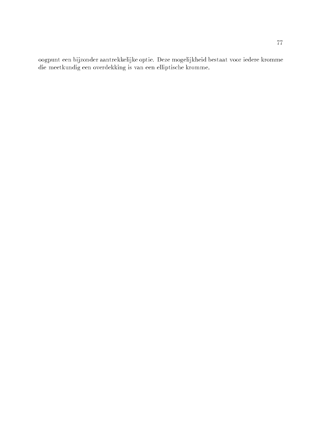oogpunt een bijzonder aantrekkelijke optie. Deze mogelijkheid bestaat voor iedere kromme die meetkundig een overdekking is van een elliptische kromme.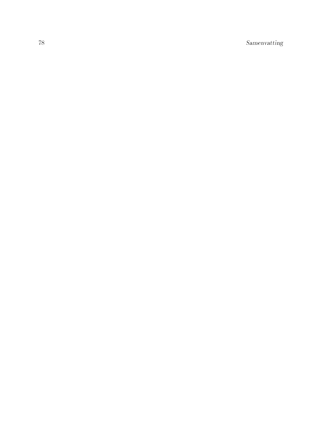Samenvatting